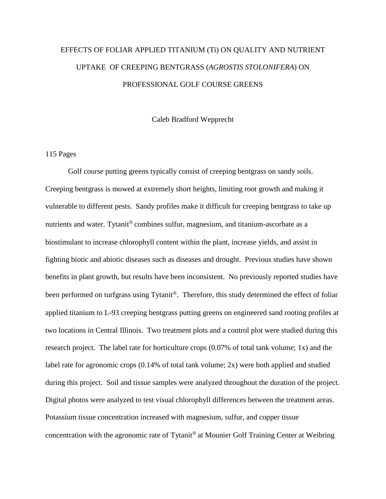# EFFECTS OF FOLIAR APPLIED TITANIUM (Ti) ON QUALITY AND NUTRIENT UPTAKE OF CREEPING BENTGRASS (*AGROSTIS STOLONIFERA*) ON PROFESSIONAL GOLF COURSE GREENS

Caleb Bradford Wepprecht

#### 115 Pages

Golf course putting greens typically consist of creeping bentgrass on sandy soils. Creeping bentgrass is mowed at extremely short heights, limiting root growth and making it vulnerable to different pests. Sandy profiles make it difficult for creeping bentgrass to take up nutrients and water. Tytanit<sup>®</sup> combines sulfur, magnesium, and titanium-ascorbate as a biostimulant to increase chlorophyll content within the plant, increase yields, and assist in fighting biotic and abiotic diseases such as diseases and drought. Previous studies have shown benefits in plant growth, but results have been inconsistent. No previously reported studies have been performed on turfgrass using Tytanit<sup>®</sup>. Therefore, this study determined the effect of foliar applied titanium to L-93 creeping bentgrass putting greens on engineered sand rooting profiles at two locations in Central Illinois. Two treatment plots and a control plot were studied during this research project. The label rate for horticulture crops (0.07% of total tank volume; 1x) and the label rate for agronomic crops (0.14% of total tank volume; 2x) were both applied and studied during this project. Soil and tissue samples were analyzed throughout the duration of the project. Digital photos were analyzed to test visual chlorophyll differences between the treatment areas. Potassium tissue concentration increased with magnesium, sulfur, and copper tissue concentration with the agronomic rate of Tytanit<sup>®</sup> at Mounier Golf Training Center at Weibring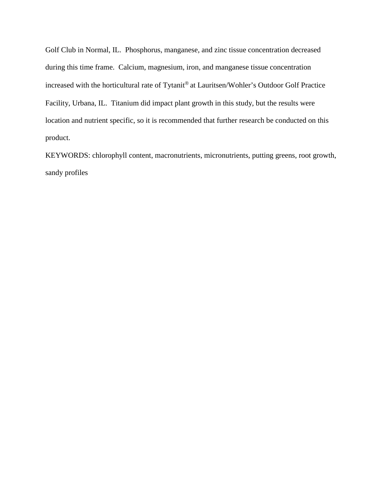Golf Club in Normal, IL. Phosphorus, manganese, and zinc tissue concentration decreased during this time frame. Calcium, magnesium, iron, and manganese tissue concentration increased with the horticultural rate of Tytanit® at Lauritsen/Wohler's Outdoor Golf Practice Facility, Urbana, IL. Titanium did impact plant growth in this study, but the results were location and nutrient specific, so it is recommended that further research be conducted on this product.

KEYWORDS: chlorophyll content, macronutrients, micronutrients, putting greens, root growth, sandy profiles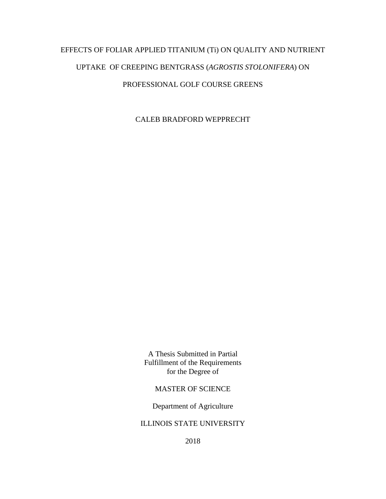# EFFECTS OF FOLIAR APPLIED TITANIUM (Ti) ON QUALITY AND NUTRIENT UPTAKE OF CREEPING BENTGRASS (*AGROSTIS STOLONIFERA*) ON PROFESSIONAL GOLF COURSE GREENS

CALEB BRADFORD WEPPRECHT

A Thesis Submitted in Partial Fulfillment of the Requirements for the Degree of

## MASTER OF SCIENCE

Department of Agriculture

## ILLINOIS STATE UNIVERSITY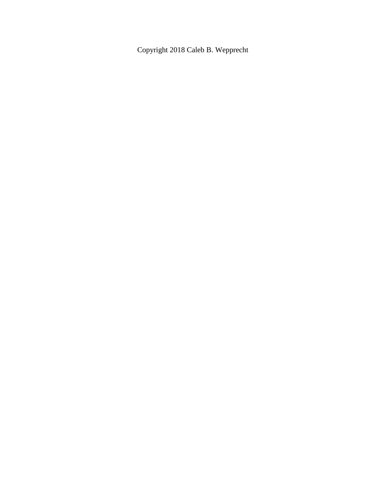Copyright 2018 Caleb B. Wepprecht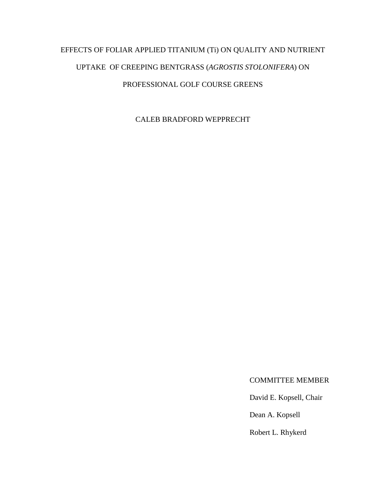# EFFECTS OF FOLIAR APPLIED TITANIUM (Ti) ON QUALITY AND NUTRIENT UPTAKE OF CREEPING BENTGRASS (*AGROSTIS STOLONIFERA*) ON PROFESSIONAL GOLF COURSE GREENS

CALEB BRADFORD WEPPRECHT

### COMMITTEE MEMBER

David E. Kopsell, Chair

Dean A. Kopsell

Robert L. Rhykerd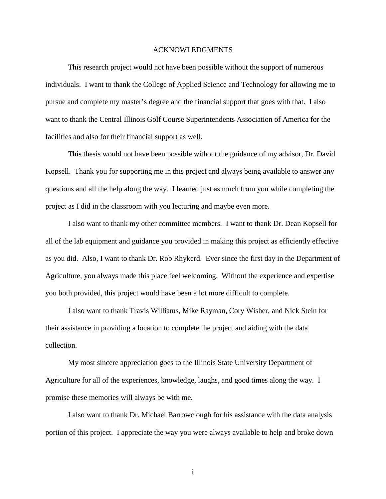#### ACKNOWLEDGMENTS

<span id="page-5-0"></span>This research project would not have been possible without the support of numerous individuals. I want to thank the College of Applied Science and Technology for allowing me to pursue and complete my master's degree and the financial support that goes with that. I also want to thank the Central Illinois Golf Course Superintendents Association of America for the facilities and also for their financial support as well.

This thesis would not have been possible without the guidance of my advisor, Dr. David Kopsell. Thank you for supporting me in this project and always being available to answer any questions and all the help along the way. I learned just as much from you while completing the project as I did in the classroom with you lecturing and maybe even more.

I also want to thank my other committee members. I want to thank Dr. Dean Kopsell for all of the lab equipment and guidance you provided in making this project as efficiently effective as you did. Also, I want to thank Dr. Rob Rhykerd. Ever since the first day in the Department of Agriculture, you always made this place feel welcoming. Without the experience and expertise you both provided, this project would have been a lot more difficult to complete.

I also want to thank Travis Williams, Mike Rayman, Cory Wisher, and Nick Stein for their assistance in providing a location to complete the project and aiding with the data collection.

My most sincere appreciation goes to the Illinois State University Department of Agriculture for all of the experiences, knowledge, laughs, and good times along the way. I promise these memories will always be with me.

I also want to thank Dr. Michael Barrowclough for his assistance with the data analysis portion of this project. I appreciate the way you were always available to help and broke down

i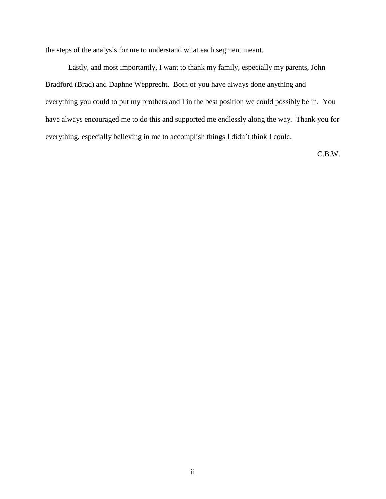the steps of the analysis for me to understand what each segment meant.

Lastly, and most importantly, I want to thank my family, especially my parents, John Bradford (Brad) and Daphne Wepprecht. Both of you have always done anything and everything you could to put my brothers and I in the best position we could possibly be in. You have always encouraged me to do this and supported me endlessly along the way. Thank you for everything, especially believing in me to accomplish things I didn't think I could.

C.B.W.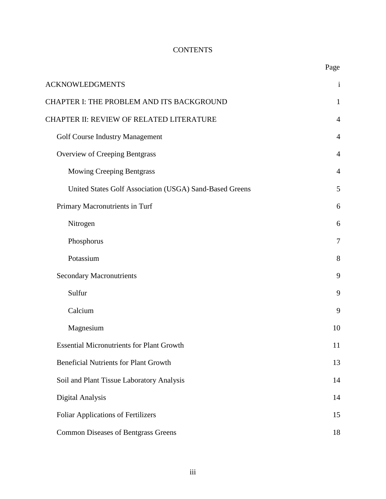# **CONTENTS**

|                                                         | Page           |
|---------------------------------------------------------|----------------|
| <b>ACKNOWLEDGMENTS</b>                                  | $\mathbf{i}$   |
| CHAPTER I: THE PROBLEM AND ITS BACKGROUND               | $\mathbf{1}$   |
| CHAPTER II: REVIEW OF RELATED LITERATURE                | $\overline{4}$ |
| <b>Golf Course Industry Management</b>                  | 4              |
| <b>Overview of Creeping Bentgrass</b>                   | $\overline{4}$ |
| <b>Mowing Creeping Bentgrass</b>                        | 4              |
| United States Golf Association (USGA) Sand-Based Greens | 5              |
| Primary Macronutrients in Turf                          | 6              |
| Nitrogen                                                | 6              |
| Phosphorus                                              | 7              |
| Potassium                                               | 8              |
| <b>Secondary Macronutrients</b>                         | 9              |
| Sulfur                                                  | 9              |
| Calcium                                                 | 9              |
| Magnesium                                               | 10             |
| <b>Essential Micronutrients for Plant Growth</b>        | 11             |
| <b>Beneficial Nutrients for Plant Growth</b>            | 13             |
| Soil and Plant Tissue Laboratory Analysis               | 14             |
| Digital Analysis                                        | 14             |
| <b>Foliar Applications of Fertilizers</b>               | 15             |
| <b>Common Diseases of Bentgrass Greens</b>              | 18             |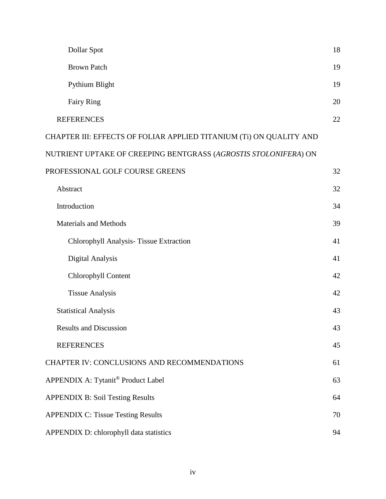| Dollar Spot                                                         | 18 |
|---------------------------------------------------------------------|----|
| <b>Brown Patch</b>                                                  | 19 |
| Pythium Blight                                                      | 19 |
| <b>Fairy Ring</b>                                                   | 20 |
| <b>REFERENCES</b>                                                   | 22 |
| CHAPTER III: EFFECTS OF FOLIAR APPLIED TITANIUM (Ti) ON QUALITY AND |    |
| NUTRIENT UPTAKE OF CREEPING BENTGRASS (AGROSTIS STOLONIFERA) ON     |    |
| PROFESSIONAL GOLF COURSE GREENS                                     | 32 |
| Abstract                                                            | 32 |
| Introduction                                                        | 34 |
| <b>Materials and Methods</b>                                        | 39 |
| Chlorophyll Analysis-Tissue Extraction                              | 41 |
| Digital Analysis                                                    | 41 |
| Chlorophyll Content                                                 | 42 |
| <b>Tissue Analysis</b>                                              | 42 |
| <b>Statistical Analysis</b>                                         | 43 |
| <b>Results and Discussion</b>                                       | 43 |
| <b>REFERENCES</b>                                                   | 45 |
| CHAPTER IV: CONCLUSIONS AND RECOMMENDATIONS                         | 61 |
| APPENDIX A: Tytanit® Product Label                                  | 63 |
| <b>APPENDIX B: Soil Testing Results</b>                             | 64 |
| <b>APPENDIX C: Tissue Testing Results</b>                           | 70 |
| APPENDIX D: chlorophyll data statistics                             | 94 |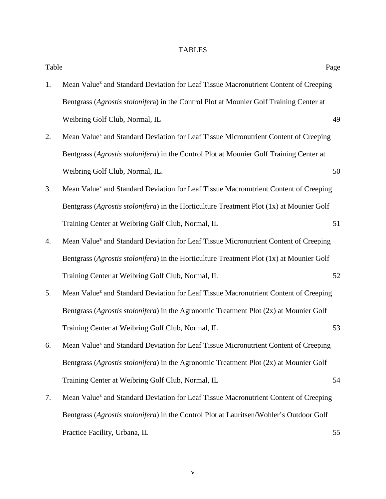# TABLES

| Table |                                                                                                  | Page |
|-------|--------------------------------------------------------------------------------------------------|------|
| 1.    | Mean Value <sup>z</sup> and Standard Deviation for Leaf Tissue Macronutrient Content of Creeping |      |
|       | Bentgrass (Agrostis stolonifera) in the Control Plot at Mounier Golf Training Center at          |      |
|       | Weibring Golf Club, Normal, IL                                                                   | 49   |
| 2.    | Mean Value <sup>z</sup> and Standard Deviation for Leaf Tissue Micronutrient Content of Creeping |      |
|       | Bentgrass (Agrostis stolonifera) in the Control Plot at Mounier Golf Training Center at          |      |
|       | Weibring Golf Club, Normal, IL.                                                                  | 50   |
| 3.    | Mean Value <sup>z</sup> and Standard Deviation for Leaf Tissue Macronutrient Content of Creeping |      |
|       | Bentgrass (Agrostis stolonifera) in the Horticulture Treatment Plot (1x) at Mounier Golf         |      |
|       | Training Center at Weibring Golf Club, Normal, IL                                                | 51   |
| 4.    | Mean Value <sup>z</sup> and Standard Deviation for Leaf Tissue Micronutrient Content of Creeping |      |
|       | Bentgrass (Agrostis stolonifera) in the Horticulture Treatment Plot (1x) at Mounier Golf         |      |
|       | Training Center at Weibring Golf Club, Normal, IL                                                | 52   |
| 5.    | Mean Value <sup>z</sup> and Standard Deviation for Leaf Tissue Macronutrient Content of Creeping |      |
|       | Bentgrass (Agrostis stolonifera) in the Agronomic Treatment Plot (2x) at Mounier Golf            |      |
|       | Training Center at Weibring Golf Club, Normal, IL                                                | 53   |
| 6.    | Mean Value <sup>z</sup> and Standard Deviation for Leaf Tissue Micronutrient Content of Creeping |      |
|       | Bentgrass (Agrostis stolonifera) in the Agronomic Treatment Plot (2x) at Mounier Golf            |      |
|       | Training Center at Weibring Golf Club, Normal, IL                                                | 54   |
| 7.    | Mean Value <sup>z</sup> and Standard Deviation for Leaf Tissue Macronutrient Content of Creeping |      |
|       | Bentgrass (Agrostis stolonifera) in the Control Plot at Lauritsen/Wohler's Outdoor Golf          |      |
|       | Practice Facility, Urbana, IL                                                                    | 55   |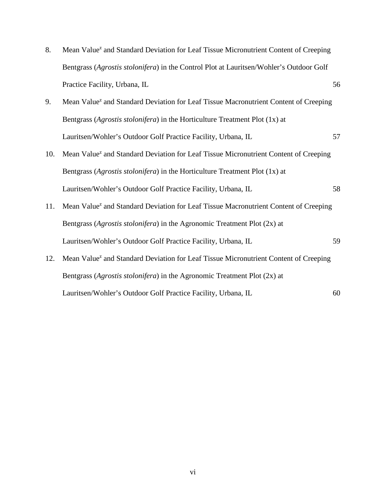| 8.  | Mean Value <sup>z</sup> and Standard Deviation for Leaf Tissue Micronutrient Content of Creeping |    |
|-----|--------------------------------------------------------------------------------------------------|----|
|     | Bentgrass (Agrostis stolonifera) in the Control Plot at Lauritsen/Wohler's Outdoor Golf          |    |
|     | Practice Facility, Urbana, IL                                                                    | 56 |
| 9.  | Mean Value <sup>z</sup> and Standard Deviation for Leaf Tissue Macronutrient Content of Creeping |    |
|     | Bentgrass (Agrostis stolonifera) in the Horticulture Treatment Plot (1x) at                      |    |
|     | Lauritsen/Wohler's Outdoor Golf Practice Facility, Urbana, IL                                    | 57 |
| 10. | Mean Value <sup>z</sup> and Standard Deviation for Leaf Tissue Micronutrient Content of Creeping |    |
|     | Bentgrass (Agrostis stolonifera) in the Horticulture Treatment Plot (1x) at                      |    |
|     | Lauritsen/Wohler's Outdoor Golf Practice Facility, Urbana, IL                                    | 58 |
| 11. | Mean Value <sup>z</sup> and Standard Deviation for Leaf Tissue Macronutrient Content of Creeping |    |
|     | Bentgrass (Agrostis stolonifera) in the Agronomic Treatment Plot (2x) at                         |    |
|     | Lauritsen/Wohler's Outdoor Golf Practice Facility, Urbana, IL                                    | 59 |
| 12. | Mean Value <sup>z</sup> and Standard Deviation for Leaf Tissue Micronutrient Content of Creeping |    |
|     | Bentgrass (Agrostis stolonifera) in the Agronomic Treatment Plot (2x) at                         |    |
|     | Lauritsen/Wohler's Outdoor Golf Practice Facility, Urbana, IL                                    | 60 |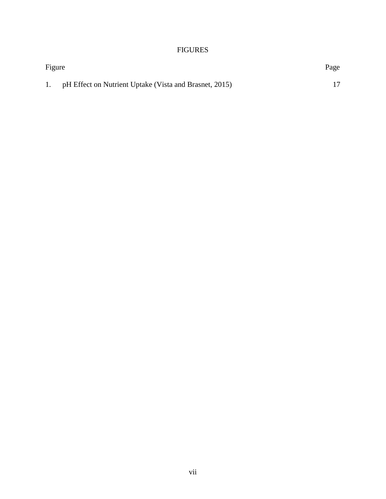# FIGURES

| Figure | Page                                                   |  |
|--------|--------------------------------------------------------|--|
| 1.     | pH Effect on Nutrient Uptake (Vista and Brasnet, 2015) |  |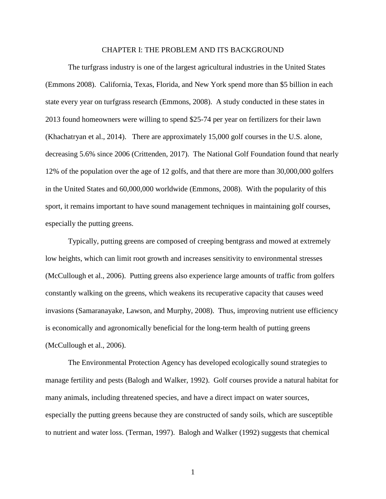#### CHAPTER I: THE PROBLEM AND ITS BACKGROUND

<span id="page-12-0"></span>The turfgrass industry is one of the largest agricultural industries in the United States (Emmons 2008). California, Texas, Florida, and New York spend more than \$5 billion in each state every year on turfgrass research (Emmons, 2008). A study conducted in these states in 2013 found homeowners were willing to spend \$25-74 per year on fertilizers for their lawn (Khachatryan et al., 2014). There are approximately 15,000 golf courses in the U.S. alone, decreasing 5.6% since 2006 (Crittenden, 2017). The National Golf Foundation found that nearly 12% of the population over the age of 12 golfs, and that there are more than 30,000,000 golfers in the United States and 60,000,000 worldwide (Emmons, 2008). With the popularity of this sport, it remains important to have sound management techniques in maintaining golf courses, especially the putting greens.

Typically, putting greens are composed of creeping bentgrass and mowed at extremely low heights, which can limit root growth and increases sensitivity to environmental stresses (McCullough et al., 2006). Putting greens also experience large amounts of traffic from golfers constantly walking on the greens, which weakens its recuperative capacity that causes weed invasions (Samaranayake, Lawson, and Murphy, 2008). Thus, improving nutrient use efficiency is economically and agronomically beneficial for the long-term health of putting greens (McCullough et al., 2006).

The Environmental Protection Agency has developed ecologically sound strategies to manage fertility and pests (Balogh and Walker, 1992). Golf courses provide a natural habitat for many animals, including threatened species, and have a direct impact on water sources, especially the putting greens because they are constructed of sandy soils, which are susceptible to nutrient and water loss. (Terman, 1997). Balogh and Walker (1992) suggests that chemical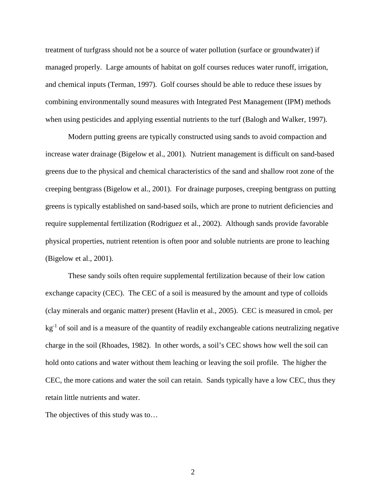treatment of turfgrass should not be a source of water pollution (surface or groundwater) if managed properly. Large amounts of habitat on golf courses reduces water runoff, irrigation, and chemical inputs (Terman, 1997). Golf courses should be able to reduce these issues by combining environmentally sound measures with Integrated Pest Management (IPM) methods when using pesticides and applying essential nutrients to the turf (Balogh and Walker, 1997).

Modern putting greens are typically constructed using sands to avoid compaction and increase water drainage (Bigelow et al., 2001). Nutrient management is difficult on sand-based greens due to the physical and chemical characteristics of the sand and shallow root zone of the creeping bentgrass (Bigelow et al., 2001). For drainage purposes, creeping bentgrass on putting greens is typically established on sand-based soils, which are prone to nutrient deficiencies and require supplemental fertilization (Rodriguez et al., 2002). Although sands provide favorable physical properties, nutrient retention is often poor and soluble nutrients are prone to leaching (Bigelow et al., 2001).

These sandy soils often require supplemental fertilization because of their low cation exchange capacity (CEC). The CEC of a soil is measured by the amount and type of colloids (clay minerals and organic matter) present (Havlin et al., 2005). CEC is measured in cmolc per  $kg<sup>-1</sup>$  of soil and is a measure of the quantity of readily exchangeable cations neutralizing negative charge in the soil (Rhoades, 1982). In other words, a soil's CEC shows how well the soil can hold onto cations and water without them leaching or leaving the soil profile. The higher the CEC, the more cations and water the soil can retain. Sands typically have a low CEC, thus they retain little nutrients and water.

The objectives of this study was to…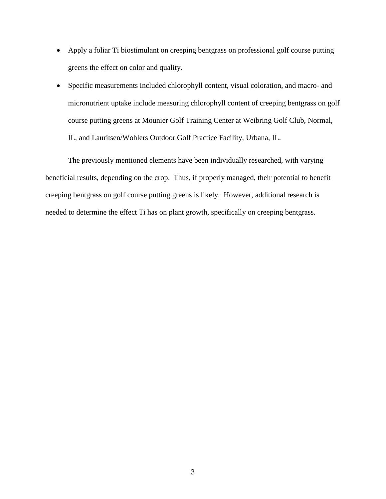- Apply a foliar Ti biostimulant on creeping bentgrass on professional golf course putting greens the effect on color and quality.
- Specific measurements included chlorophyll content, visual coloration, and macro- and micronutrient uptake include measuring chlorophyll content of creeping bentgrass on golf course putting greens at Mounier Golf Training Center at Weibring Golf Club, Normal, IL, and Lauritsen/Wohlers Outdoor Golf Practice Facility, Urbana, IL.

The previously mentioned elements have been individually researched, with varying beneficial results, depending on the crop. Thus, if properly managed, their potential to benefit creeping bentgrass on golf course putting greens is likely. However, additional research is needed to determine the effect Ti has on plant growth, specifically on creeping bentgrass.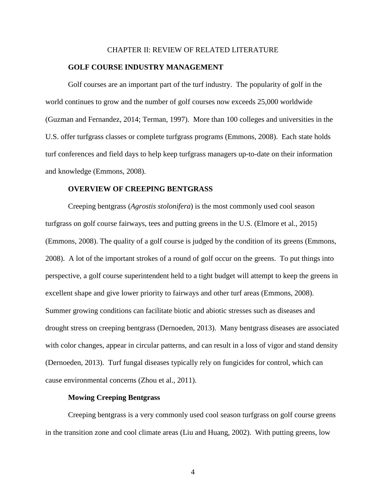#### CHAPTER II: REVIEW OF RELATED LITERATURE

#### <span id="page-15-0"></span>**GOLF COURSE INDUSTRY MANAGEMENT**

<span id="page-15-1"></span>Golf courses are an important part of the turf industry. The popularity of golf in the world continues to grow and the number of golf courses now exceeds 25,000 worldwide (Guzman and Fernandez, 2014; Terman, 1997). More than 100 colleges and universities in the U.S. offer turfgrass classes or complete turfgrass programs (Emmons, 2008). Each state holds turf conferences and field days to help keep turfgrass managers up-to-date on their information and knowledge (Emmons, 2008).

#### **OVERVIEW OF CREEPING BENTGRASS**

<span id="page-15-2"></span>Creeping bentgrass (*Agrostis stolonifera*) is the most commonly used cool season turfgrass on golf course fairways, tees and putting greens in the U.S. (Elmore et al., 2015) (Emmons, 2008). The quality of a golf course is judged by the condition of its greens (Emmons, 2008). A lot of the important strokes of a round of golf occur on the greens. To put things into perspective, a golf course superintendent held to a tight budget will attempt to keep the greens in excellent shape and give lower priority to fairways and other turf areas (Emmons, 2008). Summer growing conditions can facilitate biotic and abiotic stresses such as diseases and drought stress on creeping bentgrass (Dernoeden, 2013). Many bentgrass diseases are associated with color changes, appear in circular patterns, and can result in a loss of vigor and stand density (Dernoeden, 2013). Turf fungal diseases typically rely on fungicides for control, which can cause environmental concerns (Zhou et al., 2011).

#### **Mowing Creeping Bentgrass**

<span id="page-15-3"></span>Creeping bentgrass is a very commonly used cool season turfgrass on golf course greens in the transition zone and cool climate areas (Liu and Huang, 2002). With putting greens, low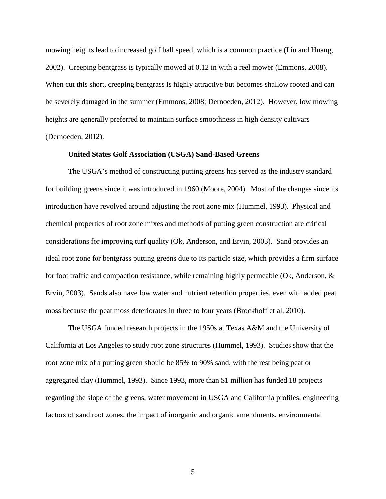mowing heights lead to increased golf ball speed, which is a common practice (Liu and Huang, 2002). Creeping bentgrass is typically mowed at 0.12 in with a reel mower (Emmons, 2008). When cut this short, creeping bentgrass is highly attractive but becomes shallow rooted and can be severely damaged in the summer (Emmons, 2008; Dernoeden, 2012). However, low mowing heights are generally preferred to maintain surface smoothness in high density cultivars (Dernoeden, 2012).

#### **United States Golf Association (USGA) Sand-Based Greens**

<span id="page-16-0"></span>The USGA's method of constructing putting greens has served as the industry standard for building greens since it was introduced in 1960 (Moore, 2004). Most of the changes since its introduction have revolved around adjusting the root zone mix (Hummel, 1993). Physical and chemical properties of root zone mixes and methods of putting green construction are critical considerations for improving turf quality (Ok, Anderson, and Ervin, 2003). Sand provides an ideal root zone for bentgrass putting greens due to its particle size, which provides a firm surface for foot traffic and compaction resistance, while remaining highly permeable (Ok, Anderson,  $\&$ Ervin, 2003). Sands also have low water and nutrient retention properties, even with added peat moss because the peat moss deteriorates in three to four years (Brockhoff et al, 2010).

The USGA funded research projects in the 1950s at Texas A&M and the University of California at Los Angeles to study root zone structures (Hummel, 1993). Studies show that the root zone mix of a putting green should be 85% to 90% sand, with the rest being peat or aggregated clay (Hummel, 1993). Since 1993, more than \$1 million has funded 18 projects regarding the slope of the greens, water movement in USGA and California profiles, engineering factors of sand root zones, the impact of inorganic and organic amendments, environmental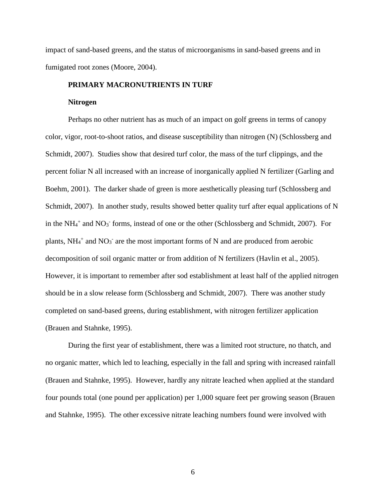impact of sand-based greens, and the status of microorganisms in sand-based greens and in fumigated root zones (Moore, 2004).

## <span id="page-17-0"></span>**PRIMARY MACRONUTRIENTS IN TURF**

#### **Nitrogen**

<span id="page-17-1"></span>Perhaps no other nutrient has as much of an impact on golf greens in terms of canopy color, vigor, root-to-shoot ratios, and disease susceptibility than nitrogen (N) (Schlossberg and Schmidt, 2007). Studies show that desired turf color, the mass of the turf clippings, and the percent foliar N all increased with an increase of inorganically applied N fertilizer (Garling and Boehm, 2001). The darker shade of green is more aesthetically pleasing turf (Schlossberg and Schmidt, 2007). In another study, results showed better quality turf after equal applications of N in the  $NH_4$ <sup>+</sup> and  $NO_3$ <sup>-</sup> forms, instead of one or the other (Schlossberg and Schmidt, 2007). For plants,  $NH_4^+$  and  $NO_3^-$  are the most important forms of N and are produced from aerobic decomposition of soil organic matter or from addition of N fertilizers (Havlin et al., 2005). However, it is important to remember after sod establishment at least half of the applied nitrogen should be in a slow release form (Schlossberg and Schmidt, 2007). There was another study completed on sand-based greens, during establishment, with nitrogen fertilizer application (Brauen and Stahnke, 1995).

During the first year of establishment, there was a limited root structure, no thatch, and no organic matter, which led to leaching, especially in the fall and spring with increased rainfall (Brauen and Stahnke, 1995). However, hardly any nitrate leached when applied at the standard four pounds total (one pound per application) per 1,000 square feet per growing season (Brauen and Stahnke, 1995). The other excessive nitrate leaching numbers found were involved with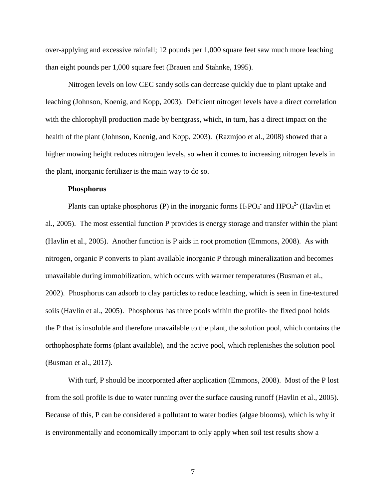over-applying and excessive rainfall; 12 pounds per 1,000 square feet saw much more leaching than eight pounds per 1,000 square feet (Brauen and Stahnke, 1995).

Nitrogen levels on low CEC sandy soils can decrease quickly due to plant uptake and leaching (Johnson, Koenig, and Kopp, 2003). Deficient nitrogen levels have a direct correlation with the chlorophyll production made by bentgrass, which, in turn, has a direct impact on the health of the plant (Johnson, Koenig, and Kopp, 2003). (Razmjoo et al., 2008) showed that a higher mowing height reduces nitrogen levels, so when it comes to increasing nitrogen levels in the plant, inorganic fertilizer is the main way to do so.

#### **Phosphorus**

<span id="page-18-0"></span>Plants can uptake phosphorus (P) in the inorganic forms  $H_2PO_4$  and  $HPO_4^2$  (Havlin et al., 2005). The most essential function P provides is energy storage and transfer within the plant (Havlin et al., 2005). Another function is P aids in root promotion (Emmons, 2008). As with nitrogen, organic P converts to plant available inorganic P through mineralization and becomes unavailable during immobilization, which occurs with warmer temperatures (Busman et al., 2002). Phosphorus can adsorb to clay particles to reduce leaching, which is seen in fine-textured soils (Havlin et al., 2005). Phosphorus has three pools within the profile- the fixed pool holds the P that is insoluble and therefore unavailable to the plant, the solution pool, which contains the orthophosphate forms (plant available), and the active pool, which replenishes the solution pool (Busman et al., 2017).

With turf, P should be incorporated after application (Emmons, 2008). Most of the P lost from the soil profile is due to water running over the surface causing runoff (Havlin et al., 2005). Because of this, P can be considered a pollutant to water bodies (algae blooms), which is why it is environmentally and economically important to only apply when soil test results show a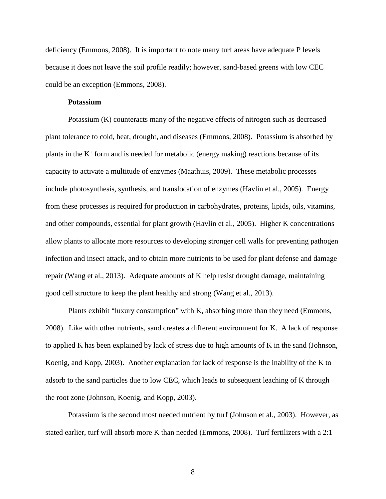deficiency (Emmons, 2008). It is important to note many turf areas have adequate P levels because it does not leave the soil profile readily; however, sand-based greens with low CEC could be an exception (Emmons, 2008).

### **Potassium**

<span id="page-19-0"></span>Potassium (K) counteracts many of the negative effects of nitrogen such as decreased plant tolerance to cold, heat, drought, and diseases (Emmons, 2008). Potassium is absorbed by plants in the  $K^+$  form and is needed for metabolic (energy making) reactions because of its capacity to activate a multitude of enzymes (Maathuis, 2009). These metabolic processes include photosynthesis, synthesis, and translocation of enzymes (Havlin et al., 2005). Energy from these processes is required for production in carbohydrates, proteins, lipids, oils, vitamins, and other compounds, essential for plant growth (Havlin et al., 2005). Higher K concentrations allow plants to allocate more resources to developing stronger cell walls for preventing pathogen infection and insect attack, and to obtain more nutrients to be used for plant defense and damage repair (Wang et al., 2013). Adequate amounts of K help resist drought damage, maintaining good cell structure to keep the plant healthy and strong (Wang et al., 2013).

Plants exhibit "luxury consumption" with K, absorbing more than they need (Emmons, 2008). Like with other nutrients, sand creates a different environment for K. A lack of response to applied K has been explained by lack of stress due to high amounts of K in the sand (Johnson, Koenig, and Kopp, 2003). Another explanation for lack of response is the inability of the K to adsorb to the sand particles due to low CEC, which leads to subsequent leaching of K through the root zone (Johnson, Koenig, and Kopp, 2003).

Potassium is the second most needed nutrient by turf (Johnson et al., 2003). However, as stated earlier, turf will absorb more K than needed (Emmons, 2008). Turf fertilizers with a 2:1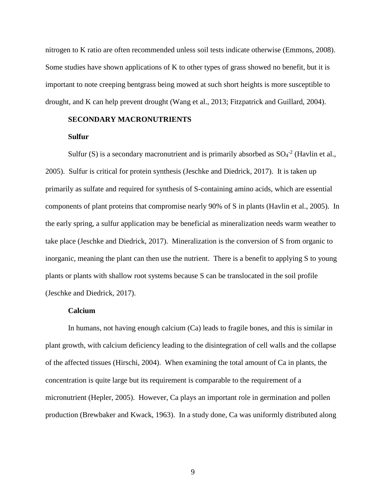nitrogen to K ratio are often recommended unless soil tests indicate otherwise (Emmons, 2008). Some studies have shown applications of K to other types of grass showed no benefit, but it is important to note creeping bentgrass being mowed at such short heights is more susceptible to drought, and K can help prevent drought (Wang et al., 2013; Fitzpatrick and Guillard, 2004).

#### <span id="page-20-0"></span>**SECONDARY MACRONUTRIENTS**

#### **Sulfur**

<span id="page-20-1"></span>Sulfur (S) is a secondary macronutrient and is primarily absorbed as  $SO_4^{-2}$  (Havlin et al., 2005). Sulfur is critical for protein synthesis (Jeschke and Diedrick, 2017). It is taken up primarily as sulfate and required for synthesis of S-containing amino acids, which are essential components of plant proteins that compromise nearly 90% of S in plants (Havlin et al., 2005). In the early spring, a sulfur application may be beneficial as mineralization needs warm weather to take place (Jeschke and Diedrick, 2017). Mineralization is the conversion of S from organic to inorganic, meaning the plant can then use the nutrient. There is a benefit to applying S to young plants or plants with shallow root systems because S can be translocated in the soil profile (Jeschke and Diedrick, 2017).

#### **Calcium**

<span id="page-20-2"></span>In humans, not having enough calcium (Ca) leads to fragile bones, and this is similar in plant growth, with calcium deficiency leading to the disintegration of cell walls and the collapse of the affected tissues (Hirschi, 2004). When examining the total amount of Ca in plants, the concentration is quite large but its requirement is comparable to the requirement of a micronutrient (Hepler, 2005). However, Ca plays an important role in germination and pollen production (Brewbaker and Kwack, 1963). In a study done, Ca was uniformly distributed along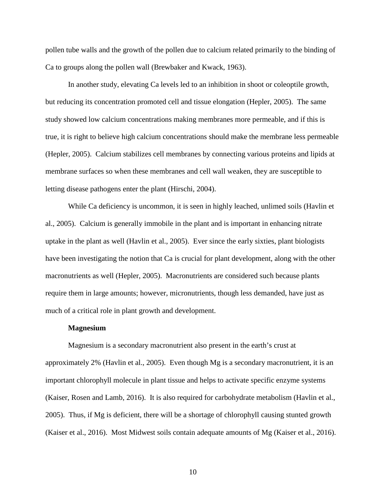pollen tube walls and the growth of the pollen due to calcium related primarily to the binding of Ca to groups along the pollen wall (Brewbaker and Kwack, 1963).

In another study, elevating Ca levels led to an inhibition in shoot or coleoptile growth, but reducing its concentration promoted cell and tissue elongation (Hepler, 2005). The same study showed low calcium concentrations making membranes more permeable, and if this is true, it is right to believe high calcium concentrations should make the membrane less permeable (Hepler, 2005). Calcium stabilizes cell membranes by connecting various proteins and lipids at membrane surfaces so when these membranes and cell wall weaken, they are susceptible to letting disease pathogens enter the plant (Hirschi, 2004).

While Ca deficiency is uncommon, it is seen in highly leached, unlimed soils (Havlin et al., 2005). Calcium is generally immobile in the plant and is important in enhancing nitrate uptake in the plant as well (Havlin et al., 2005). Ever since the early sixties, plant biologists have been investigating the notion that Ca is crucial for plant development, along with the other macronutrients as well (Hepler, 2005). Macronutrients are considered such because plants require them in large amounts; however, micronutrients, though less demanded, have just as much of a critical role in plant growth and development.

#### **Magnesium**

<span id="page-21-0"></span>Magnesium is a secondary macronutrient also present in the earth's crust at approximately 2% (Havlin et al., 2005). Even though Mg is a secondary macronutrient, it is an important chlorophyll molecule in plant tissue and helps to activate specific enzyme systems (Kaiser, Rosen and Lamb, 2016). It is also required for carbohydrate metabolism (Havlin et al., 2005). Thus, if Mg is deficient, there will be a shortage of chlorophyll causing stunted growth (Kaiser et al., 2016). Most Midwest soils contain adequate amounts of Mg (Kaiser et al., 2016).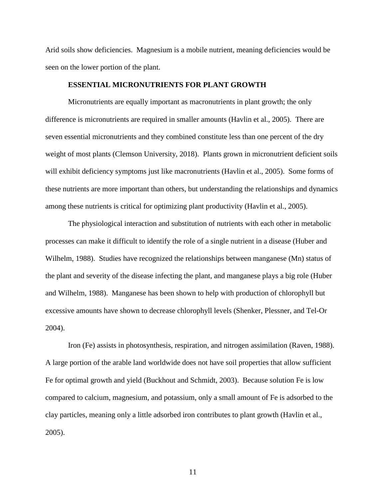Arid soils show deficiencies. Magnesium is a mobile nutrient, meaning deficiencies would be seen on the lower portion of the plant.

#### **ESSENTIAL MICRONUTRIENTS FOR PLANT GROWTH**

<span id="page-22-0"></span>Micronutrients are equally important as macronutrients in plant growth; the only difference is micronutrients are required in smaller amounts (Havlin et al., 2005). There are seven essential micronutrients and they combined constitute less than one percent of the dry weight of most plants (Clemson University, 2018). Plants grown in micronutrient deficient soils will exhibit deficiency symptoms just like macronutrients (Havlin et al., 2005). Some forms of these nutrients are more important than others, but understanding the relationships and dynamics among these nutrients is critical for optimizing plant productivity (Havlin et al., 2005).

The physiological interaction and substitution of nutrients with each other in metabolic processes can make it difficult to identify the role of a single nutrient in a disease (Huber and Wilhelm, 1988). Studies have recognized the relationships between manganese (Mn) status of the plant and severity of the disease infecting the plant, and manganese plays a big role (Huber and Wilhelm, 1988). Manganese has been shown to help with production of chlorophyll but excessive amounts have shown to decrease chlorophyll levels (Shenker, Plessner, and Tel-Or 2004).

Iron (Fe) assists in photosynthesis, respiration, and nitrogen assimilation (Raven, 1988). A large portion of the arable land worldwide does not have soil properties that allow sufficient Fe for optimal growth and yield (Buckhout and Schmidt, 2003). Because solution Fe is low compared to calcium, magnesium, and potassium, only a small amount of Fe is adsorbed to the clay particles, meaning only a little adsorbed iron contributes to plant growth (Havlin et al., 2005).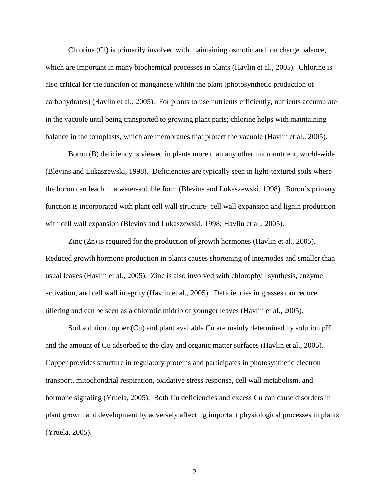Chlorine (Cl) is primarily involved with maintaining osmotic and ion charge balance, which are important in many biochemical processes in plants (Havlin et al., 2005). Chlorine is also critical for the function of manganese within the plant (photosynthetic production of carbohydrates) (Havlin et al., 2005). For plants to use nutrients efficiently, nutrients accumulate in the vacuole until being transported to growing plant parts; chlorine helps with maintaining balance in the tonoplasts, which are membranes that protect the vacuole (Havlin et al., 2005).

Boron (B) deficiency is viewed in plants more than any other micronutrient, world-wide (Blevins and Lukaszewski, 1998). Deficiencies are typically seen in light-textured soils where the boron can leach in a water-soluble form (Blevins and Lukaszewski, 1998). Boron's primary function is incorporated with plant cell wall structure- cell wall expansion and lignin production with cell wall expansion (Blevins and Lukaszewski, 1998; Havlin et al., 2005).

Zinc (Zn) is required for the production of growth hormones (Havlin et al., 2005). Reduced growth hormone production in plants causes shortening of internodes and smaller than usual leaves (Havlin et al., 2005). Zinc is also involved with chlorophyll synthesis, enzyme activation, and cell wall integrity (Havlin et al., 2005). Deficiencies in grasses can reduce tillering and can be seen as a chlorotic midrib of younger leaves (Havlin et al., 2005).

Soil solution copper (Cu) and plant available Cu are mainly determined by solution pH and the amount of Cu adsorbed to the clay and organic matter surfaces (Havlin et al., 2005). Copper provides structure in regulatory proteins and participates in photosynthetic electron transport, mitochondrial respiration, oxidative stress response, cell wall metabolism, and hormone signaling (Yruela, 2005). Both Cu deficiencies and excess Cu can cause disorders in plant growth and development by adversely affecting important physiological processes in plants (Yruela, 2005).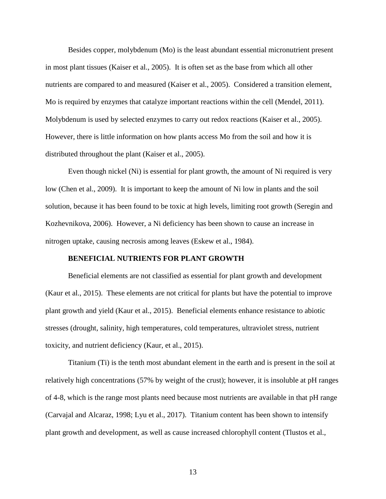Besides copper, molybdenum (Mo) is the least abundant essential micronutrient present in most plant tissues (Kaiser et al., 2005). It is often set as the base from which all other nutrients are compared to and measured (Kaiser et al., 2005). Considered a transition element, Mo is required by enzymes that catalyze important reactions within the cell (Mendel, 2011). Molybdenum is used by selected enzymes to carry out redox reactions (Kaiser et al., 2005). However, there is little information on how plants access Mo from the soil and how it is distributed throughout the plant (Kaiser et al., 2005).

Even though nickel (Ni) is essential for plant growth, the amount of Ni required is very low (Chen et al., 2009). It is important to keep the amount of Ni low in plants and the soil solution, because it has been found to be toxic at high levels, limiting root growth (Seregin and Kozhevnikova, 2006). However, a Ni deficiency has been shown to cause an increase in nitrogen uptake, causing necrosis among leaves (Eskew et al., 1984).

#### **BENEFICIAL NUTRIENTS FOR PLANT GROWTH**

<span id="page-24-0"></span>Beneficial elements are not classified as essential for plant growth and development (Kaur et al., 2015). These elements are not critical for plants but have the potential to improve plant growth and yield (Kaur et al., 2015). Beneficial elements enhance resistance to abiotic stresses (drought, salinity, high temperatures, cold temperatures, ultraviolet stress, nutrient toxicity, and nutrient deficiency (Kaur, et al., 2015).

Titanium (Ti) is the tenth most abundant element in the earth and is present in the soil at relatively high concentrations (57% by weight of the crust); however, it is insoluble at pH ranges of 4-8, which is the range most plants need because most nutrients are available in that pH range (Carvajal and Alcaraz, 1998; Lyu et al., 2017). Titanium content has been shown to intensify plant growth and development, as well as cause increased chlorophyll content (Tlustos et al.,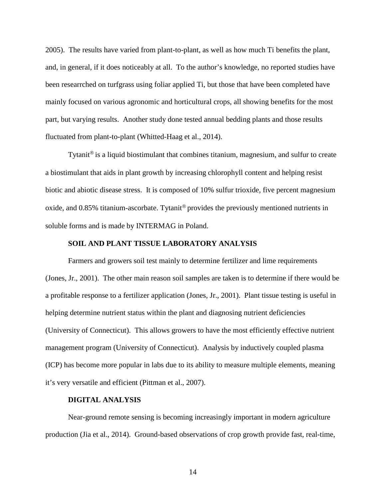2005). The results have varied from plant-to-plant, as well as how much Ti benefits the plant, and, in general, if it does noticeably at all. To the author's knowledge, no reported studies have been researrched on turfgrass using foliar applied Ti, but those that have been completed have mainly focused on various agronomic and horticultural crops, all showing benefits for the most part, but varying results. Another study done tested annual bedding plants and those results fluctuated from plant-to-plant (Whitted-Haag et al., 2014).

Tytanit<sup>®</sup> is a liquid biostimulant that combines titanium, magnesium, and sulfur to create a biostimulant that aids in plant growth by increasing chlorophyll content and helping resist biotic and abiotic disease stress. It is composed of 10% sulfur trioxide, five percent magnesium oxide, and  $0.85\%$  titanium-ascorbate. Tytanit<sup>®</sup> provides the previously mentioned nutrients in soluble forms and is made by INTERMAG in Poland.

#### **SOIL AND PLANT TISSUE LABORATORY ANALYSIS**

<span id="page-25-0"></span>Farmers and growers soil test mainly to determine fertilizer and lime requirements (Jones, Jr., 2001). The other main reason soil samples are taken is to determine if there would be a profitable response to a fertilizer application (Jones, Jr., 2001). Plant tissue testing is useful in helping determine nutrient status within the plant and diagnosing nutrient deficiencies (University of Connecticut). This allows growers to have the most efficiently effective nutrient management program (University of Connecticut). Analysis by inductively coupled plasma (ICP) has become more popular in labs due to its ability to measure multiple elements, meaning it's very versatile and efficient (Pittman et al., 2007).

### **DIGITAL ANALYSIS**

<span id="page-25-1"></span>Near-ground remote sensing is becoming increasingly important in modern agriculture production (Jia et al., 2014). Ground-based observations of crop growth provide fast, real-time,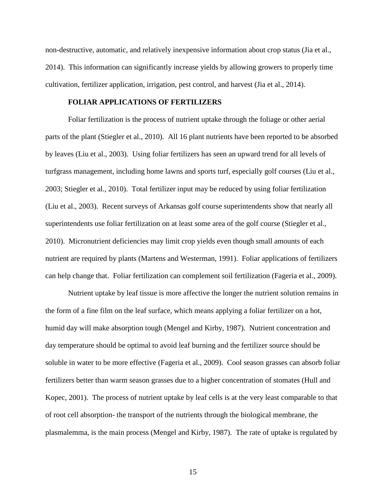non-destructive, automatic, and relatively inexpensive information about crop status (Jia et al., 2014). This information can significantly increase yields by allowing growers to properly time cultivation, fertilizer application, irrigation, pest control, and harvest (Jia et al., 2014).

#### **FOLIAR APPLICATIONS OF FERTILIZERS**

<span id="page-26-0"></span>Foliar fertilization is the process of nutrient uptake through the foliage or other aerial parts of the plant (Stiegler et al., 2010). All 16 plant nutrients have been reported to be absorbed by leaves (Liu et al., 2003). Using foliar fertilizers has seen an upward trend for all levels of turfgrass management, including home lawns and sports turf, especially golf courses (Liu et al., 2003; Stiegler et al., 2010). Total fertilizer input may be reduced by using foliar fertilization (Liu et al., 2003). Recent surveys of Arkansas golf course superintendents show that nearly all superintendents use foliar fertilization on at least some area of the golf course (Stiegler et al., 2010). Micronutrient deficiencies may limit crop yields even though small amounts of each nutrient are required by plants (Martens and Westerman, 1991). Foliar applications of fertilizers can help change that. Foliar fertilization can complement soil fertilization (Fageria et al., 2009).

Nutrient uptake by leaf tissue is more affective the longer the nutrient solution remains in the form of a fine film on the leaf surface, which means applying a foliar fertilizer on a hot, humid day will make absorption tough (Mengel and Kirby, 1987). Nutrient concentration and day temperature should be optimal to avoid leaf burning and the fertilizer source should be soluble in water to be more effective (Fageria et al., 2009). Cool season grasses can absorb foliar fertilizers better than warm season grasses due to a higher concentration of stomates (Hull and Kopec, 2001). The process of nutrient uptake by leaf cells is at the very least comparable to that of root cell absorption- the transport of the nutrients through the biological membrane, the plasmalemma, is the main process (Mengel and Kirby, 1987). The rate of uptake is regulated by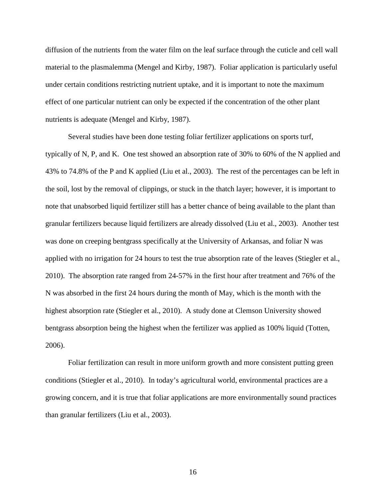diffusion of the nutrients from the water film on the leaf surface through the cuticle and cell wall material to the plasmalemma (Mengel and Kirby, 1987). Foliar application is particularly useful under certain conditions restricting nutrient uptake, and it is important to note the maximum effect of one particular nutrient can only be expected if the concentration of the other plant nutrients is adequate (Mengel and Kirby, 1987).

Several studies have been done testing foliar fertilizer applications on sports turf, typically of N, P, and K. One test showed an absorption rate of 30% to 60% of the N applied and 43% to 74.8% of the P and K applied (Liu et al., 2003). The rest of the percentages can be left in the soil, lost by the removal of clippings, or stuck in the thatch layer; however, it is important to note that unabsorbed liquid fertilizer still has a better chance of being available to the plant than granular fertilizers because liquid fertilizers are already dissolved (Liu et al., 2003). Another test was done on creeping bentgrass specifically at the University of Arkansas, and foliar N was applied with no irrigation for 24 hours to test the true absorption rate of the leaves (Stiegler et al., 2010). The absorption rate ranged from 24-57% in the first hour after treatment and 76% of the N was absorbed in the first 24 hours during the month of May, which is the month with the highest absorption rate (Stiegler et al., 2010). A study done at Clemson University showed bentgrass absorption being the highest when the fertilizer was applied as 100% liquid (Totten, 2006).

Foliar fertilization can result in more uniform growth and more consistent putting green conditions (Stiegler et al., 2010). In today's agricultural world, environmental practices are a growing concern, and it is true that foliar applications are more environmentally sound practices than granular fertilizers (Liu et al., 2003).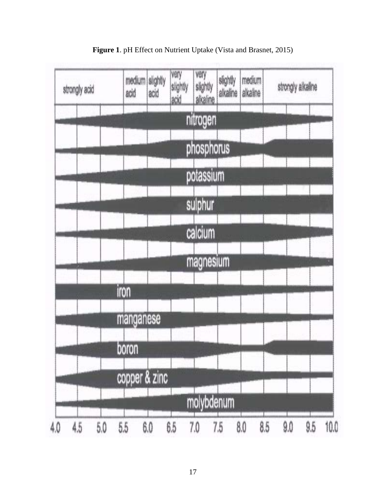<span id="page-28-0"></span>

**Figure 1**. pH Effect on Nutrient Uptake (Vista and Brasnet, 2015)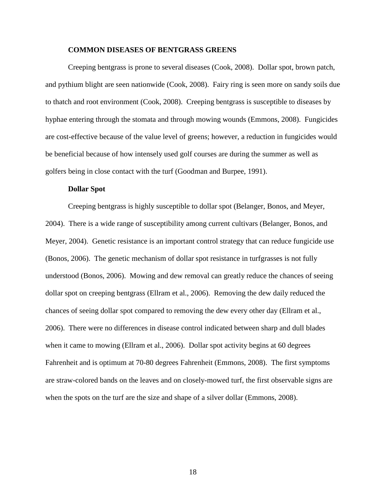#### **COMMON DISEASES OF BENTGRASS GREENS**

<span id="page-29-0"></span>Creeping bentgrass is prone to several diseases (Cook, 2008). Dollar spot, brown patch, and pythium blight are seen nationwide (Cook, 2008). Fairy ring is seen more on sandy soils due to thatch and root environment (Cook, 2008). Creeping bentgrass is susceptible to diseases by hyphae entering through the stomata and through mowing wounds (Emmons, 2008). Fungicides are cost-effective because of the value level of greens; however, a reduction in fungicides would be beneficial because of how intensely used golf courses are during the summer as well as golfers being in close contact with the turf (Goodman and Burpee, 1991).

#### **Dollar Spot**

<span id="page-29-1"></span>Creeping bentgrass is highly susceptible to dollar spot (Belanger, Bonos, and Meyer, 2004). There is a wide range of susceptibility among current cultivars (Belanger, Bonos, and Meyer, 2004). Genetic resistance is an important control strategy that can reduce fungicide use (Bonos, 2006). The genetic mechanism of dollar spot resistance in turfgrasses is not fully understood (Bonos, 2006). Mowing and dew removal can greatly reduce the chances of seeing dollar spot on creeping bentgrass (Ellram et al., 2006). Removing the dew daily reduced the chances of seeing dollar spot compared to removing the dew every other day (Ellram et al., 2006). There were no differences in disease control indicated between sharp and dull blades when it came to mowing (Ellram et al., 2006). Dollar spot activity begins at 60 degrees Fahrenheit and is optimum at 70-80 degrees Fahrenheit (Emmons, 2008). The first symptoms are straw-colored bands on the leaves and on closely-mowed turf, the first observable signs are when the spots on the turf are the size and shape of a silver dollar (Emmons, 2008).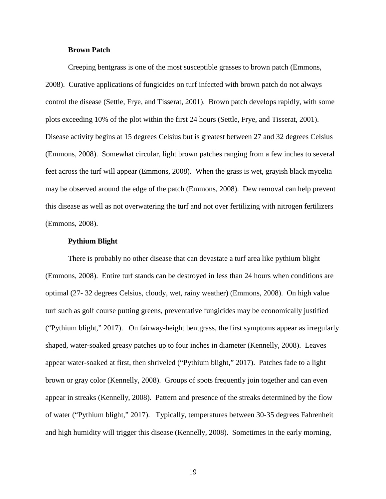#### **Brown Patch**

<span id="page-30-0"></span>Creeping bentgrass is one of the most susceptible grasses to brown patch (Emmons, 2008). Curative applications of fungicides on turf infected with brown patch do not always control the disease (Settle, Frye, and Tisserat, 2001). Brown patch develops rapidly, with some plots exceeding 10% of the plot within the first 24 hours (Settle, Frye, and Tisserat, 2001). Disease activity begins at 15 degrees Celsius but is greatest between 27 and 32 degrees Celsius (Emmons, 2008). Somewhat circular, light brown patches ranging from a few inches to several feet across the turf will appear (Emmons, 2008). When the grass is wet, grayish black mycelia may be observed around the edge of the patch (Emmons, 2008). Dew removal can help prevent this disease as well as not overwatering the turf and not over fertilizing with nitrogen fertilizers (Emmons, 2008).

#### **Pythium Blight**

<span id="page-30-1"></span>There is probably no other disease that can devastate a turf area like pythium blight (Emmons, 2008). Entire turf stands can be destroyed in less than 24 hours when conditions are optimal (27- 32 degrees Celsius, cloudy, wet, rainy weather) (Emmons, 2008). On high value turf such as golf course putting greens, preventative fungicides may be economically justified ("Pythium blight," 2017). On fairway-height bentgrass, the first symptoms appear as irregularly shaped, water-soaked greasy patches up to four inches in diameter (Kennelly, 2008). Leaves appear water-soaked at first, then shriveled ("Pythium blight," 2017). Patches fade to a light brown or gray color (Kennelly, 2008). Groups of spots frequently join together and can even appear in streaks (Kennelly, 2008). Pattern and presence of the streaks determined by the flow of water ("Pythium blight," 2017). Typically, temperatures between 30-35 degrees Fahrenheit and high humidity will trigger this disease (Kennelly, 2008). Sometimes in the early morning,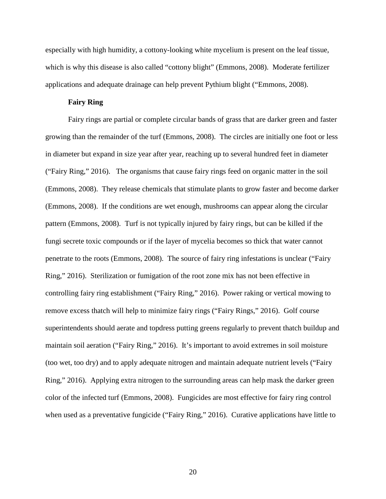especially with high humidity, a cottony-looking white mycelium is present on the leaf tissue, which is why this disease is also called "cottony blight" (Emmons, 2008). Moderate fertilizer applications and adequate drainage can help prevent Pythium blight ("Emmons, 2008).

#### **Fairy Ring**

<span id="page-31-0"></span>Fairy rings are partial or complete circular bands of grass that are darker green and faster growing than the remainder of the turf (Emmons, 2008). The circles are initially one foot or less in diameter but expand in size year after year, reaching up to several hundred feet in diameter ("Fairy Ring," 2016). The organisms that cause fairy rings feed on organic matter in the soil (Emmons, 2008). They release chemicals that stimulate plants to grow faster and become darker (Emmons, 2008). If the conditions are wet enough, mushrooms can appear along the circular pattern (Emmons, 2008). Turf is not typically injured by fairy rings, but can be killed if the fungi secrete toxic compounds or if the layer of mycelia becomes so thick that water cannot penetrate to the roots (Emmons, 2008). The source of fairy ring infestations is unclear ("Fairy Ring," 2016). Sterilization or fumigation of the root zone mix has not been effective in controlling fairy ring establishment ("Fairy Ring," 2016). Power raking or vertical mowing to remove excess thatch will help to minimize fairy rings ("Fairy Rings," 2016). Golf course superintendents should aerate and topdress putting greens regularly to prevent thatch buildup and maintain soil aeration ("Fairy Ring," 2016). It's important to avoid extremes in soil moisture (too wet, too dry) and to apply adequate nitrogen and maintain adequate nutrient levels ("Fairy Ring," 2016). Applying extra nitrogen to the surrounding areas can help mask the darker green color of the infected turf (Emmons, 2008). Fungicides are most effective for fairy ring control when used as a preventative fungicide ("Fairy Ring," 2016). Curative applications have little to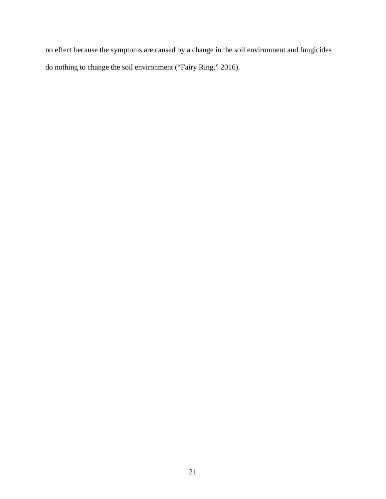no effect because the symptoms are caused by a change in the soil environment and fungicides do nothing to change the soil environment ("Fairy Ring," 2016).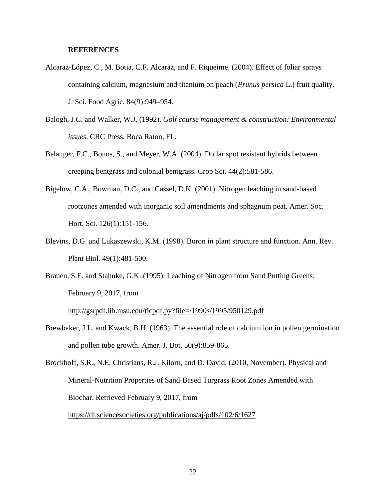#### **REFERENCES**

- <span id="page-33-0"></span>Alcaraz-López, C., M. Botia, C.F. Alcaraz, and F. Riqueime. (2004). Effect of foliar sprays containing calcium, magnesium and titanium on peach (*Prunus persica* L.) fruit quality. J. Sci. Food Agric. 84(9):949–954.
- Balogh, J.C. and Walker, W.J. (1992). *Golf course management & construction: Environmental issues*. CRC Press, Boca Raton, FL.
- Belanger, F.C., Bonos, S., and Meyer, W.A. (2004). Dollar spot resistant hybrids between creeping bentgrass and colonial bentgrass. Crop Sci. 44(2):581-586.
- Bigelow, C.A., Bowman, D.C., and Cassel, D.K. (2001). Nitrogen leaching in sand-based rootzones amended with inorganic soil amendments and sphagnum peat. Amer. Soc. Hort. Sci. 126(1):151-156.
- Blevins, D.G. and Lukaszewski, K.M. (1998). Boron in plant structure and function. Ann. Rev. Plant Biol. 49(1):481-500.
- Brauen, S.E. and Stahnke, G.K. (1995). Leaching of Nitrogen from Sand Putting Greens. February 9, 2017, from

<http://gsrpdf.lib.msu.edu/ticpdf.py?file=/1990s/1995/950129.pdf>

Brewbaker, J.L. and Kwack, B.H. (1963). The essential role of calcium ion in pollen germination and pollen tube growth. Amer. J. Bot. 50(9):859-865.

Brockhoff, S.R., N.E. Christians, R.J. Kilorn, and D. David. (2010, November). Physical and Mineral-Nutrition Properties of Sand-Based Turgrass Root Zones Amended with Biochar. Retrieved February 9, 2017, from <https://dl.sciencesocieties.org/publications/aj/pdfs/102/6/1627>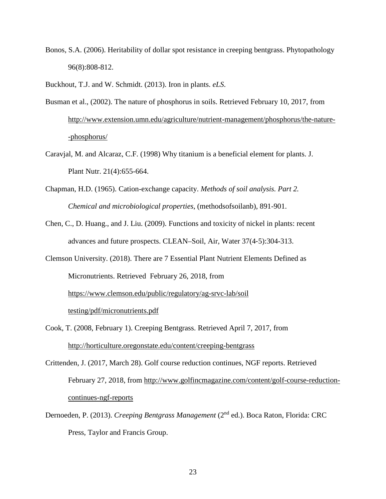Bonos, S.A. (2006). Heritability of dollar spot resistance in creeping bentgrass. Phytopathology 96(8):808-812.

Buckhout, T.J. and W. Schmidt. (2013). Iron in plants. *eLS*.

- Busman et al., (2002). The nature of phosphorus in soils. Retrieved February 10, 2017, from <http://www.extension.umn.edu/agriculture/nutrient-management/phosphorus/the-nature-> -phosphorus/
- Caravjal, M. and Alcaraz, C.F. (1998) Why titanium is a beneficial element for plants. J. Plant Nutr. 21(4):655-664.
- Chapman, H.D. (1965). Cation-exchange capacity. *Methods of soil analysis. Part 2. Chemical and microbiological properties*, (methodsofsoilanb), 891-901.
- Chen, C., D. Huang., and J. Liu. (2009). Functions and toxicity of nickel in plants: recent advances and future prospects. CLEAN–Soil, Air, Water 37(4‐5):304-313.
- Clemson University. (2018). There are 7 Essential Plant Nutrient Elements Defined as Micronutrients. Retrieved February 26, 2018, from <https://www.clemson.edu/public/regulatory/ag-srvc-lab/soil> testing/pdf/micronutrients.pdf
- Cook, T. (2008, February 1). Creeping Bentgrass. Retrieved April 7, 2017, from <http://horticulture.oregonstate.edu/content/creeping-bentgrass>
- Crittenden, J. (2017, March 28). Golf course reduction continues, NGF reports. Retrieved February 27, 2018, from [http://www.golfincmagazine.com/content/golf-course-reduction](http://www.golfincmagazine.com/content/golf-course-reduction-)continues-ngf-reports
- Dernoeden, P. (2013). *Creeping Bentgrass Management* (2nd ed.). Boca Raton, Florida: CRC Press, Taylor and Francis Group.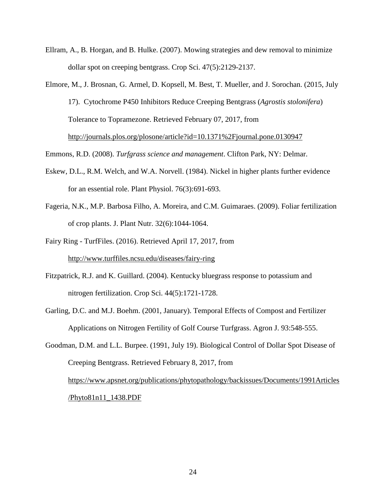- Ellram, A., B. Horgan, and B. Hulke. (2007). Mowing strategies and dew removal to minimize dollar spot on creeping bentgrass. Crop Sci. 47(5):2129-2137.
- Elmore, M., J. Brosnan, G. Armel, D. Kopsell, M. Best, T. Mueller, and J. Sorochan. (2015, July 17). Cytochrome P450 Inhibitors Reduce Creeping Bentgrass (*Agrostis stolonifera*) Tolerance to Topramezone. Retrieved February 07, 2017, from <http://journals.plos.org/plosone/article?id=10.1371%2Fjournal.pone.0130947>

Emmons, R.D. (2008). *Turfgrass science and management*. Clifton Park, NY: Delmar.

- Eskew, D.L., R.M. Welch, and W.A. Norvell. (1984). Nickel in higher plants further evidence for an essential role. Plant Physiol. 76(3):691-693.
- Fageria, N.K., M.P. Barbosa Filho, A. Moreira, and C.M. Guimaraes. (2009). Foliar fertilization of crop plants. J. Plant Nutr. 32(6):1044-1064.
- Fairy Ring TurfFiles. (2016). Retrieved April 17, 2017, from <http://www.turffiles.ncsu.edu/diseases/fairy-ring>
- Fitzpatrick, R.J. and K. Guillard. (2004). Kentucky bluegrass response to potassium and nitrogen fertilization. Crop Sci. 44(5):1721-1728.
- Garling, D.C. and M.J. Boehm. (2001, January). Temporal Effects of Compost and Fertilizer Applications on Nitrogen Fertility of Golf Course Turfgrass. Agron J. 93:548-555.

Goodman, D.M. and L.L. Burpee. (1991, July 19). Biological Control of Dollar Spot Disease of Creeping Bentgrass. Retrieved February 8, 2017, from [https://www.apsnet.org/publications/phytopathology/backissues/Documents/1991Articles](https://www.apsnet.org/publications/phytopathology/backissues/Documents/1991Articles/Phyto81n11_1438.PDF) [/Phyto81n11\\_1438.PDF](https://www.apsnet.org/publications/phytopathology/backissues/Documents/1991Articles/Phyto81n11_1438.PDF)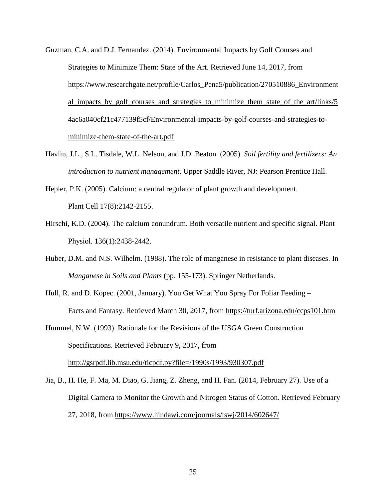- Guzman, C.A. and D.J. Fernandez. (2014). Environmental Impacts by Golf Courses and Strategies to Minimize Them: State of the Art. Retrieved June 14, 2017, from [https://www.researchgate.net/profile/Carlos\\_Pena5/publication/270510886\\_Environment](https://www.researchgate.net/profile/Carlos_Pena5/publication/270510886_Environmental_impacts_by_golf_courses_and_strategies_to_minimize_them_state_of_the_art/links/54ac6a040cf21c477139f5cf/Environmental-impacts-by-golf-courses-and-strategies-to-minimize-them-state-of-the-art.pdf) al impacts by golf courses and strategies to minimize them state of the art/links/5 [4ac6a040cf21c477139f5cf/Environmental-impacts-by-golf-courses-and-strategies-to](https://www.researchgate.net/profile/Carlos_Pena5/publication/270510886_Environmental_impacts_by_golf_courses_and_strategies_to_minimize_them_state_of_the_art/links/54ac6a040cf21c477139f5cf/Environmental-impacts-by-golf-courses-and-strategies-to-minimize-them-state-of-the-art.pdf)[minimize-them-state-of-the-art.pdf](https://www.researchgate.net/profile/Carlos_Pena5/publication/270510886_Environmental_impacts_by_golf_courses_and_strategies_to_minimize_them_state_of_the_art/links/54ac6a040cf21c477139f5cf/Environmental-impacts-by-golf-courses-and-strategies-to-minimize-them-state-of-the-art.pdf)
- Havlin, J.L., S.L. Tisdale, W.L. Nelson, and J.D. Beaton. (2005). *Soil fertility and fertilizers: An introduction to nutrient management*. Upper Saddle River, NJ: Pearson Prentice Hall.
- Hepler, P.K. (2005). Calcium: a central regulator of plant growth and development. Plant Cell 17(8):2142-2155.
- Hirschi, K.D. (2004). The calcium conundrum. Both versatile nutrient and specific signal. Plant Physiol. 136(1):2438-2442.
- Huber, D.M. and N.S. Wilhelm. (1988). The role of manganese in resistance to plant diseases. In *Manganese in Soils and Plants* (pp. 155-173). Springer Netherlands.
- Hull, R. and D. Kopec. (2001, January). You Get What You Spray For Foliar Feeding Facts and Fantasy. Retrieved March 30, 2017, from<https://turf.arizona.edu/ccps101.htm>
- Hummel, N.W. (1993). Rationale for the Revisions of the USGA Green Construction Specifications. Retrieved February 9, 2017, from <http://gsrpdf.lib.msu.edu/ticpdf.py?file=/1990s/1993/930307.pdf>
- Jia, B., H. He, F. Ma, M. Diao, G. Jiang, Z. Zheng, and H. Fan. (2014, February 27). Use of a Digital Camera to Monitor the Growth and Nitrogen Status of Cotton. Retrieved February 27, 2018, from https://www.hindawi.com/journals/tswj/2014/602647/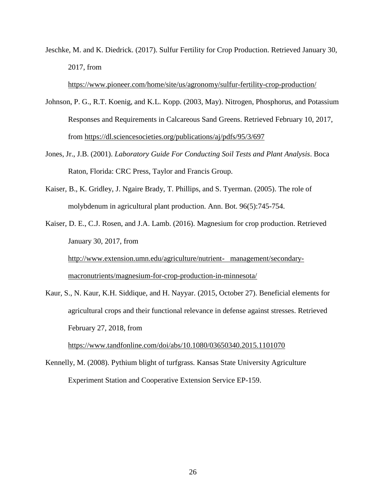Jeschke, M. and K. Diedrick. (2017). Sulfur Fertility for Crop Production. Retrieved January 30, 2017, from

<https://www.pioneer.com/home/site/us/agronomy/sulfur-fertility-crop-production/>

- Johnson, P. G., R.T. Koenig, and K.L. Kopp. (2003, May). Nitrogen, Phosphorus, and Potassium Responses and Requirements in Calcareous Sand Greens. Retrieved February 10, 2017, from <https://dl.sciencesocieties.org/publications/aj/pdfs/95/3/697>
- Jones, Jr., J.B. (2001). *Laboratory Guide For Conducting Soil Tests and Plant Analysis*. Boca Raton, Florida: CRC Press, Taylor and Francis Group.
- Kaiser, B., K. Gridley, J. Ngaire Brady, T. Phillips, and S. Tyerman. (2005). The role of molybdenum in agricultural plant production. Ann. Bot. 96(5):745-754.

Kaiser, D. E., C.J. Rosen, and J.A. Lamb. (2016). Magnesium for crop production. Retrieved January 30, 2017, from

[http://www.extension.umn.edu/agriculture/nutrient- management/secondary](http://www.extension.umn.edu/agriculture/nutrient-%20%20%20management/secondary-macronutrients/magnesium-for-crop-production-in-minnesota/)[macronutrients/magnesium-for-crop-production-in-minnesota/](http://www.extension.umn.edu/agriculture/nutrient-%20%20%20management/secondary-macronutrients/magnesium-for-crop-production-in-minnesota/)

Kaur, S., N. Kaur, K.H. Siddique, and H. Nayyar. (2015, October 27). Beneficial elements for agricultural crops and their functional relevance in defense against stresses. Retrieved February 27, 2018, from

<https://www.tandfonline.com/doi/abs/10.1080/03650340.2015.1101070>

Kennelly, M. (2008). Pythium blight of turfgrass. Kansas State University Agriculture Experiment Station and Cooperative Extension Service EP-159.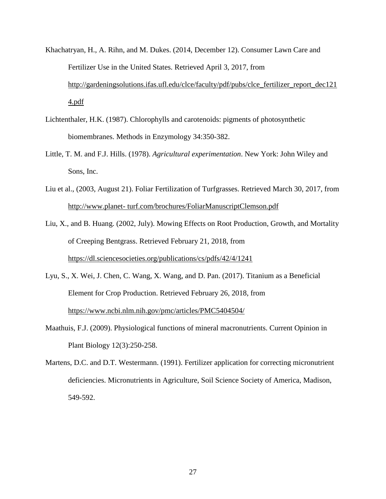- Khachatryan, H., A. Rihn, and M. Dukes. (2014, December 12). Consumer Lawn Care and Fertilizer Use in the United States. Retrieved April 3, 2017, from [http://gardeningsolutions.ifas.ufl.edu/clce/faculty/pdf/pubs/clce\\_fertilizer\\_report\\_dec121](http://gardeningsolutions.ifas.ufl.edu/clce/faculty/pdf/pubs/clce_fertilizer_report_dec121) 4.pdf
- Lichtenthaler, H.K. (1987). Chlorophylls and carotenoids: pigments of photosynthetic biomembranes. Methods in Enzymology 34:350-382.
- Little, T. M. and F.J. Hills. (1978). *Agricultural experimentation*. New York: John Wiley and Sons, Inc.
- Liu et al., (2003, August 21). Foliar Fertilization of Turfgrasses. Retrieved March 30, 2017, from [http://www.planet-](http://www.planet-/) turf.com/brochures/FoliarManuscriptClemson.pdf

Liu, X., and B. Huang. (2002, July). Mowing Effects on Root Production, Growth, and Mortality of Creeping Bentgrass. Retrieved February 21, 2018, from <https://dl.sciencesocieties.org/publications/cs/pdfs/42/4/1241>

- Lyu, S., X. Wei, J. Chen, C. Wang, X. Wang, and D. Pan. (2017). Titanium as a Beneficial Element for Crop Production. Retrieved February 26, 2018, from <https://www.ncbi.nlm.nih.gov/pmc/articles/PMC5404504/>
- Maathuis, F.J. (2009). Physiological functions of mineral macronutrients. Current Opinion in Plant Biology 12(3):250-258.
- Martens, D.C. and D.T. Westermann. (1991). Fertilizer application for correcting micronutrient deficiencies. Micronutrients in Agriculture, Soil Science Society of America, Madison, 549-592.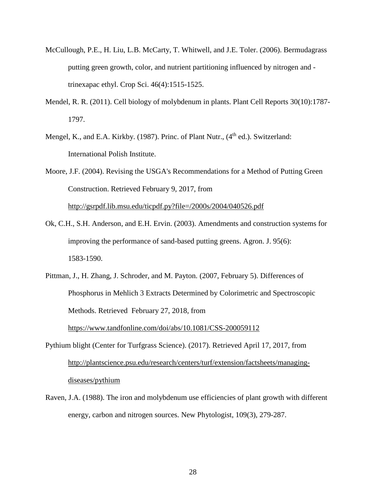- McCullough, P.E., H. Liu, L.B. McCarty, T. Whitwell, and J.E. Toler. (2006). Bermudagrass putting green growth, color, and nutrient partitioning influenced by nitrogen and trinexapac ethyl. Crop Sci. 46(4):1515-1525.
- Mendel, R. R. (2011). Cell biology of molybdenum in plants. Plant Cell Reports 30(10):1787- 1797.
- Mengel, K., and E.A. Kirkby. (1987). Princ. of Plant Nutr., (4<sup>th</sup> ed.). Switzerland: International Polish Institute.
- Moore, J.F. (2004). Revising the USGA's Recommendations for a Method of Putting Green Construction. Retrieved February 9, 2017, from

<http://gsrpdf.lib.msu.edu/ticpdf.py?file=/2000s/2004/040526.pdf>

- Ok, C.H., S.H. Anderson, and E.H. Ervin. (2003). Amendments and construction systems for improving the performance of sand-based putting greens. Agron. J. 95(6): 1583-1590.
- Pittman, J., H. Zhang, J. Schroder, and M. Payton. (2007, February 5). Differences of Phosphorus in Mehlich 3 Extracts Determined by Colorimetric and Spectroscopic Methods. Retrieved February 27, 2018, from <https://www.tandfonline.com/doi/abs/10.1081/CSS-200059112>
- Pythium blight (Center for Turfgrass Science). (2017). Retrieved April 17, 2017, from [http://plantscience.psu.edu/research/centers/turf/extension/factsheets/managing](http://plantscience.psu.edu/research/centers/turf/extension/factsheets/managing-)diseases/pythium
- Raven, J.A. (1988). The iron and molybdenum use efficiencies of plant growth with different energy, carbon and nitrogen sources. New Phytologist, 109(3), 279-287.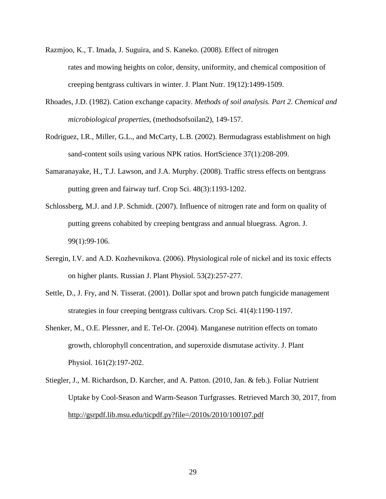- Razmjoo, K., T. Imada, J. Suguira, and S. Kaneko. (2008). Effect of nitrogen rates and mowing heights on color, density, uniformity, and chemical composition of creeping bentgrass cultivars in winter. J. Plant Nutr. 19(12):1499-1509.
- Rhoades, J.D. (1982). Cation exchange capacity. *Methods of soil analysis. Part 2. Chemical and microbiological properties*, (methodsofsoilan2), 149-157.
- Rodriguez, I.R., Miller, G.L., and McCarty, L.B. (2002). Bermudagrass establishment on high sand-content soils using various NPK ratios. HortScience 37(1):208-209.
- Samaranayake, H., T.J. Lawson, and J.A. Murphy. (2008). Traffic stress effects on bentgrass putting green and fairway turf. Crop Sci. 48(3):1193-1202.
- Schlossberg, M.J. and J.P. Schmidt. (2007). Influence of nitrogen rate and form on quality of putting greens cohabited by creeping bentgrass and annual bluegrass. Agron. J. 99(1):99-106.
- Seregin, I.V. and A.D. Kozhevnikova. (2006). Physiological role of nickel and its toxic effects on higher plants. Russian J. Plant Physiol. 53(2):257-277.
- Settle, D., J. Fry, and N. Tisserat. (2001). Dollar spot and brown patch fungicide management strategies in four creeping bentgrass cultivars. Crop Sci. 41(4):1190-1197.
- Shenker, M., O.E. Plessner, and E. Tel-Or. (2004). Manganese nutrition effects on tomato growth, chlorophyll concentration, and superoxide dismutase activity. J. Plant Physiol. 161(2):197-202.
- Stiegler, J., M. Richardson, D. Karcher, and A. Patton. (2010, Jan. & feb.). Foliar Nutrient Uptake by Cool-Season and Warm-Season Turfgrasses. Retrieved March 30, 2017, from <http://gsrpdf.lib.msu.edu/ticpdf.py?file=/2010s/2010/100107.pdf>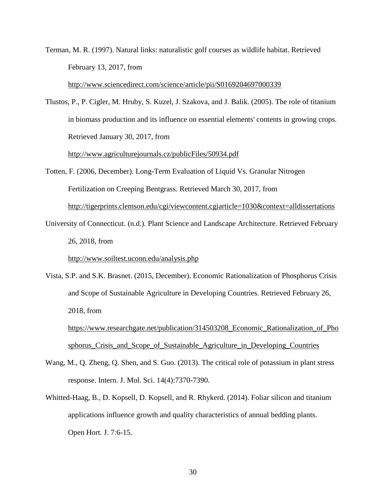Terman, M. R. (1997). Natural links: naturalistic golf courses as wildlife habitat. Retrieved February 13, 2017, from

<http://www.sciencedirect.com/science/article/pii/S0169204697000339>

Tlustos, P., P. Cigler, M. Hruby, S. Kuzel, J. Szakova, and J. Balik. (2005). The role of titanium in biomass production and its influence on essential elements' contents in growing crops. Retrieved January 30, 2017, from

<http://www.agriculturejournals.cz/publicFiles/50934.pdf>

Totten, F. (2006, December). Long-Term Evaluation of Liquid Vs. Granular Nitrogen Fertilization on Creeping Bentgrass. Retrieved March 30, 2017, from http://tigerprints.clemson.edu/cgi/viewcontent.cgiarticle=1030&context=alldissertations

University of Connecticut. (n.d.). Plant Science and Landscape Architecture. Retrieved February 26, 2018, from

<http://www.soiltest.uconn.edu/analysis.php>

Vista, S.P. and S.K. Brasnet. (2015, December). Economic Rationalization of Phosphorus Crisis and Scope of Sustainable Agriculture in Developing Countries. Retrieved February 26, 2018, from [https://www.researchgate.net/publication/314503208\\_Economic\\_Rationalization\\_of\\_Pho](https://www.researchgate.net/publication/314503208_Economic_Rationalization_of_Phosphorus_Crisis_and_Scope_of_Sustainable_Agriculture_in_Developing_Countries)

[sphorus\\_Crisis\\_and\\_Scope\\_of\\_Sustainable\\_Agriculture\\_in\\_Developing\\_Countries](https://www.researchgate.net/publication/314503208_Economic_Rationalization_of_Phosphorus_Crisis_and_Scope_of_Sustainable_Agriculture_in_Developing_Countries)

- Wang, M., Q. Zheng, Q. Shen, and S. Guo. (2013). The critical role of potassium in plant stress response. Intern. J. Mol. Sci. 14(4):7370-7390.
- Whitted-Haag, B., D. Kopsell, D. Kopsell, and R. Rhykerd. (2014). Foliar silicon and titanium applications influence growth and quality characteristics of annual bedding plants. Open Hort. J. 7:6-15.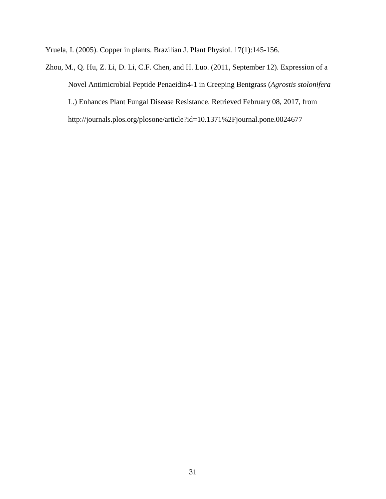Yruela, I. (2005). Copper in plants. Brazilian J. Plant Physiol. 17(1):145-156.

Zhou, M., Q. Hu, Z. Li, D. Li, C.F. Chen, and H. Luo. (2011, September 12). Expression of a Novel Antimicrobial Peptide Penaeidin4-1 in Creeping Bentgrass (*Agrostis stolonifera* L.) Enhances Plant Fungal Disease Resistance. Retrieved February 08, 2017, from <http://journals.plos.org/plosone/article?id=10.1371%2Fjournal.pone.0024677>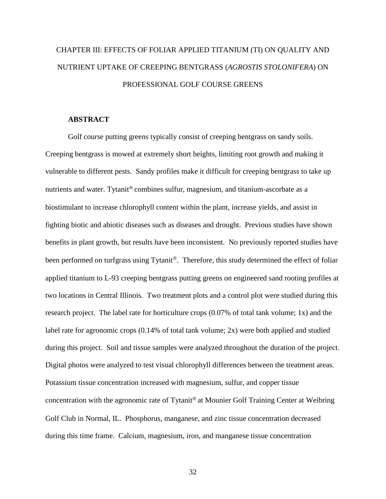# CHAPTER III: EFFECTS OF FOLIAR APPLIED TITANIUM (TI) ON QUALITY AND NUTRIENT UPTAKE OF CREEPING BENTGRASS (*AGROSTIS STOLONIFERA*) ON PROFESSIONAL GOLF COURSE GREENS

# **ABSTRACT**

Golf course putting greens typically consist of creeping bentgrass on sandy soils. Creeping bentgrass is mowed at extremely short heights, limiting root growth and making it vulnerable to different pests. Sandy profiles make it difficult for creeping bentgrass to take up nutrients and water. Tytanit<sup>®</sup> combines sulfur, magnesium, and titanium-ascorbate as a biostimulant to increase chlorophyll content within the plant, increase yields, and assist in fighting biotic and abiotic diseases such as diseases and drought. Previous studies have shown benefits in plant growth, but results have been inconsistent. No previously reported studies have been performed on turfgrass using Tytanit<sup>®</sup>. Therefore, this study determined the effect of foliar applied titanium to L-93 creeping bentgrass putting greens on engineered sand rooting profiles at two locations in Central Illinois. Two treatment plots and a control plot were studied during this research project. The label rate for horticulture crops (0.07% of total tank volume; 1x) and the label rate for agronomic crops (0.14% of total tank volume; 2x) were both applied and studied during this project. Soil and tissue samples were analyzed throughout the duration of the project. Digital photos were analyzed to test visual chlorophyll differences between the treatment areas. Potassium tissue concentration increased with magnesium, sulfur, and copper tissue concentration with the agronomic rate of Tytanit<sup>®</sup> at Mounier Golf Training Center at Weibring Golf Club in Normal, IL. Phosphorus, manganese, and zinc tissue concentration decreased during this time frame. Calcium, magnesium, iron, and manganese tissue concentration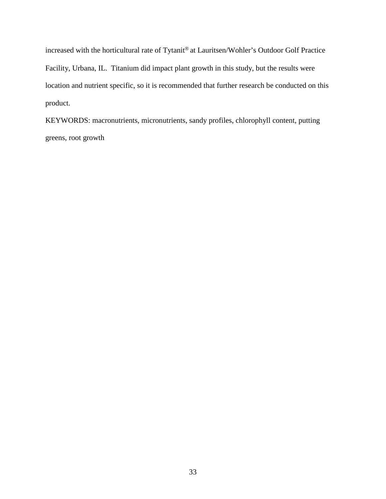increased with the horticultural rate of Tytanit® at Lauritsen/Wohler's Outdoor Golf Practice Facility, Urbana, IL. Titanium did impact plant growth in this study, but the results were location and nutrient specific, so it is recommended that further research be conducted on this product.

KEYWORDS: macronutrients, micronutrients, sandy profiles, chlorophyll content, putting greens, root growth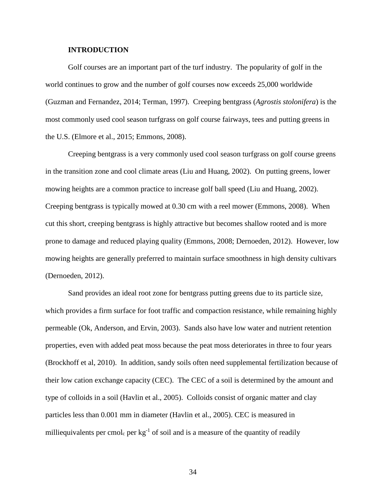#### **INTRODUCTION**

Golf courses are an important part of the turf industry. The popularity of golf in the world continues to grow and the number of golf courses now exceeds 25,000 worldwide (Guzman and Fernandez, 2014; Terman, 1997). Creeping bentgrass (*Agrostis stolonifera*) is the most commonly used cool season turfgrass on golf course fairways, tees and putting greens in the U.S. (Elmore et al., 2015; Emmons, 2008).

Creeping bentgrass is a very commonly used cool season turfgrass on golf course greens in the transition zone and cool climate areas (Liu and Huang, 2002). On putting greens, lower mowing heights are a common practice to increase golf ball speed (Liu and Huang, 2002). Creeping bentgrass is typically mowed at 0.30 cm with a reel mower (Emmons, 2008). When cut this short, creeping bentgrass is highly attractive but becomes shallow rooted and is more prone to damage and reduced playing quality (Emmons, 2008; Dernoeden, 2012). However, low mowing heights are generally preferred to maintain surface smoothness in high density cultivars (Dernoeden, 2012).

Sand provides an ideal root zone for bentgrass putting greens due to its particle size, which provides a firm surface for foot traffic and compaction resistance, while remaining highly permeable (Ok, Anderson, and Ervin, 2003). Sands also have low water and nutrient retention properties, even with added peat moss because the peat moss deteriorates in three to four years (Brockhoff et al, 2010). In addition, sandy soils often need supplemental fertilization because of their low cation exchange capacity (CEC). The CEC of a soil is determined by the amount and type of colloids in a soil (Havlin et al., 2005). Colloids consist of organic matter and clay particles less than 0.001 mm in diameter (Havlin et al., 2005). CEC is measured in milliequivalents per cmol<sub>c</sub> per  $kg^{-1}$  of soil and is a measure of the quantity of readily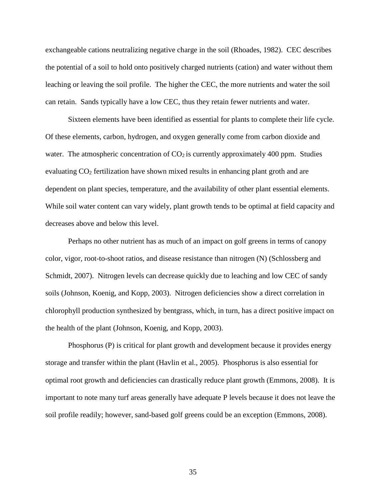exchangeable cations neutralizing negative charge in the soil (Rhoades, 1982). CEC describes the potential of a soil to hold onto positively charged nutrients (cation) and water without them leaching or leaving the soil profile. The higher the CEC, the more nutrients and water the soil can retain. Sands typically have a low CEC, thus they retain fewer nutrients and water.

Sixteen elements have been identified as essential for plants to complete their life cycle. Of these elements, carbon, hydrogen, and oxygen generally come from carbon dioxide and water. The atmospheric concentration of  $CO<sub>2</sub>$  is currently approximately 400 ppm. Studies evaluating CO<sub>2</sub> fertilization have shown mixed results in enhancing plant groth and are dependent on plant species, temperature, and the availability of other plant essential elements. While soil water content can vary widely, plant growth tends to be optimal at field capacity and decreases above and below this level.

Perhaps no other nutrient has as much of an impact on golf greens in terms of canopy color, vigor, root-to-shoot ratios, and disease resistance than nitrogen (N) (Schlossberg and Schmidt, 2007). Nitrogen levels can decrease quickly due to leaching and low CEC of sandy soils (Johnson, Koenig, and Kopp, 2003). Nitrogen deficiencies show a direct correlation in chlorophyll production synthesized by bentgrass, which, in turn, has a direct positive impact on the health of the plant (Johnson, Koenig, and Kopp, 2003).

Phosphorus (P) is critical for plant growth and development because it provides energy storage and transfer within the plant (Havlin et al., 2005). Phosphorus is also essential for optimal root growth and deficiencies can drastically reduce plant growth (Emmons, 2008). It is important to note many turf areas generally have adequate P levels because it does not leave the soil profile readily; however, sand-based golf greens could be an exception (Emmons, 2008).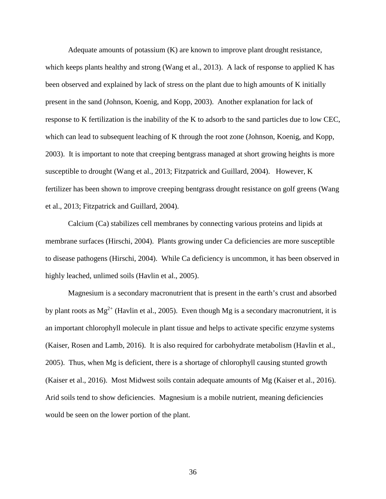Adequate amounts of potassium (K) are known to improve plant drought resistance, which keeps plants healthy and strong (Wang et al., 2013). A lack of response to applied K has been observed and explained by lack of stress on the plant due to high amounts of K initially present in the sand (Johnson, Koenig, and Kopp, 2003). Another explanation for lack of response to K fertilization is the inability of the K to adsorb to the sand particles due to low CEC, which can lead to subsequent leaching of K through the root zone (Johnson, Koenig, and Kopp, 2003). It is important to note that creeping bentgrass managed at short growing heights is more susceptible to drought (Wang et al., 2013; Fitzpatrick and Guillard, 2004). However, K fertilizer has been shown to improve creeping bentgrass drought resistance on golf greens (Wang et al., 2013; Fitzpatrick and Guillard, 2004).

Calcium (Ca) stabilizes cell membranes by connecting various proteins and lipids at membrane surfaces (Hirschi, 2004). Plants growing under Ca deficiencies are more susceptible to disease pathogens (Hirschi, 2004). While Ca deficiency is uncommon, it has been observed in highly leached, unlimed soils (Havlin et al., 2005).

Magnesium is a secondary macronutrient that is present in the earth's crust and absorbed by plant roots as  $Mg^{2+}$  (Havlin et al., 2005). Even though Mg is a secondary macronutrient, it is an important chlorophyll molecule in plant tissue and helps to activate specific enzyme systems (Kaiser, Rosen and Lamb, 2016). It is also required for carbohydrate metabolism (Havlin et al., 2005). Thus, when Mg is deficient, there is a shortage of chlorophyll causing stunted growth (Kaiser et al., 2016). Most Midwest soils contain adequate amounts of Mg (Kaiser et al., 2016). Arid soils tend to show deficiencies. Magnesium is a mobile nutrient, meaning deficiencies would be seen on the lower portion of the plant.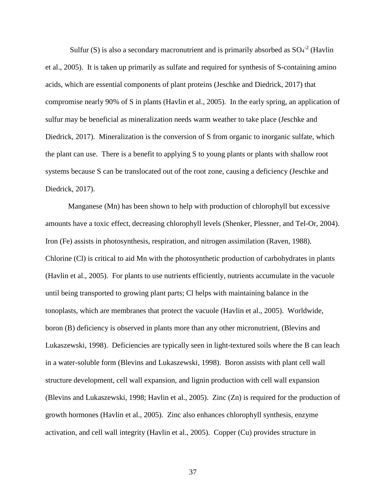Sulfur (S) is also a secondary macronutrient and is primarily absorbed as  $SO_4^{-2}$  (Havlin et al., 2005). It is taken up primarily as sulfate and required for synthesis of S-containing amino acids, which are essential components of plant proteins (Jeschke and Diedrick, 2017) that compromise nearly 90% of S in plants (Havlin et al., 2005). In the early spring, an application of sulfur may be beneficial as mineralization needs warm weather to take place (Jeschke and Diedrick, 2017). Mineralization is the conversion of S from organic to inorganic sulfate, which the plant can use. There is a benefit to applying S to young plants or plants with shallow root systems because S can be translocated out of the root zone, causing a deficiency (Jeschke and Diedrick, 2017).

Manganese (Mn) has been shown to help with production of chlorophyll but excessive amounts have a toxic effect, decreasing chlorophyll levels (Shenker, Plessner, and Tel-Or, 2004). Iron (Fe) assists in photosynthesis, respiration, and nitrogen assimilation (Raven, 1988). Chlorine (Cl) is critical to aid Mn with the photosynthetic production of carbohydrates in plants (Havlin et al., 2005). For plants to use nutrients efficiently, nutrients accumulate in the vacuole until being transported to growing plant parts; Cl helps with maintaining balance in the tonoplasts, which are membranes that protect the vacuole (Havlin et al., 2005). Worldwide, boron (B) deficiency is observed in plants more than any other micronutrient, (Blevins and Lukaszewski, 1998). Deficiencies are typically seen in light-textured soils where the B can leach in a water-soluble form (Blevins and Lukaszewski, 1998). Boron assists with plant cell wall structure development, cell wall expansion, and lignin production with cell wall expansion (Blevins and Lukaszewski, 1998; Havlin et al., 2005). Zinc (Zn) is required for the production of growth hormones (Havlin et al., 2005). Zinc also enhances chlorophyll synthesis, enzyme activation, and cell wall integrity (Havlin et al., 2005). Copper (Cu) provides structure in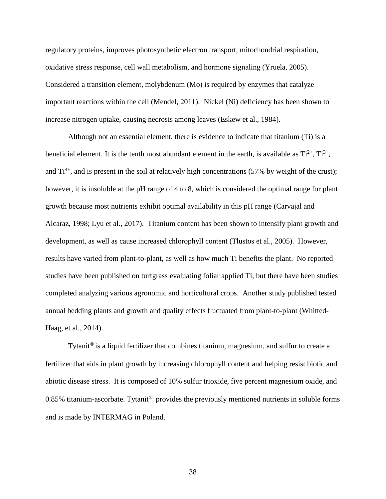regulatory proteins, improves photosynthetic electron transport, mitochondrial respiration, oxidative stress response, cell wall metabolism, and hormone signaling (Yruela, 2005). Considered a transition element, molybdenum (Mo) is required by enzymes that catalyze important reactions within the cell (Mendel, 2011). Nickel (Ni) deficiency has been shown to increase nitrogen uptake, causing necrosis among leaves (Eskew et al., 1984).

Although not an essential element, there is evidence to indicate that titanium (Ti) is a beneficial element. It is the tenth most abundant element in the earth, is available as  $Ti^{2+}$ ,  $Ti^{3+}$ , and  $Ti^{4+}$ , and is present in the soil at relatively high concentrations (57% by weight of the crust); however, it is insoluble at the pH range of 4 to 8, which is considered the optimal range for plant growth because most nutrients exhibit optimal availability in this pH range (Carvajal and Alcaraz, 1998; Lyu et al., 2017). Titanium content has been shown to intensify plant growth and development, as well as cause increased chlorophyll content (Tlustos et al., 2005). However, results have varied from plant-to-plant, as well as how much Ti benefits the plant. No reported studies have been published on turfgrass evaluating foliar applied Ti, but there have been studies completed analyzing various agronomic and horticultural crops. Another study published tested annual bedding plants and growth and quality effects fluctuated from plant-to-plant (Whitted-Haag, et al., 2014).

Tytanit<sup>®</sup> is a liquid fertilizer that combines titanium, magnesium, and sulfur to create a fertilizer that aids in plant growth by increasing chlorophyll content and helping resist biotic and abiotic disease stress. It is composed of 10% sulfur trioxide, five percent magnesium oxide, and 0.85% titanium-ascorbate. Tytanit<sup>®</sup> provides the previously mentioned nutrients in soluble forms and is made by INTERMAG in Poland.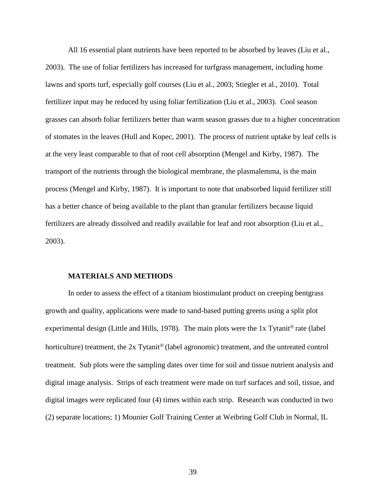All 16 essential plant nutrients have been reported to be absorbed by leaves (Liu et al., 2003). The use of foliar fertilizers has increased for turfgrass management, including home lawns and sports turf, especially golf courses (Liu et al., 2003; Stiegler et al., 2010). Total fertilizer input may be reduced by using foliar fertilization (Liu et al., 2003). Cool season grasses can absorb foliar fertilizers better than warm season grasses due to a higher concentration of stomates in the leaves (Hull and Kopec, 2001). The process of nutrient uptake by leaf cells is at the very least comparable to that of root cell absorption (Mengel and Kirby, 1987). The transport of the nutrients through the biological membrane, the plasmalemma, is the main process (Mengel and Kirby, 1987). It is important to note that unabsorbed liquid fertilizer still has a better chance of being available to the plant than granular fertilizers because liquid fertilizers are already dissolved and readily available for leaf and root absorption (Liu et al., 2003).

#### **MATERIALS AND METHODS**

In order to assess the effect of a titanium biostimulant product on creeping bentgrass growth and quality, applications were made to sand-based putting greens using a split plot experimental design (Little and Hills, 1978). The main plots were the 1x Tytanit<sup>®</sup> rate (label horticulture) treatment, the  $2x$  Tytanit<sup>®</sup> (label agronomic) treatment, and the untreated control treatment. Sub plots were the sampling dates over time for soil and tissue nutrient analysis and digital image analysis. Strips of each treatment were made on turf surfaces and soil, tissue, and digital images were replicated four (4) times within each strip. Research was conducted in two (2) separate locations; 1) Mounier Golf Training Center at Weibring Golf Club in Normal, IL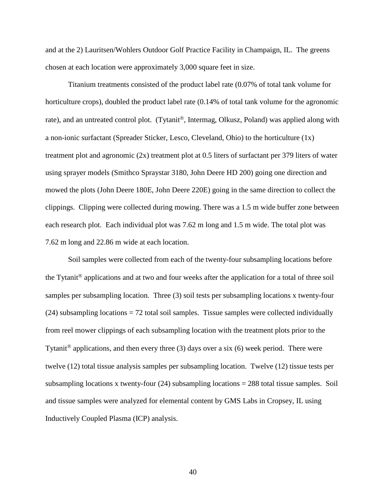and at the 2) Lauritsen/Wohlers Outdoor Golf Practice Facility in Champaign, IL. The greens chosen at each location were approximately 3,000 square feet in size.

Titanium treatments consisted of the product label rate (0.07% of total tank volume for horticulture crops), doubled the product label rate (0.14% of total tank volume for the agronomic rate), and an untreated control plot. (Tytanit<sup>®</sup>, Intermag, Olkusz, Poland) was applied along with a non-ionic surfactant (Spreader Sticker, Lesco, Cleveland, Ohio) to the horticulture (1x) treatment plot and agronomic (2x) treatment plot at 0.5 liters of surfactant per 379 liters of water using sprayer models (Smithco Spraystar 3180, John Deere HD 200) going one direction and mowed the plots (John Deere 180E, John Deere 220E) going in the same direction to collect the clippings. Clipping were collected during mowing. There was a 1.5 m wide buffer zone between each research plot. Each individual plot was 7.62 m long and 1.5 m wide. The total plot was 7.62 m long and 22.86 m wide at each location.

Soil samples were collected from each of the twenty-four subsampling locations before the Tytanit<sup>®</sup> applications and at two and four weeks after the application for a total of three soil samples per subsampling location. Three (3) soil tests per subsampling locations x twenty-four (24) subsampling locations = 72 total soil samples. Tissue samples were collected individually from reel mower clippings of each subsampling location with the treatment plots prior to the Tytanit<sup>®</sup> applications, and then every three (3) days over a six (6) week period. There were twelve (12) total tissue analysis samples per subsampling location. Twelve (12) tissue tests per subsampling locations x twenty-four (24) subsampling locations = 288 total tissue samples. Soil and tissue samples were analyzed for elemental content by GMS Labs in Cropsey, IL using Inductively Coupled Plasma (ICP) analysis.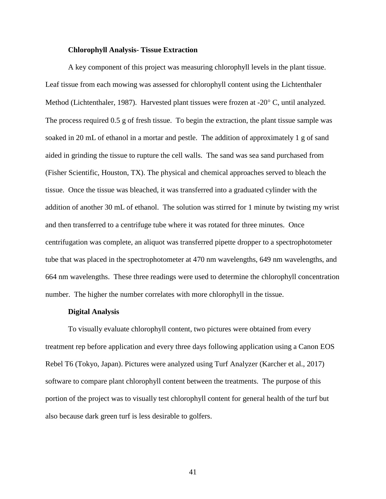### **Chlorophyll Analysis- Tissue Extraction**

A key component of this project was measuring chlorophyll levels in the plant tissue. Leaf tissue from each mowing was assessed for chlorophyll content using the Lichtenthaler Method (Lichtenthaler, 1987). Harvested plant tissues were frozen at -20° C, until analyzed. The process required 0.5 g of fresh tissue. To begin the extraction, the plant tissue sample was soaked in 20 mL of ethanol in a mortar and pestle. The addition of approximately 1 g of sand aided in grinding the tissue to rupture the cell walls. The sand was sea sand purchased from (Fisher Scientific, Houston, TX). The physical and chemical approaches served to bleach the tissue. Once the tissue was bleached, it was transferred into a graduated cylinder with the addition of another 30 mL of ethanol. The solution was stirred for 1 minute by twisting my wrist and then transferred to a centrifuge tube where it was rotated for three minutes. Once centrifugation was complete, an aliquot was transferred pipette dropper to a spectrophotometer tube that was placed in the spectrophotometer at 470 nm wavelengths, 649 nm wavelengths, and 664 nm wavelengths. These three readings were used to determine the chlorophyll concentration number. The higher the number correlates with more chlorophyll in the tissue.

#### **Digital Analysis**

To visually evaluate chlorophyll content, two pictures were obtained from every treatment rep before application and every three days following application using a Canon EOS Rebel T6 (Tokyo, Japan). Pictures were analyzed using Turf Analyzer (Karcher et al., 2017) software to compare plant chlorophyll content between the treatments. The purpose of this portion of the project was to visually test chlorophyll content for general health of the turf but also because dark green turf is less desirable to golfers.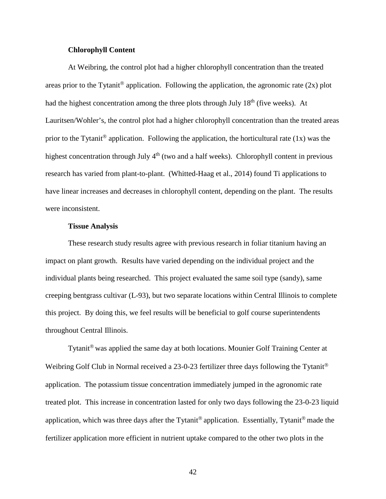## **Chlorophyll Content**

At Weibring, the control plot had a higher chlorophyll concentration than the treated areas prior to the Tytanit<sup>®</sup> application. Following the application, the agronomic rate (2x) plot had the highest concentration among the three plots through July  $18<sup>th</sup>$  (five weeks). At Lauritsen/Wohler's, the control plot had a higher chlorophyll concentration than the treated areas prior to the Tytanit<sup>®</sup> application. Following the application, the horticultural rate (1x) was the highest concentration through July 4<sup>th</sup> (two and a half weeks). Chlorophyll content in previous research has varied from plant-to-plant. (Whitted-Haag et al., 2014) found Ti applications to have linear increases and decreases in chlorophyll content, depending on the plant. The results were inconsistent.

### **Tissue Analysis**

These research study results agree with previous research in foliar titanium having an impact on plant growth. Results have varied depending on the individual project and the individual plants being researched. This project evaluated the same soil type (sandy), same creeping bentgrass cultivar (L-93), but two separate locations within Central Illinois to complete this project. By doing this, we feel results will be beneficial to golf course superintendents throughout Central Illinois.

Tytanit<sup>®</sup> was applied the same day at both locations. Mounier Golf Training Center at Weibring Golf Club in Normal received a 23-0-23 fertilizer three days following the Tytanit<sup>®</sup> application. The potassium tissue concentration immediately jumped in the agronomic rate treated plot. This increase in concentration lasted for only two days following the 23-0-23 liquid application, which was three days after the Tytanit<sup>®</sup> application. Essentially, Tytanit<sup>®</sup> made the fertilizer application more efficient in nutrient uptake compared to the other two plots in the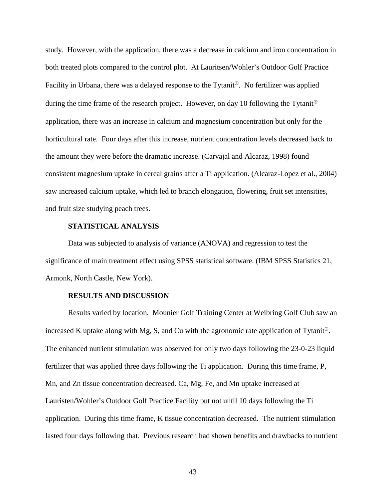study. However, with the application, there was a decrease in calcium and iron concentration in both treated plots compared to the control plot. At Lauritsen/Wohler's Outdoor Golf Practice Facility in Urbana, there was a delayed response to the Tytanit<sup>®</sup>. No fertilizer was applied during the time frame of the research project. However, on day 10 following the Tytanit<sup>®</sup> application, there was an increase in calcium and magnesium concentration but only for the horticultural rate. Four days after this increase, nutrient concentration levels decreased back to the amount they were before the dramatic increase. (Carvajal and Alcaraz, 1998) found consistent magnesium uptake in cereal grains after a Ti application. (Alcaraz-Lopez et al., 2004) saw increased calcium uptake, which led to branch elongation, flowering, fruit set intensities, and fruit size studying peach trees.

# **STATISTICAL ANALYSIS**

Data was subjected to analysis of variance (ANOVA) and regression to test the significance of main treatment effect using SPSS statistical software. (IBM SPSS Statistics 21, Armonk, North Castle, New York).

## **RESULTS AND DISCUSSION**

Results varied by location. Mounier Golf Training Center at Weibring Golf Club saw an increased K uptake along with Mg, S, and Cu with the agronomic rate application of Tytanit<sup>®</sup>. The enhanced nutrient stimulation was observed for only two days following the 23-0-23 liquid fertilizer that was applied three days following the Ti application. During this time frame, P, Mn, and Zn tissue concentration decreased. Ca, Mg, Fe, and Mn uptake increased at Lauristen/Wohler's Outdoor Golf Practice Facility but not until 10 days following the Ti application. During this time frame, K tissue concentration decreased. The nutrient stimulation lasted four days following that. Previous research had shown benefits and drawbacks to nutrient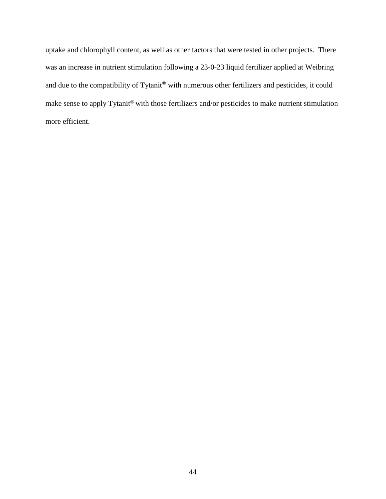uptake and chlorophyll content, as well as other factors that were tested in other projects. There was an increase in nutrient stimulation following a 23-0-23 liquid fertilizer applied at Weibring and due to the compatibility of Tytanit® with numerous other fertilizers and pesticides, it could make sense to apply Tytanit® with those fertilizers and/or pesticides to make nutrient stimulation more efficient.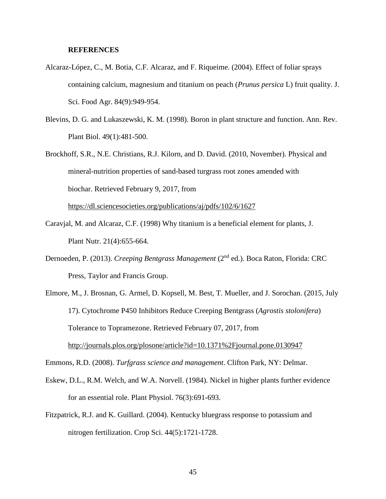#### **REFERENCES**

- Alcaraz-López, C., M. Botia, C.F. Alcaraz, and F. Riqueime. (2004). Effect of foliar sprays containing calcium, magnesium and titanium on peach (*Prunus persica* L) fruit quality. J. Sci. Food Agr. 84(9):949-954.
- Blevins, D. G. and Lukaszewski, K. M. (1998). Boron in plant structure and function. Ann. Rev. Plant Biol. 49(1):481-500.
- Brockhoff, S.R., N.E. Christians, R.J. Kilorn, and D. David. (2010, November). Physical and mineral-nutrition properties of sand-based turgrass root zones amended with biochar. Retrieved February 9, 2017, from <https://dl.sciencesocieties.org/publications/aj/pdfs/102/6/1627>

Caravjal, M. and Alcaraz, C.F. (1998) Why titanium is a beneficial element for plants, J.

Plant Nutr. 21(4):655-664.

- Dernoeden, P. (2013). *Creeping Bentgrass Management* (2nd ed.). Boca Raton, Florida: CRC Press, Taylor and Francis Group.
- Elmore, M., J. Brosnan, G. Armel, D. Kopsell, M. Best, T. Mueller, and J. Sorochan. (2015, July 17). Cytochrome P450 Inhibitors Reduce Creeping Bentgrass (*Agrostis stolonifera*) Tolerance to Topramezone. Retrieved February 07, 2017, from <http://journals.plos.org/plosone/article?id=10.1371%2Fjournal.pone.0130947>

Emmons, R.D. (2008). *Turfgrass science and management*. Clifton Park, NY: Delmar.

- Eskew, D.L., R.M. Welch, and W.A. Norvell. (1984). Nickel in higher plants further evidence for an essential role. Plant Physiol. 76(3):691-693.
- Fitzpatrick, R.J. and K. Guillard. (2004). Kentucky bluegrass response to potassium and nitrogen fertilization. Crop Sci. 44(5):1721-1728.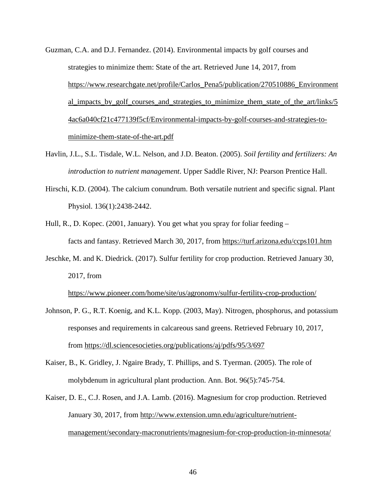- Guzman, C.A. and D.J. Fernandez. (2014). Environmental impacts by golf courses and strategies to minimize them: State of the art. Retrieved June 14, 2017, from [https://www.researchgate.net/profile/Carlos\\_Pena5/publication/270510886\\_Environment](https://www.researchgate.net/profile/Carlos_Pena5/publication/270510886_Environmental_impacts_by_golf_courses_and_strategies_to_minimize_them_state_of_the_art/links/54ac6a040cf21c477139f5cf/Environmental-impacts-by-golf-courses-and-strategies-to-minimize-them-state-of-the-art.pdf) al impacts by golf courses and strategies to minimize them state of the art/links/5 [4ac6a040cf21c477139f5cf/Environmental-impacts-by-golf-courses-and-strategies-to](https://www.researchgate.net/profile/Carlos_Pena5/publication/270510886_Environmental_impacts_by_golf_courses_and_strategies_to_minimize_them_state_of_the_art/links/54ac6a040cf21c477139f5cf/Environmental-impacts-by-golf-courses-and-strategies-to-minimize-them-state-of-the-art.pdf)[minimize-them-state-of-the-art.pdf](https://www.researchgate.net/profile/Carlos_Pena5/publication/270510886_Environmental_impacts_by_golf_courses_and_strategies_to_minimize_them_state_of_the_art/links/54ac6a040cf21c477139f5cf/Environmental-impacts-by-golf-courses-and-strategies-to-minimize-them-state-of-the-art.pdf)
- Havlin, J.L., S.L. Tisdale, W.L. Nelson, and J.D. Beaton. (2005). *Soil fertility and fertilizers: An introduction to nutrient management*. Upper Saddle River, NJ: Pearson Prentice Hall.
- Hirschi, K.D. (2004). The calcium conundrum. Both versatile nutrient and specific signal. Plant Physiol. 136(1):2438-2442.
- Hull, R., D. Kopec. (2001, January). You get what you spray for foliar feeding facts and fantasy. Retrieved March 30, 2017, from<https://turf.arizona.edu/ccps101.htm>
- Jeschke, M. and K. Diedrick. (2017). Sulfur fertility for crop production. Retrieved January 30, 2017, from

<https://www.pioneer.com/home/site/us/agronomy/sulfur-fertility-crop-production/>

- Johnson, P. G., R.T. Koenig, and K.L. Kopp. (2003, May). Nitrogen, phosphorus, and potassium responses and requirements in calcareous sand greens. Retrieved February 10, 2017, from<https://dl.sciencesocieties.org/publications/aj/pdfs/95/3/697>
- Kaiser, B., K. Gridley, J. Ngaire Brady, T. Phillips, and S. Tyerman. (2005). The role of molybdenum in agricultural plant production. Ann. Bot. 96(5):745-754.
- Kaiser, D. E., C.J. Rosen, and J.A. Lamb. (2016). Magnesium for crop production. Retrieved January 30, 2017, from [http://www.extension.umn.edu/agriculture/nutrient](http://www.extension.umn.edu/agriculture/nutrient-%20%20%20management/secondary-macronutrients/magnesium-for-crop-production-in-minnesota/)[management/secondary-macronutrients/magnesium-for-crop-production-in-minnesota/](http://www.extension.umn.edu/agriculture/nutrient-%20%20%20management/secondary-macronutrients/magnesium-for-crop-production-in-minnesota/)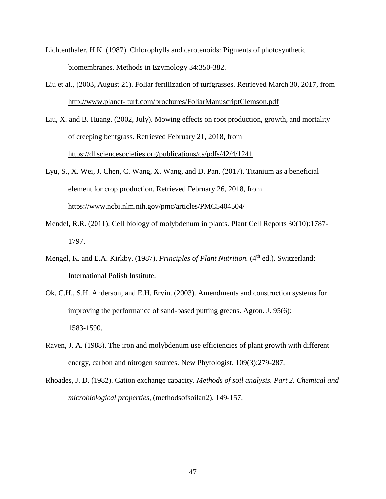- Lichtenthaler, H.K. (1987). Chlorophylls and carotenoids: Pigments of photosynthetic biomembranes. Methods in Ezymology 34:350-382.
- Liu et al., (2003, August 21). Foliar fertilization of turfgrasses. Retrieved March 30, 2017, from [http://www.planet-](http://www.planet-/) turf.com/brochures/FoliarManuscriptClemson.pdf
- Liu, X. and B. Huang. (2002, July). Mowing effects on root production, growth, and mortality of creeping bentgrass. Retrieved February 21, 2018, from <https://dl.sciencesocieties.org/publications/cs/pdfs/42/4/1241>
- Lyu, S., X. Wei, J. Chen, C. Wang, X. Wang, and D. Pan. (2017). Titanium as a beneficial element for crop production. Retrieved February 26, 2018, from <https://www.ncbi.nlm.nih.gov/pmc/articles/PMC5404504/>
- Mendel, R.R. (2011). Cell biology of molybdenum in plants. Plant Cell Reports 30(10):1787- 1797.
- Mengel, K. and E.A. Kirkby. (1987). *Principles of Plant Nutrition*. (4<sup>th</sup> ed.). Switzerland: International Polish Institute.
- Ok, C.H., S.H. Anderson, and E.H. Ervin. (2003). Amendments and construction systems for improving the performance of sand-based putting greens. Agron. J. 95(6): 1583-1590.
- Raven, J. A. (1988). The iron and molybdenum use efficiencies of plant growth with different energy, carbon and nitrogen sources. New Phytologist. 109(3):279-287.
- Rhoades, J. D. (1982). Cation exchange capacity. *Methods of soil analysis. Part 2. Chemical and microbiological properties*, (methodsofsoilan2), 149-157.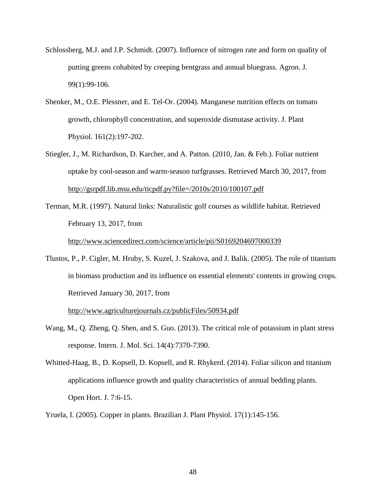- Schlossberg, M.J. and J.P. Schmidt. (2007). Influence of nitrogen rate and form on quality of putting greens cohabited by creeping bentgrass and annual bluegrass. Agron. J. 99(1):99-106.
- Shenker, M., O.E. Plessner, and E. Tel-Or. (2004). Manganese nutrition effects on tomato growth, chlorophyll concentration, and superoxide dismutase activity. J. Plant Physiol. 161(2):197-202.
- Stiegler, J., M. Richardson, D. Karcher, and A. Patton. (2010, Jan. & Feb.). Foliar nutrient uptake by cool-season and warm-season turfgrasses. Retrieved March 30, 2017, from <http://gsrpdf.lib.msu.edu/ticpdf.py?file=/2010s/2010/100107.pdf>
- Terman, M.R. (1997). Natural links: Naturalistic golf courses as wildlife habitat. Retrieved February 13, 2017, from

<http://www.sciencedirect.com/science/article/pii/S0169204697000339>

Tlustos, P., P. Cigler, M. Hruby, S. Kuzel, J. Szakova, and J. Balik. (2005). The role of titanium in biomass production and its influence on essential elements' contents in growing crops. Retrieved January 30, 2017, from

<http://www.agriculturejournals.cz/publicFiles/50934.pdf>

- Wang, M., Q. Zheng, Q. Shen, and S. Guo. (2013). The critical role of potassium in plant stress response. Intern. J. Mol. Sci. 14(4):7370-7390.
- Whitted-Haag, B., D. Kopsell, D. Kopsell, and R. Rhykerd. (2014). Foliar silicon and titanium applications influence growth and quality characteristics of annual bedding plants. Open Hort. J. 7:6-15.
- Yruela, I. (2005). Copper in plants. Brazilian J. Plant Physiol. 17(1):145-156.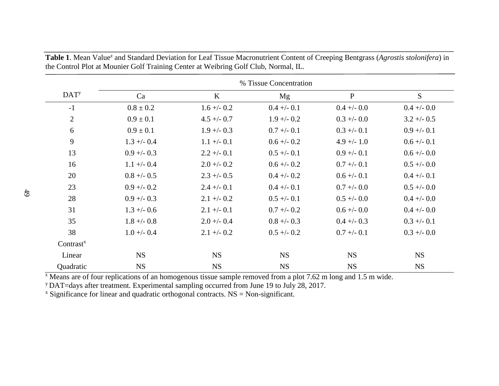|                  | % Tissue Concentration |               |               |               |               |  |
|------------------|------------------------|---------------|---------------|---------------|---------------|--|
| DAT <sup>y</sup> | Ca                     | K             | Mg            | $\mathbf{P}$  | S             |  |
| $-1$             | $0.8 \pm 0.2$          | $1.6 + -0.2$  | $0.4 +/- 0.1$ | $0.4 + -0.0$  | $0.4 + -0.0$  |  |
| $\overline{2}$   | $0.9 \pm 0.1$          | $4.5 + -0.7$  | $1.9 + - 0.2$ | $0.3 + -0.0$  | $3.2 + -0.5$  |  |
| 6                | $0.9 \pm 0.1$          | $1.9 + - 0.3$ | $0.7 + -0.1$  | $0.3 + -0.1$  | $0.9 + -0.1$  |  |
| 9                | $1.3 + - 0.4$          | $1.1 + - 0.1$ | $0.6 + - 0.2$ | $4.9 +/- 1.0$ | $0.6 + -0.1$  |  |
| 13               | $0.9 + -0.3$           | $2.2 +/- 0.1$ | $0.5 + -0.1$  | $0.9 + -0.1$  | $0.6 + -0.0$  |  |
| 16               | $1.1 + - 0.4$          | $2.0 + -0.2$  | $0.6 + - 0.2$ | $0.7 + -0.1$  | $0.5 + -0.0$  |  |
| 20               | $0.8 + -0.5$           | $2.3 + -0.5$  | $0.4 + -0.2$  | $0.6 + - 0.1$ | $0.4 +/- 0.1$ |  |
| 23               | $0.9 + - 0.2$          | $2.4 +/- 0.1$ | $0.4 +/- 0.1$ | $0.7 + -0.0$  | $0.5 + -0.0$  |  |
| 28               | $0.9 + -0.3$           | $2.1 + -0.2$  | $0.5 + -0.1$  | $0.5 + -0.0$  | $0.4 +/- 0.0$ |  |
| 31               | $1.3 + - 0.6$          | $2.1 +/- 0.1$ | $0.7 + -0.2$  | $0.6 + -0.0$  | $0.4 + -0.0$  |  |
| 35               | $1.8 + -0.8$           | $2.0 +/- 0.4$ | $0.8 + -0.3$  | $0.4 + -0.3$  | $0.3 + -0.1$  |  |
| 38               | $1.0 + - 0.4$          | $2.1 + -0.2$  | $0.5 + -0.2$  | $0.7 + -0.1$  | $0.3 + -0.0$  |  |
| $Contrast^x$     |                        |               |               |               |               |  |
| Linear           | <b>NS</b>              | <b>NS</b>     | <b>NS</b>     | <b>NS</b>     | <b>NS</b>     |  |
| Quadratic        | <b>NS</b>              | <b>NS</b>     | <b>NS</b>     | <b>NS</b>     | <b>NS</b>     |  |

Table 1. Mean Value<sup>z</sup> and Standard Deviation for Leaf Tissue Macronutrient Content of Creeping Bentgrass (*Agrostis stolonifera*) in the Control Plot at Mounier Golf Training Center at Weibring Golf Club, Normal, IL.

 $\frac{z}{2}$  Means are of four replications of an homogenous tissue sample removed from a plot 7.62 m long and 1.5 m wide.

y DAT=days after treatment. Experimental sampling occurred from June 19 to July 28, 2017.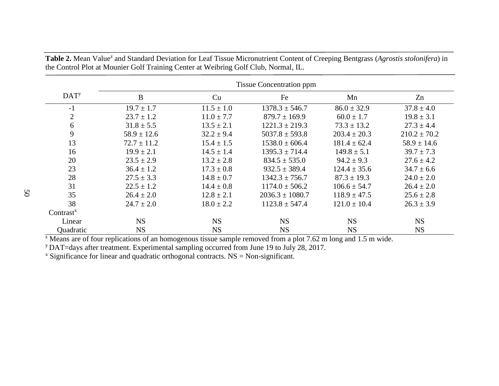|                         | <b>Tissue Concentration ppm</b> |                |                     |                  |                  |  |
|-------------------------|---------------------------------|----------------|---------------------|------------------|------------------|--|
| <b>DAT</b> <sup>y</sup> | B                               | Cu             | Fe                  | Mn               | Zn               |  |
| $-1$                    | $19.7 \pm 1.7$                  | $11.5 \pm 1.0$ | $1378.3 \pm 546.7$  | $86.0 \pm 32.9$  | $37.8 \pm 4.0$   |  |
| $\overline{2}$          | $23.7 \pm 1.2$                  | $11.0 \pm 7.7$ | $879.7 \pm 169.9$   | $60.0 \pm 1.7$   | $19.8 \pm 3.1$   |  |
| 6                       | $31.8 \pm 5.5$                  | $13.5 \pm 2.1$ | $1221.3 \pm 219.3$  | $73.3 \pm 13.2$  | $27.3 \pm 4.4$   |  |
| 9                       | $58.9 \pm 12.6$                 | $32.2 \pm 9.4$ | $5037.8 \pm 593.8$  | $203.4 \pm 20.3$ | $210.2 \pm 70.2$ |  |
| 13                      | $72.7 \pm 11.2$                 | $15.4 \pm 1.5$ | $1538.0 \pm 606.4$  | $181.4 \pm 62.4$ | $58.9 \pm 14.6$  |  |
| 16                      | $19.9 \pm 2.1$                  | $14.5 \pm 1.4$ | $1395.3 \pm 714.4$  | $149.8 \pm 5.1$  | $39.7 \pm 7.3$   |  |
| 20                      | $23.5 \pm 2.9$                  | $13.2 \pm 2.8$ | $834.5 \pm 535.0$   | $94.2 \pm 9.3$   | $27.6 \pm 4.2$   |  |
| 23                      | $36.4 \pm 1.2$                  | $17.3 \pm 0.8$ | $932.5 \pm 389.4$   | $124.4 \pm 35.6$ | $34.7 \pm 6.6$   |  |
| 28                      | $27.5 \pm 3.3$                  | $14.8 \pm 0.7$ | $1342.3 \pm 756.7$  | $87.3 \pm 19.3$  | $24.0 \pm 2.0$   |  |
| 31                      | $22.5 \pm 1.2$                  | $14.4 \pm 0.8$ | $1174.0 \pm 506.2$  | $106.6 \pm 54.7$ | $26.4 \pm 2.0$   |  |
| 35                      | $26.4 \pm 2.0$                  | $12.8 \pm 2.1$ | $2036.3 \pm 1080.7$ | $118.9 \pm 47.5$ | $25.6 \pm 2.8$   |  |
| 38                      | $24.7 \pm 2.0$                  | $18.0 \pm 2.2$ | $1123.8 \pm 547.4$  | $121.0 \pm 10.4$ | $26.3 \pm 3.9$   |  |
| Contrast <sup>x</sup>   |                                 |                |                     |                  |                  |  |
| Linear                  | <b>NS</b>                       | <b>NS</b>      | <b>NS</b>           | <b>NS</b>        | <b>NS</b>        |  |
| Quadratic               | <b>NS</b>                       | <b>NS</b>      | <b>NS</b>           | <b>NS</b>        | <b>NS</b>        |  |

Table 2. Mean Value<sup>z</sup> and Standard Deviation for Leaf Tissue Micronutrient Content of Creeping Bentgrass (*Agrostis stolonifera*) in the Control Plot at Mounier Golf Training Center at Weibring Golf Club, Normal, IL.

 $\frac{1}{2}$  Means are of four replications of an homogenous tissue sample removed from a plot 7.62 m long and 1.5 m wide.

y DAT=days after treatment. Experimental sampling occurred from June 19 to July 28, 2017.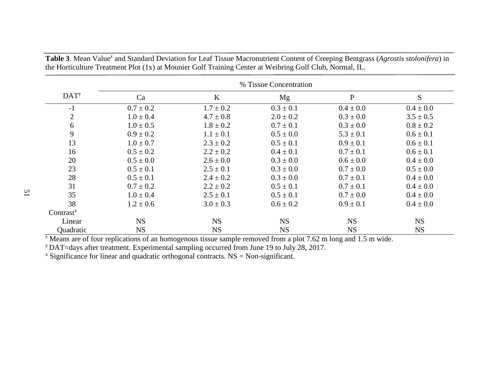|                  | % Tissue Concentration |               |               |               |               |
|------------------|------------------------|---------------|---------------|---------------|---------------|
| DAT <sup>y</sup> | Ca                     | $\bf K$       | Mg            | $\mathbf{P}$  | S             |
| $-1$             | $0.7 \pm 0.2$          | $1.7 \pm 0.2$ | $0.3 \pm 0.1$ | $0.4 \pm 0.0$ | $0.4 \pm 0.0$ |
| $\overline{2}$   | $1.0 \pm 0.4$          | $4.7 \pm 0.8$ | $2.0 \pm 0.2$ | $0.3 \pm 0.0$ | $3.5 \pm 0.5$ |
| 6                | $1.0 \pm 0.5$          | $1.8 \pm 0.2$ | $0.7 \pm 0.1$ | $0.3 \pm 0.0$ | $0.8 \pm 0.2$ |
| 9                | $0.9 \pm 0.2$          | $1.1 \pm 0.1$ | $0.5 \pm 0.0$ | $5.3 \pm 0.1$ | $0.6 \pm 0.1$ |
| 13               | $1.0 \pm 0.7$          | $2.3 \pm 0.2$ | $0.5 \pm 0.1$ | $0.9 \pm 0.1$ | $0.6 \pm 0.1$ |
| 16               | $0.5 \pm 0.2$          | $2.2 \pm 0.2$ | $0.4 \pm 0.1$ | $0.7 \pm 0.1$ | $0.6 \pm 0.1$ |
| 20               | $0.5 \pm 0.0$          | $2.6 \pm 0.0$ | $0.3 \pm 0.0$ | $0.6 \pm 0.0$ | $0.4 \pm 0.0$ |
| 23               | $0.5 \pm 0.1$          | $2.5 \pm 0.1$ | $0.3 \pm 0.0$ | $0.7 \pm 0.0$ | $0.5 \pm 0.0$ |
| 28               | $0.5 \pm 0.1$          | $2.4 \pm 0.2$ | $0.3 \pm 0.0$ | $0.7 \pm 0.1$ | $0.4 \pm 0.0$ |
| 31               | $0.7 \pm 0.2$          | $2.2 \pm 0.2$ | $0.5 \pm 0.1$ | $0.7 \pm 0.1$ | $0.4 \pm 0.0$ |
| 35               | $1.0 \pm 0.4$          | $2.5 \pm 0.1$ | $0.5 \pm 0.1$ | $0.7 \pm 0.0$ | $0.4 \pm 0.0$ |
| 38               | $1.2 \pm 0.6$          | $3.0 \pm 0.3$ | $0.6 \pm 0.2$ | $0.9 \pm 0.1$ | $0.4 \pm 0.0$ |
| $Contrast^x$     |                        |               |               |               |               |
| Linear           | <b>NS</b>              | <b>NS</b>     | <b>NS</b>     | <b>NS</b>     | <b>NS</b>     |
| Quadratic        | <b>NS</b>              | <b>NS</b>     | <b>NS</b>     | <b>NS</b>     | <b>NS</b>     |

Table 3. Mean Value<sup>z</sup> and Standard Deviation for Leaf Tissue Macronutrient Content of Creeping Bentgrass (*Agrostis stolonifera*) in the Horticulture Treatment Plot (1x) at Mounier Golf Training Center at Weibring Golf Club, Normal, IL.

 $\frac{1}{2}$  Means are of four replications of an homogenous tissue sample removed from a plot 7.62 m long and 1.5 m wide.

y DAT=days after treatment. Experimental sampling occurred from June 19 to July 28, 2017.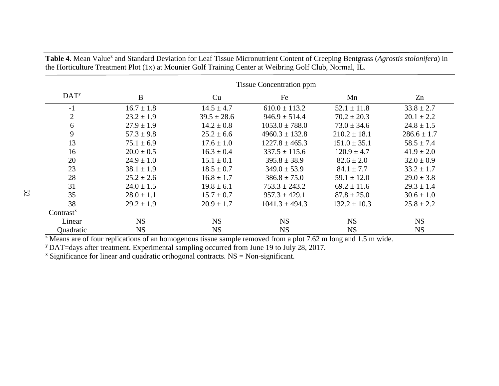|                                    | <b>Tissue Concentration ppm</b> |                 |                    |                  |                 |  |
|------------------------------------|---------------------------------|-----------------|--------------------|------------------|-----------------|--|
| DATA <sup>y</sup>                  | B                               | Cu              | Fe                 | Mn               | Zn              |  |
| $-1$                               | $16.7 \pm 1.8$                  | $14.5 \pm 4.7$  | $610.0 \pm 113.2$  | $52.1 \pm 11.8$  | $33.8 \pm 2.7$  |  |
| $\overline{2}$                     | $23.2 \pm 1.9$                  | $39.5 \pm 28.6$ | $946.9 \pm 514.4$  | $70.2 \pm 20.3$  | $20.1 \pm 2.2$  |  |
| 6                                  | $27.9 \pm 1.9$                  | $14.2 \pm 0.8$  | $1053.0 \pm 788.0$ | $73.0 \pm 34.6$  | $24.8 \pm 1.5$  |  |
| 9                                  | $57.3 \pm 9.8$                  | $25.2 \pm 6.6$  | $4960.3 \pm 132.8$ | $210.2 \pm 18.1$ | $286.6 \pm 1.7$ |  |
| 13                                 | $75.1 \pm 6.9$                  | $17.6 \pm 1.0$  | $1227.8 \pm 465.3$ | $151.0 \pm 35.1$ | $58.5 \pm 7.4$  |  |
| 16                                 | $20.0 \pm 0.5$                  | $16.3 \pm 0.4$  | $337.5 \pm 115.6$  | $120.9 \pm 4.7$  | $41.9 \pm 2.0$  |  |
| 20                                 | $24.9 \pm 1.0$                  | $15.1 \pm 0.1$  | $395.8 \pm 38.9$   | $82.6 \pm 2.0$   | $32.0 \pm 0.9$  |  |
| 23                                 | $38.1 \pm 1.9$                  | $18.5 \pm 0.7$  | $349.0 \pm 53.9$   | $84.1 \pm 7.7$   | $33.2 \pm 1.7$  |  |
| 28                                 | $25.2 \pm 2.6$                  | $16.8 \pm 1.7$  | $386.8 \pm 75.0$   | $59.1 \pm 12.0$  | $29.0 \pm 3.8$  |  |
| 31                                 | $24.0 \pm 1.5$                  | $19.8 \pm 6.1$  | $753.3 \pm 243.2$  | $69.2 \pm 11.6$  | $29.3 \pm 1.4$  |  |
| 35                                 | $28.0 \pm 1.1$                  | $15.7 \pm 0.7$  | $957.3 \pm 429.1$  | $87.8 \pm 25.0$  | $30.6 \pm 1.0$  |  |
| 38                                 | $29.2 \pm 1.9$                  | $20.9 \pm 1.7$  | $1041.3 \pm 494.3$ | $132.2 \pm 10.3$ | $25.8 \pm 2.2$  |  |
| Contrast <sup><math>x</math></sup> |                                 |                 |                    |                  |                 |  |
| Linear                             | <b>NS</b>                       | <b>NS</b>       | <b>NS</b>          | <b>NS</b>        | <b>NS</b>       |  |
| Quadratic                          | <b>NS</b>                       | <b>NS</b>       | <b>NS</b>          | <b>NS</b>        | <b>NS</b>       |  |

Table 4. Mean Value<sup>z</sup> and Standard Deviation for Leaf Tissue Micronutrient Content of Creeping Bentgrass (*Agrostis stolonifera*) in the Horticulture Treatment Plot (1x) at Mounier Golf Training Center at Weibring Golf Club, Normal, IL.

 $\frac{1}{2}$  Means are of four replications of an homogenous tissue sample removed from a plot 7.62 m long and 1.5 m wide.

y DAT=days after treatment. Experimental sampling occurred from June 19 to July 28, 2017.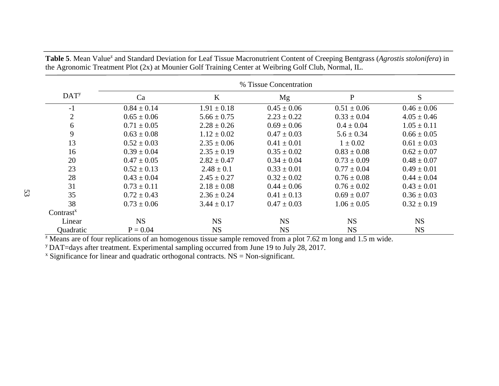|                   | % Tissue Concentration |                 |                 |                 |                 |  |
|-------------------|------------------------|-----------------|-----------------|-----------------|-----------------|--|
| DATA <sup>y</sup> | Ca                     | $\bf K$         | Mg              | $\mathbf P$     | ${\bf S}$       |  |
| $-1$              | $0.84 \pm 0.14$        | $1.91 \pm 0.18$ | $0.45 \pm 0.06$ | $0.51 \pm 0.06$ | $0.46 \pm 0.06$ |  |
| $\overline{2}$    | $0.65 \pm 0.06$        | $5.66 \pm 0.75$ | $2.23 \pm 0.22$ | $0.33 \pm 0.04$ | $4.05 \pm 0.46$ |  |
| 6                 | $0.71 \pm 0.05$        | $2.28 \pm 0.26$ | $0.69 \pm 0.06$ | $0.4 \pm 0.04$  | $1.05 \pm 0.11$ |  |
| 9                 | $0.63 \pm 0.08$        | $1.12 \pm 0.02$ | $0.47 \pm 0.03$ | $5.6 \pm 0.34$  | $0.66 \pm 0.05$ |  |
| 13                | $0.52 \pm 0.03$        | $2.35 \pm 0.06$ | $0.41 \pm 0.01$ | $1 \pm 0.02$    | $0.61 \pm 0.03$ |  |
| 16                | $0.39 \pm 0.04$        | $2.35 \pm 0.19$ | $0.35 \pm 0.02$ | $0.83 \pm 0.08$ | $0.62 \pm 0.07$ |  |
| 20                | $0.47 \pm 0.05$        | $2.82 \pm 0.47$ | $0.34 \pm 0.04$ | $0.73 \pm 0.09$ | $0.48 \pm 0.07$ |  |
| 23                | $0.52 \pm 0.13$        | $2.48 \pm 0.1$  | $0.33 \pm 0.01$ | $0.77 \pm 0.04$ | $0.49 \pm 0.01$ |  |
| 28                | $0.43 \pm 0.04$        | $2.45 \pm 0.27$ | $0.32 \pm 0.02$ | $0.76 \pm 0.08$ | $0.44 \pm 0.04$ |  |
| 31                | $0.73 \pm 0.11$        | $2.18 \pm 0.08$ | $0.44 \pm 0.06$ | $0.76 \pm 0.02$ | $0.43 \pm 0.01$ |  |
| 35                | $0.72 \pm 0.43$        | $2.36 \pm 0.24$ | $0.41 \pm 0.13$ | $0.69 \pm 0.07$ | $0.36 \pm 0.03$ |  |
| 38                | $0.73 \pm 0.06$        | $3.44 \pm 0.17$ | $0.47 \pm 0.03$ | $1.06 \pm 0.05$ | $0.32 \pm 0.19$ |  |
| $Contrast^x$      |                        |                 |                 |                 |                 |  |
| Linear            | <b>NS</b>              | <b>NS</b>       | <b>NS</b>       | <b>NS</b>       | <b>NS</b>       |  |
| Quadratic         | $P = 0.04$             | <b>NS</b>       | <b>NS</b>       | <b>NS</b>       | <b>NS</b>       |  |

Table 5. Mean Value<sup>z</sup> and Standard Deviation for Leaf Tissue Macronutrient Content of Creeping Bentgrass (*Agrostis stolonifera*) in the Agronomic Treatment Plot (2x) at Mounier Golf Training Center at Weibring Golf Club, Normal, IL.

 $\frac{1}{2}$  Means are of four replications of an homogenous tissue sample removed from a plot 7.62 m long and 1.5 m wide.

y DAT=days after treatment. Experimental sampling occurred from June 19 to July 28, 2017.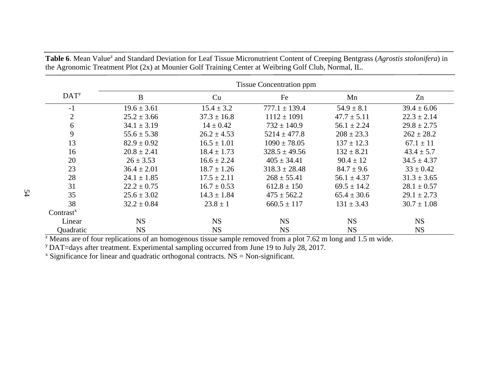|                         | <b>Tissue Concentration ppm</b> |                 |                   |                 |                 |  |
|-------------------------|---------------------------------|-----------------|-------------------|-----------------|-----------------|--|
| <b>DAT</b> <sup>y</sup> | $\bf{B}$                        | Cu              | Fe                | Mn              | Zn              |  |
| $-1$                    | $19.6 \pm 3.61$                 | $15.4 \pm 3.2$  | $777.1 \pm 139.4$ | $54.9 \pm 8.1$  | $39.4 \pm 6.06$ |  |
| $\overline{2}$          | $25.2 \pm 3.66$                 | $37.3 \pm 16.8$ | $1112 \pm 1091$   | $47.7 \pm 5.11$ | $22.3 \pm 2.14$ |  |
| 6                       | $34.1 \pm 3.19$                 | $14 \pm 0.42$   | $732 \pm 140.9$   | $56.1 \pm 2.24$ | $29.8 \pm 2.75$ |  |
| 9                       | $55.6 \pm 5.38$                 | $26.2 \pm 4.53$ | $5214 \pm 477.8$  | $208 \pm 23.3$  | $262 \pm 28.2$  |  |
| 13                      | $82.9 \pm 0.92$                 | $16.5 \pm 1.01$ | $1090 \pm 78.05$  | $137 \pm 12.3$  | $67.1 \pm 11$   |  |
| 16                      | $20.8 \pm 2.41$                 | $18.4 \pm 1.73$ | $328.5 \pm 49.56$ | $132 \pm 8.21$  | $43.4 \pm 5.7$  |  |
| 20                      | $26 \pm 3.53$                   | $16.6 \pm 2.24$ | $405 \pm 34.41$   | $90.4 \pm 12$   | $34.5 \pm 4.37$ |  |
| 23                      | $36.4 \pm 2.01$                 | $18.7 \pm 1.26$ | $318.3 \pm 28.48$ | $84.7 \pm 9.6$  | $33 \pm 0.42$   |  |
| 28                      | $24.1 \pm 1.85$                 | $17.5 \pm 2.11$ | $268 \pm 55.41$   | $56.1 \pm 4.37$ | $31.3 \pm 3.65$ |  |
| 31                      | $22.2 \pm 0.75$                 | $16.7 \pm 0.53$ | $612.8 \pm 150$   | $69.5 \pm 14.2$ | $28.1 \pm 0.57$ |  |
| 35                      | $25.6 \pm 3.02$                 | $14.3 \pm 1.84$ | $475 \pm 562.2$   | $65.4 \pm 30.6$ | $29.1 \pm 2.73$ |  |
| 38                      | $32.2 \pm 0.84$                 | $23.8 \pm 1$    | $660.5 \pm 117$   | $131 \pm 3.43$  | $30.7 \pm 1.08$ |  |
| $Contrast^x$            |                                 |                 |                   |                 |                 |  |
| Linear                  | <b>NS</b>                       | <b>NS</b>       | <b>NS</b>         | <b>NS</b>       | <b>NS</b>       |  |
| Quadratic               | <b>NS</b>                       | <b>NS</b>       | <b>NS</b>         | <b>NS</b>       | <b>NS</b>       |  |

Table 6. Mean Value<sup>z</sup> and Standard Deviation for Leaf Tissue Micronutrient Content of Creeping Bentgrass (*Agrostis stolonifera*) in the Agronomic Treatment Plot (2x) at Mounier Golf Training Center at Weibring Golf Club, Normal, IL.

 $\frac{1}{2}$  Means are of four replications of an homogenous tissue sample removed from a plot 7.62 m long and 1.5 m wide.

y DAT=days after treatment. Experimental sampling occurred from June 19 to July 28, 2017.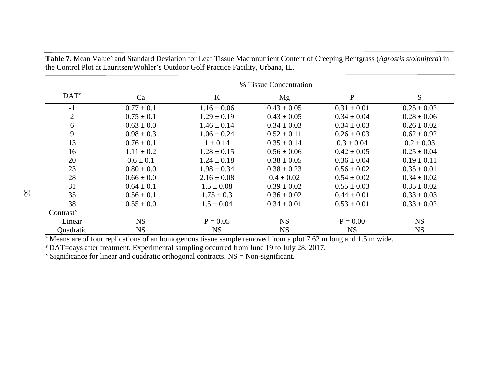- growth, chlorophyll concentration, and superoxide dismutase activity. J. Plant Physiol. 161(2):197-202.
- Stiegler, J., M. Richardson, D. Karcher, and A. Patton. (2010, Jan. & Feb.). Foliar nutrient uptake by cool-season and warm-season turfgrasses. Retrieved March 30, 2017, from http://gsrpdf.lib.msu.edu/ticpdf.py?file=/2010s/2010/100107.pdf
- Terman, M.R. (1997). Natural links: Naturalistic golf courses as wildlife habitat. Retrieved February 13, 2017, from

http://www.sciencedirect.com/science/article/pii/S0169204697000339

Tlustos, P., P. Cigler, M. Hruby, S. Kuzel, J. Szakova, and J. Balik. (2005). The role of titanium in biomass production and its influence on essential elements' contents in growing crops. Retrieved January 30, 2017, from

http://www.agriculturejournals.cz/publicFiles/50934.pdf

- Wang, M., Q. Zheng, Q. Shen, and S. Guo. (2013). The critical role of potassium in plant stress response. Intern. J. Mol. Sci. 14(4):7370-7390.
- Whitted-Haag, B., D. Kopsell, D. Kopsell, and R. Rhykerd. (2014). Foliar silicon and titanium applications influence growth and quality characteristics of annual bedding plants. Open Hort. J. 7:6-15.
- Yruela, I. (2005). Copper in plants. Brazilian J. Plant Physiol. 17(1):145-156.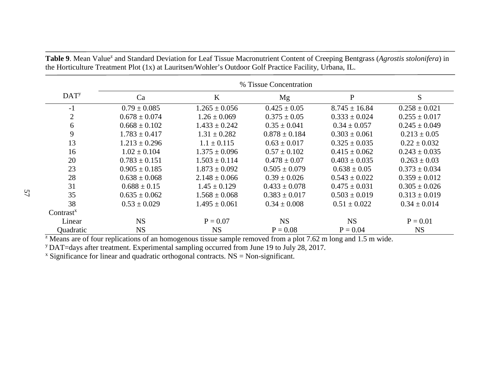|                   | % Tissue Concentration |                   |                   |                   |                   |
|-------------------|------------------------|-------------------|-------------------|-------------------|-------------------|
| DATA <sup>y</sup> | Ca                     | $\bf K$           | Mg                | $\mathbf P$       | S                 |
| $-1$              | $0.79 \pm 0.085$       | $1.265 \pm 0.056$ | $0.425 \pm 0.05$  | $8.745 \pm 16.84$ | $0.258 \pm 0.021$ |
| $\overline{2}$    | $0.678 \pm 0.074$      | $1.26 \pm 0.069$  | $0.375 \pm 0.05$  | $0.333 \pm 0.024$ | $0.255 \pm 0.017$ |
| 6                 | $0.668 \pm 0.102$      | $1.433 \pm 0.242$ | $0.35 \pm 0.041$  | $0.34 \pm 0.057$  | $0.245 \pm 0.049$ |
| 9                 | $1.783 \pm 0.417$      | $1.31 \pm 0.282$  | $0.878 \pm 0.184$ | $0.303 \pm 0.061$ | $0.213 \pm 0.05$  |
| 13                | $1.213 \pm 0.296$      | $1.1 \pm 0.115$   | $0.63 \pm 0.017$  | $0.325 \pm 0.035$ | $0.22 \pm 0.032$  |
| 16                | $1.02 \pm 0.104$       | $1.375 \pm 0.096$ | $0.57 \pm 0.102$  | $0.415 \pm 0.062$ | $0.243 \pm 0.035$ |
| 20                | $0.783 \pm 0.151$      | $1.503 \pm 0.114$ | $0.478 \pm 0.07$  | $0.403 \pm 0.035$ | $0.263 \pm 0.03$  |
| 23                | $0.905 \pm 0.185$      | $1.873 \pm 0.092$ | $0.505 \pm 0.079$ | $0.638 \pm 0.05$  | $0.373 \pm 0.034$ |
| 28                | $0.638 \pm 0.068$      | $2.148 \pm 0.066$ | $0.39 \pm 0.026$  | $0.543 \pm 0.022$ | $0.359 \pm 0.012$ |
| 31                | $0.688 \pm 0.15$       | $1.45 \pm 0.129$  | $0.433 \pm 0.078$ | $0.475 \pm 0.031$ | $0.305 \pm 0.026$ |
| 35                | $0.635 \pm 0.062$      | $1.568 \pm 0.068$ | $0.383 \pm 0.017$ | $0.503 \pm 0.019$ | $0.313 \pm 0.019$ |
| 38                | $0.53 \pm 0.029$       | $1.495 \pm 0.061$ | $0.34 \pm 0.008$  | $0.51 \pm 0.022$  | $0.34 \pm 0.014$  |
| $Contrast^x$      |                        |                   |                   |                   |                   |
| Linear            | <b>NS</b>              | $P = 0.07$        | <b>NS</b>         | <b>NS</b>         | $P = 0.01$        |
| Quadratic         | <b>NS</b>              | <b>NS</b>         | $P = 0.08$        | $P = 0.04$        | <b>NS</b>         |

Table 9. Mean Value<sup>z</sup> and Standard Deviation for Leaf Tissue Macronutrient Content of Creeping Bentgrass (*Agrostis stolonifera*) in the Horticulture Treatment Plot (1x) at Lauritsen/Wohler's Outdoor Golf Practice Facility, Urbana, IL.

 $\frac{1}{2}$  Means are of four replications of an homogenous tissue sample removed from a plot 7.62 m long and 1.5 m wide.

y DAT=days after treatment. Experimental sampling occurred from June 19 to July 28, 2017.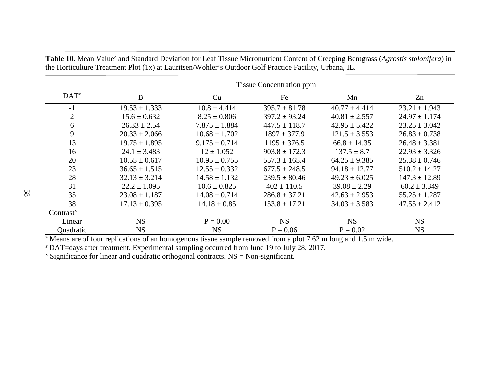|                  | <b>Tissue Concentration ppm</b> |                   |                   |                   |                   |  |
|------------------|---------------------------------|-------------------|-------------------|-------------------|-------------------|--|
| DAT <sup>y</sup> | $\bf{B}$                        | Cu                | Fe                | Mn                | Zn                |  |
| $-1$             | $19.53 \pm 1.333$               | $10.8 \pm 4.414$  | $395.7 \pm 81.78$ | $40.77 \pm 4.414$ | $23.21 \pm 1.943$ |  |
| $\overline{2}$   | $15.6 \pm 0.632$                | $8.25 \pm 0.806$  | $397.2 \pm 93.24$ | $40.81 \pm 2.557$ | $24.97 \pm 1.174$ |  |
| 6                | $26.33 \pm 2.54$                | $7.875 \pm 1.884$ | $447.5 \pm 118.7$ | $42.95 \pm 5.422$ | $23.25 \pm 3.042$ |  |
| 9                | $20.33 \pm 2.066$               | $10.68 \pm 1.702$ | $1897 \pm 377.9$  | $121.5 \pm 3.553$ | $26.83 \pm 0.738$ |  |
| 13               | $19.75 \pm 1.895$               | $9.175 \pm 0.714$ | $1195 \pm 376.5$  | $66.8 \pm 14.35$  | $26.48 \pm 3.381$ |  |
| 16               | $24.1 \pm 3.483$                | $12 \pm 1.052$    | $903.8 \pm 172.3$ | $137.5 \pm 8.7$   | $22.93 \pm 3.326$ |  |
| 20               | $10.55 \pm 0.617$               | $10.95 \pm 0.755$ | $557.3 \pm 165.4$ | $64.25 \pm 9.385$ | $25.38 \pm 0.746$ |  |
| 23               | $36.65 \pm 1.515$               | $12.55 \pm 0.332$ | $677.5 \pm 248.5$ | $94.18 \pm 12.77$ | $510.2 \pm 14.27$ |  |
| 28               | $32.13 \pm 3.214$               | $14.58 \pm 1.132$ | $239.5 \pm 80.46$ | $49.23 \pm 6.025$ | $147.3 \pm 12.89$ |  |
| 31               | $22.2 \pm 1.095$                | $10.6 \pm 0.825$  | $402 \pm 110.5$   | $39.08 \pm 2.29$  | $60.2 \pm 3.349$  |  |
| 35               | $23.08 \pm 1.187$               | $14.08 \pm 0.714$ | $286.8 \pm 37.21$ | $42.63 \pm 2.953$ | $55.25 \pm 1.287$ |  |
| 38               | $17.13 \pm 0.395$               | $14.18 \pm 0.85$  | $153.8 \pm 17.21$ | $34.03 \pm 3.583$ | $47.55 \pm 2.412$ |  |
| $Contrast^x$     |                                 |                   |                   |                   |                   |  |
| Linear           | <b>NS</b>                       | $P = 0.00$        | <b>NS</b>         | <b>NS</b>         | <b>NS</b>         |  |
| Quadratic        | <b>NS</b>                       | <b>NS</b>         | $P = 0.06$        | $P = 0.02$        | <b>NS</b>         |  |

Table 10. Mean Value<sup>z</sup> and Standard Deviation for Leaf Tissue Micronutrient Content of Creeping Bentgrass (*Agrostis stolonifera*) in the Horticulture Treatment Plot (1x) at Lauritsen/Wohler's Outdoor Golf Practice Facility, Urbana, IL.

 $\frac{1}{2}$  Means are of four replications of an homogenous tissue sample removed from a plot 7.62 m long and 1.5 m wide.

y DAT=days after treatment. Experimental sampling occurred from June 19 to July 28, 2017.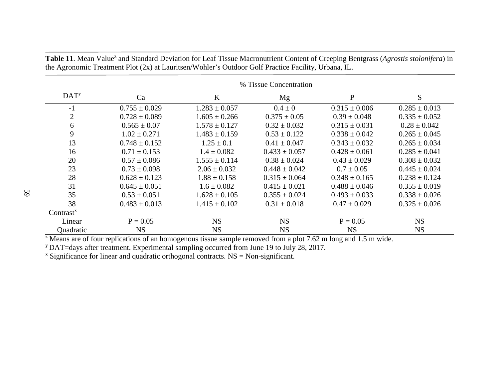|                         | % Tissue Concentration |                   |                   |                   |                   |  |
|-------------------------|------------------------|-------------------|-------------------|-------------------|-------------------|--|
| <b>DAT</b> <sup>y</sup> | Ca                     | $\bf K$           | Mg                | $\mathbf P$       | S                 |  |
| $-1$                    | $0.755 \pm 0.029$      | $1.283 \pm 0.057$ | $0.4 \pm 0$       | $0.315 \pm 0.006$ | $0.285 \pm 0.013$ |  |
| $\overline{2}$          | $0.728 \pm 0.089$      | $1.605 \pm 0.266$ | $0.375 \pm 0.05$  | $0.39 \pm 0.048$  | $0.335 \pm 0.052$ |  |
| 6                       | $0.565 \pm 0.07$       | $1.578 \pm 0.127$ | $0.32 \pm 0.032$  | $0.315 \pm 0.031$ | $0.28 \pm 0.042$  |  |
| 9                       | $1.02 \pm 0.271$       | $1.483 \pm 0.159$ | $0.53 \pm 0.122$  | $0.338 \pm 0.042$ | $0.265 \pm 0.045$ |  |
| 13                      | $0.748 \pm 0.152$      | $1.25 \pm 0.1$    | $0.41 \pm 0.047$  | $0.343 \pm 0.032$ | $0.265 \pm 0.034$ |  |
| 16                      | $0.71 \pm 0.153$       | $1.4 \pm 0.082$   | $0.433 \pm 0.057$ | $0.428 \pm 0.061$ | $0.285 \pm 0.041$ |  |
| 20                      | $0.57 \pm 0.086$       | $1.555 \pm 0.114$ | $0.38 \pm 0.024$  | $0.43 \pm 0.029$  | $0.308 \pm 0.032$ |  |
| 23                      | $0.73 \pm 0.098$       | $2.06 \pm 0.032$  | $0.448 \pm 0.042$ | $0.7 \pm 0.05$    | $0.445 \pm 0.024$ |  |
| 28                      | $0.628 \pm 0.123$      | $1.88 \pm 0.158$  | $0.315 \pm 0.064$ | $0.348 \pm 0.165$ | $0.238 \pm 0.124$ |  |
| 31                      | $0.645 \pm 0.051$      | $1.6 \pm 0.082$   | $0.415 \pm 0.021$ | $0.488 \pm 0.046$ | $0.355 \pm 0.019$ |  |
| 35                      | $0.53 \pm 0.051$       | $1.628 \pm 0.105$ | $0.355 \pm 0.024$ | $0.493 \pm 0.033$ | $0.338 \pm 0.026$ |  |
| 38                      | $0.483 \pm 0.013$      | $1.415 \pm 0.102$ | $0.31 \pm 0.018$  | $0.47 \pm 0.029$  | $0.325 \pm 0.026$ |  |
| $Contrast^x$            |                        |                   |                   |                   |                   |  |
| Linear                  | $P = 0.05$             | <b>NS</b>         | <b>NS</b>         | $P = 0.05$        | <b>NS</b>         |  |
| Quadratic               | <b>NS</b>              | <b>NS</b>         | <b>NS</b>         | <b>NS</b>         | <b>NS</b>         |  |

Table 11. Mean Value<sup>z</sup> and Standard Deviation for Leaf Tissue Macronutrient Content of Creeping Bentgrass (*Agrostis stolonifera*) in the Agronomic Treatment Plot (2x) at Lauritsen/Wohler's Outdoor Golf Practice Facility, Urbana, IL.

 $\frac{1}{2}$  Means are of four replications of an homogenous tissue sample removed from a plot 7.62 m long and 1.5 m wide.

y DAT=days after treatment. Experimental sampling occurred from June 19 to July 28, 2017.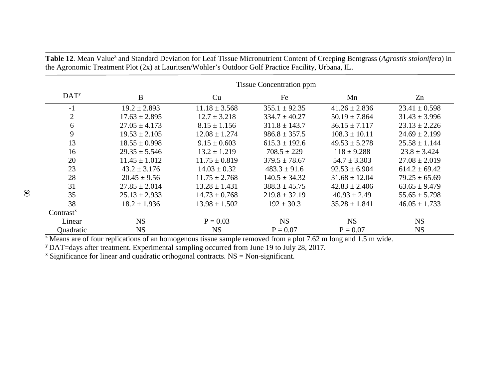|                  | <b>Tissue Concentration ppm</b> |                   |                   |                   |                   |  |
|------------------|---------------------------------|-------------------|-------------------|-------------------|-------------------|--|
| DAT <sup>y</sup> | $\bf{B}$                        | Cu                | Fe                | Mn                | Zn                |  |
| $-1$             | $19.2 \pm 2.893$                | $11.18 \pm 3.568$ | $355.1 \pm 92.35$ | $41.26 \pm 2.836$ | $23.41 \pm 0.598$ |  |
| $\overline{2}$   | $17.63 \pm 2.895$               | $12.7 \pm 3.218$  | $334.7 \pm 40.27$ | $50.19 \pm 7.864$ | $31.43 \pm 3.996$ |  |
| 6                | $27.05 \pm 4.173$               | $8.15 \pm 1.156$  | $311.8 \pm 143.7$ | $36.15 \pm 7.117$ | $23.13 \pm 2.226$ |  |
| 9                | $19.53 \pm 2.105$               | $12.08 \pm 1.274$ | $986.8 \pm 357.5$ | $108.3 \pm 10.11$ | $24.69 \pm 2.199$ |  |
| 13               | $18.55 \pm 0.998$               | $9.15 \pm 0.603$  | $615.3 \pm 192.6$ | $49.53 \pm 5.278$ | $25.58 \pm 1.144$ |  |
| 16               | $29.35 \pm 5.546$               | $13.2 \pm 1.219$  | $708.5 \pm 229$   | $118 \pm 9.288$   | $23.8 \pm 3.424$  |  |
| 20               | $11.45 \pm 1.012$               | $11.75 \pm 0.819$ | $379.5 \pm 78.67$ | $54.7 \pm 3.303$  | $27.08 \pm 2.019$ |  |
| 23               | $43.2 \pm 3.176$                | $14.03 \pm 0.32$  | $483.3 \pm 91.6$  | $92.53 \pm 6.904$ | $614.2 \pm 69.42$ |  |
| 28               | $20.45 \pm 9.56$                | $11.75 \pm 2.768$ | $140.5 \pm 34.32$ | $31.68 \pm 12.04$ | $79.25 \pm 65.69$ |  |
| 31               | $27.85 \pm 2.014$               | $13.28 \pm 1.431$ | $388.3 \pm 45.75$ | $42.83 \pm 2.406$ | $63.65 \pm 9.479$ |  |
| 35               | $25.13 \pm 2.933$               | $14.73 \pm 0.768$ | $219.8 \pm 32.19$ | $40.93 \pm 2.49$  | $55.65 \pm 5.798$ |  |
| 38               | $18.2 \pm 1.936$                | $13.98 \pm 1.502$ | $192 \pm 30.3$    | $35.28 \pm 1.841$ | $46.05 \pm 1.733$ |  |
| $Contrast^x$     |                                 |                   |                   |                   |                   |  |
| Linear           | <b>NS</b>                       | $P = 0.03$        | <b>NS</b>         | <b>NS</b>         | <b>NS</b>         |  |
| Quadratic        | <b>NS</b>                       | <b>NS</b>         | $P = 0.07$        | $P = 0.07$        | <b>NS</b>         |  |

Table 12. Mean Value<sup>z</sup> and Standard Deviation for Leaf Tissue Micronutrient Content of Creeping Bentgrass (*Agrostis stolonifera*) in the Agronomic Treatment Plot (2x) at Lauritsen/Wohler's Outdoor Golf Practice Facility, Urbana, IL.

 $\frac{1}{2}$  Means are of four replications of an homogenous tissue sample removed from a plot 7.62 m long and 1.5 m wide.

y DAT=days after treatment. Experimental sampling occurred from June 19 to July 28, 2017.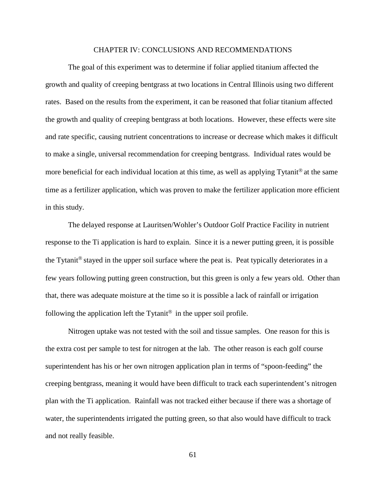## CHAPTER IV: CONCLUSIONS AND RECOMMENDATIONS

The goal of this experiment was to determine if foliar applied titanium affected the growth and quality of creeping bentgrass at two locations in Central Illinois using two different rates. Based on the results from the experiment, it can be reasoned that foliar titanium affected the growth and quality of creeping bentgrass at both locations. However, these effects were site and rate specific, causing nutrient concentrations to increase or decrease which makes it difficult to make a single, universal recommendation for creeping bentgrass. Individual rates would be more beneficial for each individual location at this time, as well as applying  $Tytanit^{\circledR}$  at the same time as a fertilizer application, which was proven to make the fertilizer application more efficient in this study.

The delayed response at Lauritsen/Wohler's Outdoor Golf Practice Facility in nutrient response to the Ti application is hard to explain. Since it is a newer putting green, it is possible the Tytanit<sup>®</sup> stayed in the upper soil surface where the peat is. Peat typically deteriorates in a few years following putting green construction, but this green is only a few years old. Other than that, there was adequate moisture at the time so it is possible a lack of rainfall or irrigation following the application left the Tytanit<sup>®</sup> in the upper soil profile.

Nitrogen uptake was not tested with the soil and tissue samples. One reason for this is the extra cost per sample to test for nitrogen at the lab. The other reason is each golf course superintendent has his or her own nitrogen application plan in terms of "spoon-feeding" the creeping bentgrass, meaning it would have been difficult to track each superintendent's nitrogen plan with the Ti application. Rainfall was not tracked either because if there was a shortage of water, the superintendents irrigated the putting green, so that also would have difficult to track and not really feasible.

61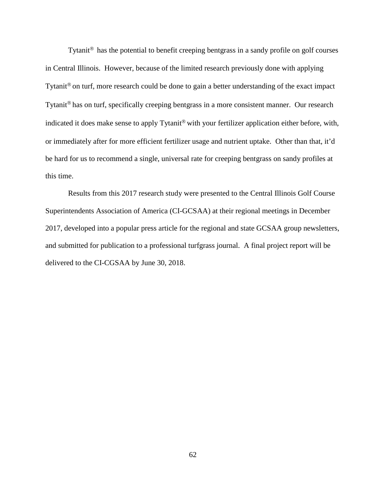Tytanit $\mathbb{R}$  has the potential to benefit creeping bentgrass in a sandy profile on golf courses in Central Illinois. However, because of the limited research previously done with applying Tytanit<sup>®</sup> on turf, more research could be done to gain a better understanding of the exact impact Tytanit<sup>®</sup> has on turf, specifically creeping bentgrass in a more consistent manner. Our research indicated it does make sense to apply Tytanit® with your fertilizer application either before, with, or immediately after for more efficient fertilizer usage and nutrient uptake. Other than that, it'd be hard for us to recommend a single, universal rate for creeping bentgrass on sandy profiles at this time.

Results from this 2017 research study were presented to the Central Illinois Golf Course Superintendents Association of America (CI-GCSAA) at their regional meetings in December 2017, developed into a popular press article for the regional and state GCSAA group newsletters, and submitted for publication to a professional turfgrass journal. A final project report will be delivered to the CI-CGSAA by June 30, 2018.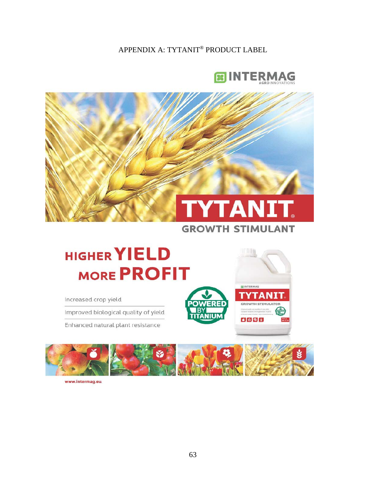APPENDIX A: TYTANIT® PRODUCT LABEL



INTERMAG

 $6998$ 

**GROWTH STIMULATOR** 



## **HIGHER YIELD MORE PROFIT**

Increased crop yield

Improved biological quality of yield

Enhanced natural plant resistance



www.intermag.eu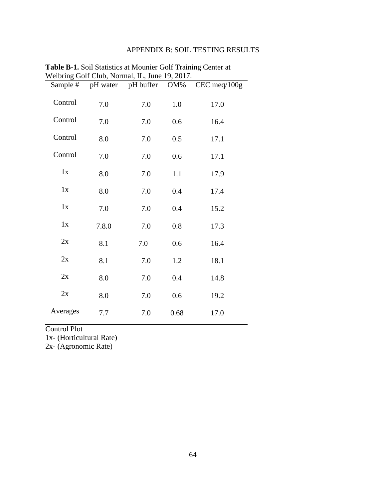## APPENDIX B: SOIL TESTING RESULTS

| Sample # |       | pH water pH buffer OM% |      | $CEC$ meq $/100g$ |
|----------|-------|------------------------|------|-------------------|
| Control  | 7.0   | 7.0                    | 1.0  | 17.0              |
| Control  | 7.0   | 7.0                    | 0.6  | 16.4              |
| Control  | 8.0   | 7.0                    | 0.5  | 17.1              |
| Control  | 7.0   | 7.0                    | 0.6  | 17.1              |
| 1x       | 8.0   | 7.0                    | 1.1  | 17.9              |
| 1x       | 8.0   | 7.0                    | 0.4  | 17.4              |
| 1x       | 7.0   | 7.0                    | 0.4  | 15.2              |
| 1x       | 7.8.0 | 7.0                    | 0.8  | 17.3              |
| 2x       | 8.1   | 7.0                    | 0.6  | 16.4              |
| 2x       | 8.1   | 7.0                    | 1.2  | 18.1              |
| 2x       | 8.0   | 7.0                    | 0.4  | 14.8              |
| 2x       | 8.0   | 7.0                    | 0.6  | 19.2              |
| Averages | 7.7   | 7.0                    | 0.68 | 17.0              |

**Table B-1.** Soil Statistics at Mounier Golf Training Center at Weibring Golf Club, Normal, IL, June 19, 2017.

Control Plot

1x- (Horticultural Rate)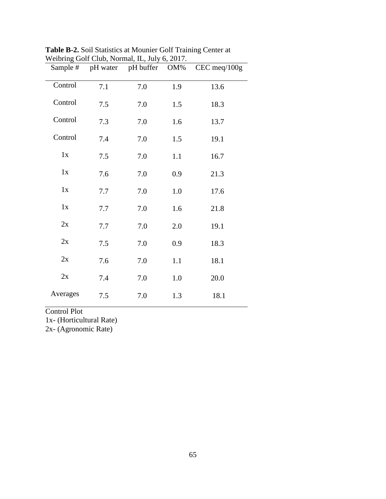| Sample # |     | $m$ croting Oon Crab, Formal, i.e., $\frac{1}{2}m$ of $\frac{1}{2}m$ .<br>pH water pH buffer OM% |     | CEC meq/100g |
|----------|-----|--------------------------------------------------------------------------------------------------|-----|--------------|
| Control  | 7.1 | 7.0                                                                                              | 1.9 | 13.6         |
| Control  | 7.5 | 7.0                                                                                              | 1.5 | 18.3         |
| Control  | 7.3 | 7.0                                                                                              | 1.6 | 13.7         |
| Control  | 7.4 | 7.0                                                                                              | 1.5 | 19.1         |
| 1x       | 7.5 | 7.0                                                                                              | 1.1 | 16.7         |
| 1x       | 7.6 | 7.0                                                                                              | 0.9 | 21.3         |
| 1x       | 7.7 | 7.0                                                                                              | 1.0 | 17.6         |
| 1x       | 7.7 | 7.0                                                                                              | 1.6 | 21.8         |
| 2x       | 7.7 | 7.0                                                                                              | 2.0 | 19.1         |
| 2x       | 7.5 | 7.0                                                                                              | 0.9 | 18.3         |
| 2x       | 7.6 | 7.0                                                                                              | 1.1 | 18.1         |
| 2x       | 7.4 | 7.0                                                                                              | 1.0 | 20.0         |
| Averages | 7.5 | 7.0                                                                                              | 1.3 | 18.1         |

**Table B-2.** Soil Statistics at Mounier Golf Training Center at Weibring Golf Club, Normal, IL, July 6, 2017.

1x- (Horticultural Rate)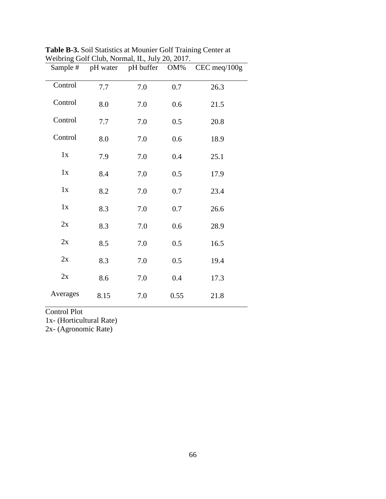| Sample # |      | $\alpha$ crossing Cont Crac, Formal, i.e., sary 20, 2017.<br>pH water pH buffer OM% |      | CEC meq/100g |
|----------|------|-------------------------------------------------------------------------------------|------|--------------|
| Control  | 7.7  | 7.0                                                                                 | 0.7  | 26.3         |
| Control  | 8.0  | 7.0                                                                                 | 0.6  | 21.5         |
| Control  | 7.7  | 7.0                                                                                 | 0.5  | 20.8         |
| Control  | 8.0  | 7.0                                                                                 | 0.6  | 18.9         |
| 1x       | 7.9  | 7.0                                                                                 | 0.4  | 25.1         |
| 1x       | 8.4  | 7.0                                                                                 | 0.5  | 17.9         |
| 1x       | 8.2  | 7.0                                                                                 | 0.7  | 23.4         |
| 1x       | 8.3  | 7.0                                                                                 | 0.7  | 26.6         |
| 2x       | 8.3  | 7.0                                                                                 | 0.6  | 28.9         |
| 2x       | 8.5  | 7.0                                                                                 | 0.5  | 16.5         |
| 2x       | 8.3  | 7.0                                                                                 | 0.5  | 19.4         |
| 2x       | 8.6  | 7.0                                                                                 | 0.4  | 17.3         |
| Averages | 8.15 | 7.0                                                                                 | 0.55 | 21.8         |

**Table B-3.** Soil Statistics at Mounier Golf Training Center at Weibring Golf Club, Normal, IL, July 20, 2017.

1x- (Horticultural Rate)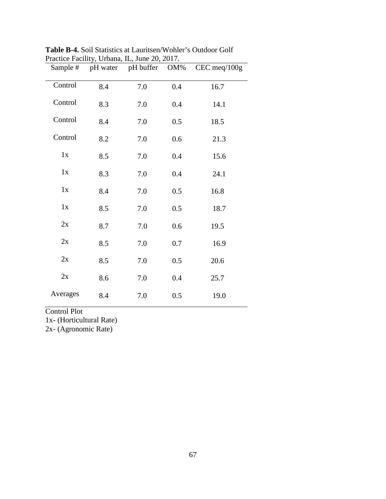| Sample # |     | Tractice Tachity, Orbana, IL, June 20, 2017.<br>pH water pH buffer OM% |     | CEC meq/100g |
|----------|-----|------------------------------------------------------------------------|-----|--------------|
| Control  | 8.4 | 7.0                                                                    | 0.4 | 16.7         |
| Control  | 8.3 | 7.0                                                                    | 0.4 | 14.1         |
| Control  | 8.4 | 7.0                                                                    | 0.5 | 18.5         |
| Control  | 8.2 | 7.0                                                                    | 0.6 | 21.3         |
| 1x       | 8.5 | 7.0                                                                    | 0.4 | 15.6         |
| 1x       | 8.3 | 7.0                                                                    | 0.4 | 24.1         |
| 1x       | 8.4 | 7.0                                                                    | 0.5 | 16.8         |
| 1x       | 8.5 | 7.0                                                                    | 0.5 | 18.7         |
| 2x       | 8.7 | 7.0                                                                    | 0.6 | 19.5         |
| 2x       | 8.5 | 7.0                                                                    | 0.7 | 16.9         |
| 2x       | 8.5 | 7.0                                                                    | 0.5 | 20.6         |
| 2x       | 8.6 | 7.0                                                                    | 0.4 | 25.7         |
| Averages | 8.4 | 7.0                                                                    | 0.5 | 19.0         |

**Table B-4.** Soil Statistics at Lauritsen/Wohler's Outdoor Golf Practice Facility, Urbana, IL, June 20, 2017.

1x- (Horticultural Rate)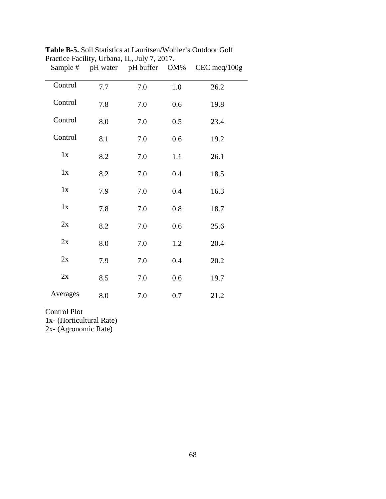| Sample # |     | $1$ ractice T actinty, Orbana, ID, $\frac{1}{2}$ or $\frac{1}{2}$ , $\frac{201}{1}$ .<br>pH water pH buffer OM% |     | CEC meq/100g |
|----------|-----|-----------------------------------------------------------------------------------------------------------------|-----|--------------|
| Control  | 7.7 | 7.0                                                                                                             | 1.0 | 26.2         |
| Control  | 7.8 | 7.0                                                                                                             | 0.6 | 19.8         |
| Control  | 8.0 | 7.0                                                                                                             | 0.5 | 23.4         |
| Control  | 8.1 | 7.0                                                                                                             | 0.6 | 19.2         |
| 1x       | 8.2 | 7.0                                                                                                             | 1.1 | 26.1         |
| 1x       | 8.2 | 7.0                                                                                                             | 0.4 | 18.5         |
| 1x       | 7.9 | 7.0                                                                                                             | 0.4 | 16.3         |
| 1x       | 7.8 | 7.0                                                                                                             | 0.8 | 18.7         |
| 2x       | 8.2 | 7.0                                                                                                             | 0.6 | 25.6         |
| 2x       | 8.0 | 7.0                                                                                                             | 1.2 | 20.4         |
| 2x       | 7.9 | 7.0                                                                                                             | 0.4 | 20.2         |
| 2x       | 8.5 | 7.0                                                                                                             | 0.6 | 19.7         |
| Averages | 8.0 | 7.0                                                                                                             | 0.7 | 21.2         |

**Table B-5.** Soil Statistics at Lauritsen/Wohler's Outdoor Golf Practice Facility, Urbana, IL, July 7, 2017.

1x- (Horticultural Rate)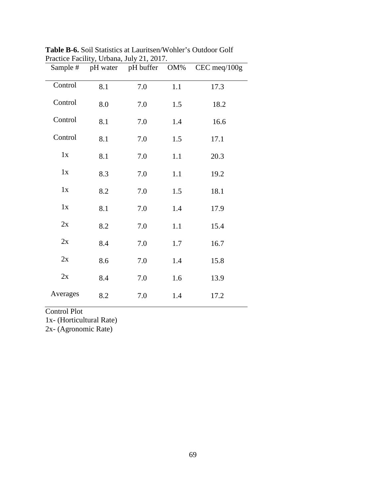| Sample # |     | I ractice I actinty, Orbana, $\frac{1}{2}$ ary $\frac{201}{1}$ .<br>pH water pH buffer OM% |     | CEC meq/100g |
|----------|-----|--------------------------------------------------------------------------------------------|-----|--------------|
| Control  | 8.1 | 7.0                                                                                        | 1.1 | 17.3         |
| Control  | 8.0 | 7.0                                                                                        | 1.5 | 18.2         |
| Control  | 8.1 | 7.0                                                                                        | 1.4 | 16.6         |
| Control  | 8.1 | 7.0                                                                                        | 1.5 | 17.1         |
| 1x       | 8.1 | 7.0                                                                                        | 1.1 | 20.3         |
| 1x       | 8.3 | 7.0                                                                                        | 1.1 | 19.2         |
| 1x       | 8.2 | 7.0                                                                                        | 1.5 | 18.1         |
| 1x       | 8.1 | 7.0                                                                                        | 1.4 | 17.9         |
| 2x       | 8.2 | 7.0                                                                                        | 1.1 | 15.4         |
| 2x       | 8.4 | 7.0                                                                                        | 1.7 | 16.7         |
| 2x       | 8.6 | 7.0                                                                                        | 1.4 | 15.8         |
| 2x       | 8.4 | 7.0                                                                                        | 1.6 | 13.9         |
| Averages | 8.2 | 7.0                                                                                        | 1.4 | 17.2         |

**Table B-6.** Soil Statistics at Lauritsen/Wohler's Outdoor Golf Practice Facility, Urbana, July 21, 2017.

1x- (Horticultural Rate)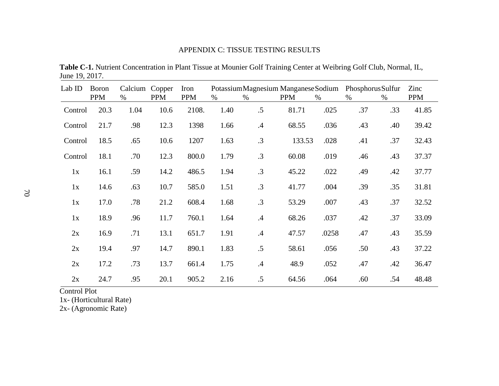## APPENDIX C: TISSUE TESTING RESULTS

**Table C-1.** Nutrient Concentration in Plant Tissue at Mounier Golf Training Center at Weibring Golf Club, Normal, IL, June 19, 2017.

| Lab ID  | <b>Boron</b><br><b>PPM</b> | Calcium Copper<br>$\%$ | <b>PPM</b> | Iron<br><b>PPM</b> | $\%$ | Potassium Magnesium Manganese Sodium<br>$\%$ | <b>PPM</b> | %     | Phosphorus Sulfur<br>$\%$ | $\%$ | Zinc<br><b>PPM</b> |
|---------|----------------------------|------------------------|------------|--------------------|------|----------------------------------------------|------------|-------|---------------------------|------|--------------------|
| Control | 20.3                       | 1.04                   | 10.6       | 2108.              | 1.40 | .5                                           | 81.71      | .025  | .37                       | .33  | 41.85              |
| Control | 21.7                       | .98                    | 12.3       | 1398               | 1.66 | $\mathcal{A}$                                | 68.55      | .036  | .43                       | .40  | 39.42              |
| Control | 18.5                       | .65                    | 10.6       | 1207               | 1.63 | .3                                           | 133.53     | .028  | .41                       | .37  | 32.43              |
| Control | 18.1                       | .70                    | 12.3       | 800.0              | 1.79 | $\cdot$ 3                                    | 60.08      | .019  | .46                       | .43  | 37.37              |
| 1x      | 16.1                       | .59                    | 14.2       | 486.5              | 1.94 | $\cdot$ 3                                    | 45.22      | .022  | .49                       | .42  | 37.77              |
| 1x      | 14.6                       | .63                    | 10.7       | 585.0              | 1.51 | $\cdot$ 3                                    | 41.77      | .004  | .39                       | .35  | 31.81              |
| 1x      | 17.0                       | .78                    | 21.2       | 608.4              | 1.68 | $\cdot$ 3                                    | 53.29      | .007  | .43                       | .37  | 32.52              |
| 1x      | 18.9                       | .96                    | 11.7       | 760.1              | 1.64 | $\mathcal{A}$                                | 68.26      | .037  | .42                       | .37  | 33.09              |
| 2x      | 16.9                       | .71                    | 13.1       | 651.7              | 1.91 | $\mathcal{A}$                                | 47.57      | .0258 | .47                       | .43  | 35.59              |
| 2x      | 19.4                       | .97                    | 14.7       | 890.1              | 1.83 | .5                                           | 58.61      | .056  | .50                       | .43  | 37.22              |
| 2x      | 17.2                       | .73                    | 13.7       | 661.4              | 1.75 | $\mathcal{A}$                                | 48.9       | .052  | .47                       | .42  | 36.47              |
| 2x      | 24.7                       | .95                    | 20.1       | 905.2              | 2.16 | .5                                           | 64.56      | .064  | .60                       | .54  | 48.48              |

Control Plot

1x- (Horticultural Rate)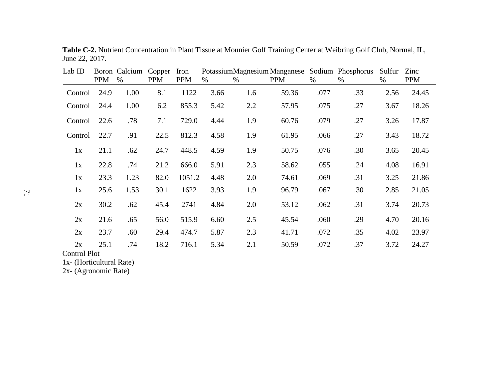| Lab ID  | <b>PPM</b> | Boron Calcium<br>$\%$ | Copper<br><b>PPM</b> | Iron<br><b>PPM</b> | %    | $\%$ | PotassiumMagnesium Manganese Sodium Phosphorus<br><b>PPM</b> | $\%$ | $\%$ | Sulfur<br>% | Zinc<br><b>PPM</b> |
|---------|------------|-----------------------|----------------------|--------------------|------|------|--------------------------------------------------------------|------|------|-------------|--------------------|
| Control | 24.9       | 1.00                  | 8.1                  | 1122               | 3.66 | 1.6  | 59.36                                                        | .077 | .33  | 2.56        | 24.45              |
| Control | 24.4       | 1.00                  | 6.2                  | 855.3              | 5.42 | 2.2  | 57.95                                                        | .075 | .27  | 3.67        | 18.26              |
| Control | 22.6       | .78                   | 7.1                  | 729.0              | 4.44 | 1.9  | 60.76                                                        | .079 | .27  | 3.26        | 17.87              |
| Control | 22.7       | .91                   | 22.5                 | 812.3              | 4.58 | 1.9  | 61.95                                                        | .066 | .27  | 3.43        | 18.72              |
| 1x      | 21.1       | .62                   | 24.7                 | 448.5              | 4.59 | 1.9  | 50.75                                                        | .076 | .30  | 3.65        | 20.45              |
| 1x      | 22.8       | .74                   | 21.2                 | 666.0              | 5.91 | 2.3  | 58.62                                                        | .055 | .24  | 4.08        | 16.91              |
| 1x      | 23.3       | 1.23                  | 82.0                 | 1051.2             | 4.48 | 2.0  | 74.61                                                        | .069 | .31  | 3.25        | 21.86              |
| 1x      | 25.6       | 1.53                  | 30.1                 | 1622               | 3.93 | 1.9  | 96.79                                                        | .067 | .30  | 2.85        | 21.05              |
| 2x      | 30.2       | .62                   | 45.4                 | 2741               | 4.84 | 2.0  | 53.12                                                        | .062 | .31  | 3.74        | 20.73              |
| 2x      | 21.6       | .65                   | 56.0                 | 515.9              | 6.60 | 2.5  | 45.54                                                        | .060 | .29  | 4.70        | 20.16              |
| 2x      | 23.7       | .60                   | 29.4                 | 474.7              | 5.87 | 2.3  | 41.71                                                        | .072 | .35  | 4.02        | 23.97              |
| 2x      | 25.1       | .74                   | 18.2                 | 716.1              | 5.34 | 2.1  | 50.59                                                        | .072 | .37  | 3.72        | 24.27              |

**Table C-2.** Nutrient Concentration in Plant Tissue at Mounier Golf Training Center at Weibring Golf Club, Normal, IL, June 22, 2017.

1x- (Horticultural Rate)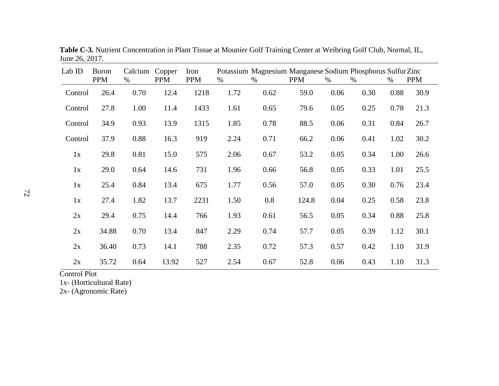| Lab ID  | <b>Boron</b><br><b>PPM</b> | Calcium<br>% | Copper<br><b>PPM</b> | Iron<br><b>PPM</b> | $\%$ | Potassium Magnesium Manganese Sodium Phosphorus Sulfur Zinc<br>$\%$ | <b>PPM</b> | $\%$ | $\%$ | $\%$ | <b>PPM</b> |
|---------|----------------------------|--------------|----------------------|--------------------|------|---------------------------------------------------------------------|------------|------|------|------|------------|
| Control | 26.4                       | 0.70         | 12.4                 | 1218               | 1.72 | 0.62                                                                | 59.0       | 0.06 | 0.30 | 0.88 | 30.9       |
|         |                            |              |                      |                    |      |                                                                     |            |      |      |      |            |
| Control | 27.8                       | 1.00         | 11.4                 | 1433               | 1.61 | 0.65                                                                | 79.6       | 0.05 | 0.25 | 0.78 | 21.3       |
| Control | 34.9                       | 0.93         | 13.9                 | 1315               | 1.85 | 0.78                                                                | 88.5       | 0.06 | 0.31 | 0.84 | 26.7       |
| Control | 37.9                       | 0.88         | 16.3                 | 919                | 2.24 | 0.71                                                                | 66.2       | 0.06 | 0.41 | 1.02 | 30.2       |
| 1x      | 29.8                       | 0.81         | 15.0                 | 575                | 2.06 | 0.67                                                                | 53.2       | 0.05 | 0.34 | 1.00 | 26.6       |
| 1x      | 29.0                       | 0.64         | 14.6                 | 731                | 1.96 | 0.66                                                                | 56.8       | 0.05 | 0.33 | 1.01 | 25.5       |
| 1x      | 25.4                       | 0.84         | 13.4                 | 675                | 1.77 | 0.56                                                                | 57.0       | 0.05 | 0.30 | 0.76 | 23.4       |
| 1x      | 27.4                       | 1.82         | 13.7                 | 2231               | 1.50 | 0.8                                                                 | 124.8      | 0.04 | 0.25 | 0.58 | 23.8       |
| 2x      | 29.4                       | 0.75         | 14.4                 | 766                | 1.93 | 0.61                                                                | 56.5       | 0.05 | 0.34 | 0.88 | 25.8       |
| 2x      | 34.88                      | 0.70         | 13.4                 | 847                | 2.29 | 0.74                                                                | 57.7       | 0.05 | 0.39 | 1.12 | 30.1       |
| 2x      | 36.40                      | 0.73         | 14.1                 | 788                | 2.35 | 0.72                                                                | 57.3       | 0.57 | 0.42 | 1.10 | 31.9       |
| 2x      | 35.72                      | 0.64         | 13.92                | 527                | 2.54 | 0.67                                                                | 52.8       | 0.06 | 0.43 | 1.10 | 31.3       |

**Table C-3.** Nutrient Concentration in Plant Tissue at Mounier Golf Training Center at Weibring Golf Club, Normal, IL, June 26, 2017.

1x- (Horticultural Rate)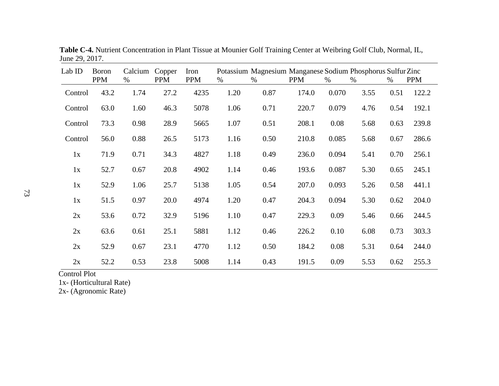| Lab ID  | <b>Boron</b><br><b>PPM</b> | Calcium<br>% | Copper<br><b>PPM</b> | Iron<br><b>PPM</b> | $\%$ | Potassium Magnesium Manganese Sodium Phosphorus Sulfur Zinc<br>$\%$ | <b>PPM</b> | $\%$  | $\%$ | $\%$ | <b>PPM</b> |
|---------|----------------------------|--------------|----------------------|--------------------|------|---------------------------------------------------------------------|------------|-------|------|------|------------|
| Control | 43.2                       | 1.74         | 27.2                 | 4235               | 1.20 | 0.87                                                                | 174.0      | 0.070 | 3.55 | 0.51 | 122.2      |
| Control | 63.0                       | 1.60         | 46.3                 | 5078               | 1.06 | 0.71                                                                | 220.7      | 0.079 | 4.76 | 0.54 | 192.1      |
| Control | 73.3                       | 0.98         | 28.9                 | 5665               | 1.07 | 0.51                                                                | 208.1      | 0.08  | 5.68 | 0.63 | 239.8      |
| Control | 56.0                       | 0.88         | 26.5                 | 5173               | 1.16 | 0.50                                                                | 210.8      | 0.085 | 5.68 | 0.67 | 286.6      |
| 1x      | 71.9                       | 0.71         | 34.3                 | 4827               | 1.18 | 0.49                                                                | 236.0      | 0.094 | 5.41 | 0.70 | 256.1      |
| 1x      | 52.7                       | 0.67         | 20.8                 | 4902               | 1.14 | 0.46                                                                | 193.6      | 0.087 | 5.30 | 0.65 | 245.1      |
| 1x      | 52.9                       | 1.06         | 25.7                 | 5138               | 1.05 | 0.54                                                                | 207.0      | 0.093 | 5.26 | 0.58 | 441.1      |
| 1x      | 51.5                       | 0.97         | 20.0                 | 4974               | 1.20 | 0.47                                                                | 204.3      | 0.094 | 5.30 | 0.62 | 204.0      |
| 2x      | 53.6                       | 0.72         | 32.9                 | 5196               | 1.10 | 0.47                                                                | 229.3      | 0.09  | 5.46 | 0.66 | 244.5      |
| 2x      | 63.6                       | 0.61         | 25.1                 | 5881               | 1.12 | 0.46                                                                | 226.2      | 0.10  | 6.08 | 0.73 | 303.3      |
| 2x      | 52.9                       | 0.67         | 23.1                 | 4770               | 1.12 | 0.50                                                                | 184.2      | 0.08  | 5.31 | 0.64 | 244.0      |
| 2x      | 52.2                       | 0.53         | 23.8                 | 5008               | 1.14 | 0.43                                                                | 191.5      | 0.09  | 5.53 | 0.62 | 255.3      |

**Table C-4.** Nutrient Concentration in Plant Tissue at Mounier Golf Training Center at Weibring Golf Club, Normal, IL, June 29, 2017.

1x- (Horticultural Rate)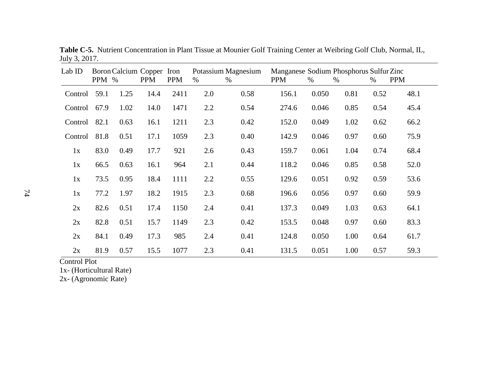| Lab ID  | PPM % |      | Boron Calcium Copper Iron<br><b>PPM</b> | <b>PPM</b> | $\%$ | Potassium Magnesium<br>$\%$ | Manganese Sodium Phosphorus Sulfur Zinc<br><b>PPM</b> | $\%$  | $\%$ | $\%$ | <b>PPM</b> |
|---------|-------|------|-----------------------------------------|------------|------|-----------------------------|-------------------------------------------------------|-------|------|------|------------|
| Control | 59.1  | 1.25 | 14.4                                    | 2411       | 2.0  | 0.58                        | 156.1                                                 | 0.050 | 0.81 | 0.52 | 48.1       |
| Control | 67.9  | 1.02 | 14.0                                    | 1471       | 2.2  | 0.54                        | 274.6                                                 | 0.046 | 0.85 | 0.54 | 45.4       |
| Control | 82.1  | 0.63 | 16.1                                    | 1211       | 2.3  | 0.42                        | 152.0                                                 | 0.049 | 1.02 | 0.62 | 66.2       |
| Control | 81.8  | 0.51 | 17.1                                    | 1059       | 2.3  | 0.40                        | 142.9                                                 | 0.046 | 0.97 | 0.60 | 75.9       |
| 1x      | 83.0  | 0.49 | 17.7                                    | 921        | 2.6  | 0.43                        | 159.7                                                 | 0.061 | 1.04 | 0.74 | 68.4       |
| 1x      | 66.5  | 0.63 | 16.1                                    | 964        | 2.1  | 0.44                        | 118.2                                                 | 0.046 | 0.85 | 0.58 | 52.0       |
| 1x      | 73.5  | 0.95 | 18.4                                    | 1111       | 2.2  | 0.55                        | 129.6                                                 | 0.051 | 0.92 | 0.59 | 53.6       |
| 1x      | 77.2  | 1.97 | 18.2                                    | 1915       | 2.3  | 0.68                        | 196.6                                                 | 0.056 | 0.97 | 0.60 | 59.9       |
| 2x      | 82.6  | 0.51 | 17.4                                    | 1150       | 2.4  | 0.41                        | 137.3                                                 | 0.049 | 1.03 | 0.63 | 64.1       |
| 2x      | 82.8  | 0.51 | 15.7                                    | 1149       | 2.3  | 0.42                        | 153.5                                                 | 0.048 | 0.97 | 0.60 | 83.3       |
| 2x      | 84.1  | 0.49 | 17.3                                    | 985        | 2.4  | 0.41                        | 124.8                                                 | 0.050 | 1.00 | 0.64 | 61.7       |
| 2x      | 81.9  | 0.57 | 15.5                                    | 1077       | 2.3  | 0.41                        | 131.5                                                 | 0.051 | 1.00 | 0.57 | 59.3       |

**Table C-5.** Nutrient Concentration in Plant Tissue at Mounier Golf Training Center at Weibring Golf Club, Normal, IL, July 3, 2017.

1x- (Horticultural Rate)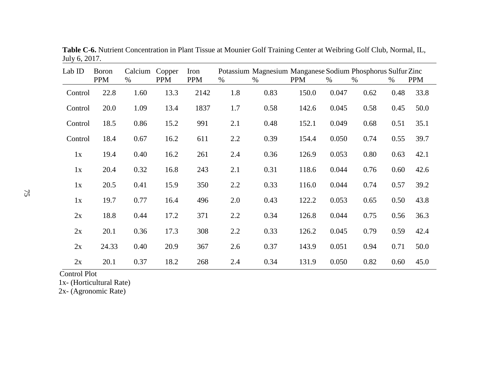| Lab ID  | <b>Boron</b><br><b>PPM</b> | Calcium<br>$\%$ | Copper<br><b>PPM</b> | Iron<br><b>PPM</b> | $\%$ | Potassium Magnesium Manganese Sodium Phosphorus Sulfur Zinc<br>$\%$ | <b>PPM</b> | %     | $\%$ | $\%$ | <b>PPM</b> |
|---------|----------------------------|-----------------|----------------------|--------------------|------|---------------------------------------------------------------------|------------|-------|------|------|------------|
| Control | 22.8                       | 1.60            | 13.3                 | 2142               | 1.8  | 0.83                                                                | 150.0      | 0.047 | 0.62 | 0.48 | 33.8       |
| Control | 20.0                       | 1.09            | 13.4                 | 1837               | 1.7  | 0.58                                                                | 142.6      | 0.045 | 0.58 | 0.45 | 50.0       |
| Control | 18.5                       | 0.86            | 15.2                 | 991                | 2.1  | 0.48                                                                | 152.1      | 0.049 | 0.68 | 0.51 | 35.1       |
| Control | 18.4                       | 0.67            | 16.2                 | 611                | 2.2  | 0.39                                                                | 154.4      | 0.050 | 0.74 | 0.55 | 39.7       |
| 1x      | 19.4                       | 0.40            | 16.2                 | 261                | 2.4  | 0.36                                                                | 126.9      | 0.053 | 0.80 | 0.63 | 42.1       |
| 1x      | 20.4                       | 0.32            | 16.8                 | 243                | 2.1  | 0.31                                                                | 118.6      | 0.044 | 0.76 | 0.60 | 42.6       |
| 1x      | 20.5                       | 0.41            | 15.9                 | 350                | 2.2  | 0.33                                                                | 116.0      | 0.044 | 0.74 | 0.57 | 39.2       |
| 1x      | 19.7                       | 0.77            | 16.4                 | 496                | 2.0  | 0.43                                                                | 122.2      | 0.053 | 0.65 | 0.50 | 43.8       |
| 2x      | 18.8                       | 0.44            | 17.2                 | 371                | 2.2  | 0.34                                                                | 126.8      | 0.044 | 0.75 | 0.56 | 36.3       |
| 2x      | 20.1                       | 0.36            | 17.3                 | 308                | 2.2  | 0.33                                                                | 126.2      | 0.045 | 0.79 | 0.59 | 42.4       |
| 2x      | 24.33                      | 0.40            | 20.9                 | 367                | 2.6  | 0.37                                                                | 143.9      | 0.051 | 0.94 | 0.71 | 50.0       |
| 2x      | 20.1                       | 0.37            | 18.2                 | 268                | 2.4  | 0.34                                                                | 131.9      | 0.050 | 0.82 | 0.60 | 45.0       |

**Table C-6.** Nutrient Concentration in Plant Tissue at Mounier Golf Training Center at Weibring Golf Club, Normal, IL, July 6, 2017.

1x- (Horticultural Rate)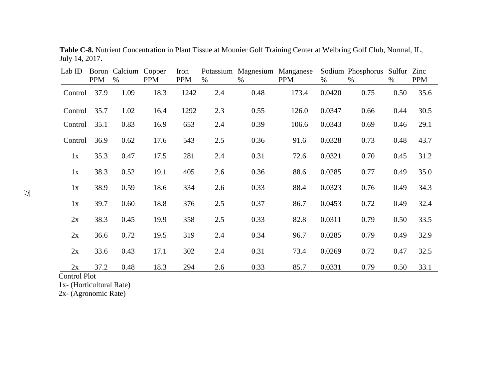| Lab ID  | <b>PPM</b> | Boron Calcium<br>$\%$ | Copper<br><b>PPM</b> | Iron<br><b>PPM</b> | $\%$ | Potassium Magnesium Manganese<br>$\%$ | <b>PPM</b> | $\%$   | Sodium Phosphorus Sulfur Zinc<br>$\%$ | $\%$ | <b>PPM</b> |
|---------|------------|-----------------------|----------------------|--------------------|------|---------------------------------------|------------|--------|---------------------------------------|------|------------|
| Control | 37.9       | 1.09                  | 18.3                 | 1242               | 2.4  | 0.48                                  | 173.4      | 0.0420 | 0.75                                  | 0.50 | 35.6       |
| Control | 35.7       | 1.02                  | 16.4                 | 1292               | 2.3  | 0.55                                  | 126.0      | 0.0347 | 0.66                                  | 0.44 | 30.5       |
| Control | 35.1       | 0.83                  | 16.9                 | 653                | 2.4  | 0.39                                  | 106.6      | 0.0343 | 0.69                                  | 0.46 | 29.1       |
| Control | 36.9       | 0.62                  | 17.6                 | 543                | 2.5  | 0.36                                  | 91.6       | 0.0328 | 0.73                                  | 0.48 | 43.7       |
| 1x      | 35.3       | 0.47                  | 17.5                 | 281                | 2.4  | 0.31                                  | 72.6       | 0.0321 | 0.70                                  | 0.45 | 31.2       |
| 1x      | 38.3       | 0.52                  | 19.1                 | 405                | 2.6  | 0.36                                  | 88.6       | 0.0285 | 0.77                                  | 0.49 | 35.0       |
| 1x      | 38.9       | 0.59                  | 18.6                 | 334                | 2.6  | 0.33                                  | 88.4       | 0.0323 | 0.76                                  | 0.49 | 34.3       |
| 1x      | 39.7       | 0.60                  | 18.8                 | 376                | 2.5  | 0.37                                  | 86.7       | 0.0453 | 0.72                                  | 0.49 | 32.4       |
| 2x      | 38.3       | 0.45                  | 19.9                 | 358                | 2.5  | 0.33                                  | 82.8       | 0.0311 | 0.79                                  | 0.50 | 33.5       |
| 2x      | 36.6       | 0.72                  | 19.5                 | 319                | 2.4  | 0.34                                  | 96.7       | 0.0285 | 0.79                                  | 0.49 | 32.9       |
| 2x      | 33.6       | 0.43                  | 17.1                 | 302                | 2.4  | 0.31                                  | 73.4       | 0.0269 | 0.72                                  | 0.47 | 32.5       |
| 2x      | 37.2       | 0.48                  | 18.3                 | 294                | 2.6  | 0.33                                  | 85.7       | 0.0331 | 0.79                                  | 0.50 | 33.1       |

**Table C-8.** Nutrient Concentration in Plant Tissue at Mounier Golf Training Center at Weibring Golf Club, Normal, IL, July 14, 2017.

1x- (Horticultural Rate)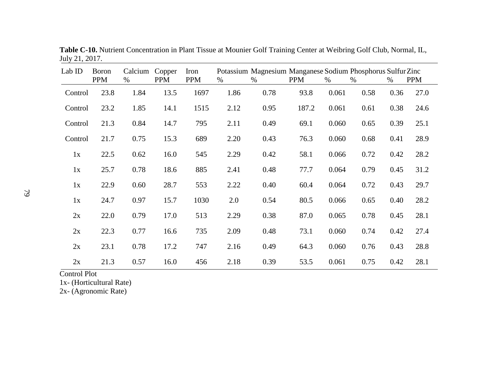| Lab ID  | Boron<br><b>PPM</b> | Calcium<br>$\%$ | Copper<br><b>PPM</b> | Iron<br><b>PPM</b> | %    | Potassium Magnesium Manganese Sodium Phosphorus Sulfur Zinc<br>$\%$ | <b>PPM</b> | $\%$  | %    | $\%$ | <b>PPM</b> |
|---------|---------------------|-----------------|----------------------|--------------------|------|---------------------------------------------------------------------|------------|-------|------|------|------------|
| Control | 23.8                | 1.84            | 13.5                 | 1697               | 1.86 | 0.78                                                                | 93.8       | 0.061 | 0.58 | 0.36 | 27.0       |
| Control | 23.2                | 1.85            | 14.1                 | 1515               | 2.12 | 0.95                                                                | 187.2      | 0.061 | 0.61 | 0.38 | 24.6       |
| Control | 21.3                | 0.84            | 14.7                 | 795                | 2.11 | 0.49                                                                | 69.1       | 0.060 | 0.65 | 0.39 | 25.1       |
| Control | 21.7                | 0.75            | 15.3                 | 689                | 2.20 | 0.43                                                                | 76.3       | 0.060 | 0.68 | 0.41 | 28.9       |
| 1x      | 22.5                | 0.62            | 16.0                 | 545                | 2.29 | 0.42                                                                | 58.1       | 0.066 | 0.72 | 0.42 | 28.2       |
| 1x      | 25.7                | 0.78            | 18.6                 | 885                | 2.41 | 0.48                                                                | 77.7       | 0.064 | 0.79 | 0.45 | 31.2       |
| 1x      | 22.9                | 0.60            | 28.7                 | 553                | 2.22 | 0.40                                                                | 60.4       | 0.064 | 0.72 | 0.43 | 29.7       |
| 1x      | 24.7                | 0.97            | 15.7                 | 1030               | 2.0  | 0.54                                                                | 80.5       | 0.066 | 0.65 | 0.40 | 28.2       |
| 2x      | 22.0                | 0.79            | 17.0                 | 513                | 2.29 | 0.38                                                                | 87.0       | 0.065 | 0.78 | 0.45 | 28.1       |
| 2x      | 22.3                | 0.77            | 16.6                 | 735                | 2.09 | 0.48                                                                | 73.1       | 0.060 | 0.74 | 0.42 | 27.4       |
| 2x      | 23.1                | 0.78            | 17.2                 | 747                | 2.16 | 0.49                                                                | 64.3       | 0.060 | 0.76 | 0.43 | 28.8       |
| 2x      | 21.3                | 0.57            | 16.0                 | 456                | 2.18 | 0.39                                                                | 53.5       | 0.061 | 0.75 | 0.42 | 28.1       |

**Table C-10.** Nutrient Concentration in Plant Tissue at Mounier Golf Training Center at Weibring Golf Club, Normal, IL, July 21, 2017.

1x- (Horticultural Rate)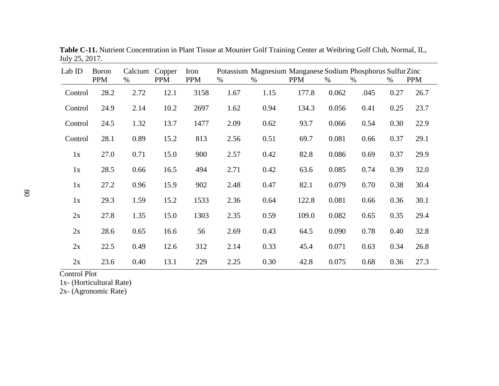| Lab ID  | <b>Boron</b><br><b>PPM</b> | Calcium<br>$\%$ | Copper<br><b>PPM</b> | Iron<br><b>PPM</b> | %    | Potassium Magnesium Manganese Sodium Phosphorus Sulfur Zinc<br>$\%$ | <b>PPM</b> | %     | $\%$ | %    | <b>PPM</b> |
|---------|----------------------------|-----------------|----------------------|--------------------|------|---------------------------------------------------------------------|------------|-------|------|------|------------|
| Control | 28.2                       | 2.72            | 12.1                 | 3158               | 1.67 | 1.15                                                                | 177.8      | 0.062 | .045 | 0.27 | 26.7       |
| Control | 24.9                       | 2.14            | 10.2                 | 2697               | 1.62 | 0.94                                                                | 134.3      | 0.056 | 0.41 | 0.25 | 23.7       |
| Control | 24.5                       | 1.32            | 13.7                 | 1477               | 2.09 | 0.62                                                                | 93.7       | 0.066 | 0.54 | 0.30 | 22.9       |
| Control | 28.1                       | 0.89            | 15.2                 | 813                | 2.56 | 0.51                                                                | 69.7       | 0.081 | 0.66 | 0.37 | 29.1       |
| 1x      | 27.0                       | 0.71            | 15.0                 | 900                | 2.57 | 0.42                                                                | 82.8       | 0.086 | 0.69 | 0.37 | 29.9       |
| 1x      | 28.5                       | 0.66            | 16.5                 | 494                | 2.71 | 0.42                                                                | 63.6       | 0.085 | 0.74 | 0.39 | 32.0       |
| 1x      | 27.2                       | 0.96            | 15.9                 | 902                | 2.48 | 0.47                                                                | 82.1       | 0.079 | 0.70 | 0.38 | 30.4       |
| 1x      | 29.3                       | 1.59            | 15.2                 | 1533               | 2.36 | 0.64                                                                | 122.8      | 0.081 | 0.66 | 0.36 | 30.1       |
| 2x      | 27.8                       | 1.35            | 15.0                 | 1303               | 2.35 | 0.59                                                                | 109.0      | 0.082 | 0.65 | 0.35 | 29.4       |
| 2x      | 28.6                       | 0.65            | 16.6                 | 56                 | 2.69 | 0.43                                                                | 64.5       | 0.090 | 0.78 | 0.40 | 32.8       |
| 2x      | 22.5                       | 0.49            | 12.6                 | 312                | 2.14 | 0.33                                                                | 45.4       | 0.071 | 0.63 | 0.34 | 26.8       |
| 2x      | 23.6                       | 0.40            | 13.1                 | 229                | 2.25 | 0.30                                                                | 42.8       | 0.075 | 0.68 | 0.36 | 27.3       |

**Table C-11.** Nutrient Concentration in Plant Tissue at Mounier Golf Training Center at Weibring Golf Club, Normal, IL, July 25, 2017.

1x- (Horticultural Rate)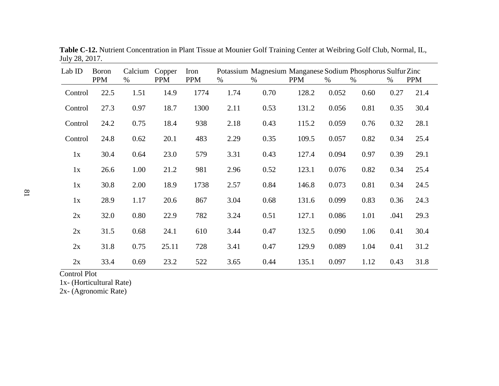| Lab ID  | <b>Boron</b><br><b>PPM</b> | Calcium<br>$\%$ | Copper<br><b>PPM</b> | Iron<br><b>PPM</b> | %    | Potassium Magnesium Manganese Sodium Phosphorus Sulfur Zinc<br>$\%$ | <b>PPM</b> | $\%$  | %    | $\%$ | <b>PPM</b> |
|---------|----------------------------|-----------------|----------------------|--------------------|------|---------------------------------------------------------------------|------------|-------|------|------|------------|
| Control | 22.5                       | 1.51            | 14.9                 | 1774               | 1.74 | 0.70                                                                | 128.2      | 0.052 | 0.60 | 0.27 | 21.4       |
| Control | 27.3                       | 0.97            | 18.7                 | 1300               | 2.11 | 0.53                                                                | 131.2      | 0.056 | 0.81 | 0.35 | 30.4       |
| Control | 24.2                       | 0.75            | 18.4                 | 938                | 2.18 | 0.43                                                                | 115.2      | 0.059 | 0.76 | 0.32 | 28.1       |
| Control | 24.8                       | 0.62            | 20.1                 | 483                | 2.29 | 0.35                                                                | 109.5      | 0.057 | 0.82 | 0.34 | 25.4       |
| 1x      | 30.4                       | 0.64            | 23.0                 | 579                | 3.31 | 0.43                                                                | 127.4      | 0.094 | 0.97 | 0.39 | 29.1       |
| 1x      | 26.6                       | 1.00            | 21.2                 | 981                | 2.96 | 0.52                                                                | 123.1      | 0.076 | 0.82 | 0.34 | 25.4       |
| 1x      | 30.8                       | 2.00            | 18.9                 | 1738               | 2.57 | 0.84                                                                | 146.8      | 0.073 | 0.81 | 0.34 | 24.5       |
| 1x      | 28.9                       | 1.17            | 20.6                 | 867                | 3.04 | 0.68                                                                | 131.6      | 0.099 | 0.83 | 0.36 | 24.3       |
| 2x      | 32.0                       | 0.80            | 22.9                 | 782                | 3.24 | 0.51                                                                | 127.1      | 0.086 | 1.01 | .041 | 29.3       |
| 2x      | 31.5                       | 0.68            | 24.1                 | 610                | 3.44 | 0.47                                                                | 132.5      | 0.090 | 1.06 | 0.41 | 30.4       |
| 2x      | 31.8                       | 0.75            | 25.11                | 728                | 3.41 | 0.47                                                                | 129.9      | 0.089 | 1.04 | 0.41 | 31.2       |
| 2x      | 33.4                       | 0.69            | 23.2                 | 522                | 3.65 | 0.44                                                                | 135.1      | 0.097 | 1.12 | 0.43 | 31.8       |

**Table C-12.** Nutrient Concentration in Plant Tissue at Mounier Golf Training Center at Weibring Golf Club, Normal, IL, July 28, 2017.

1x- (Horticultural Rate)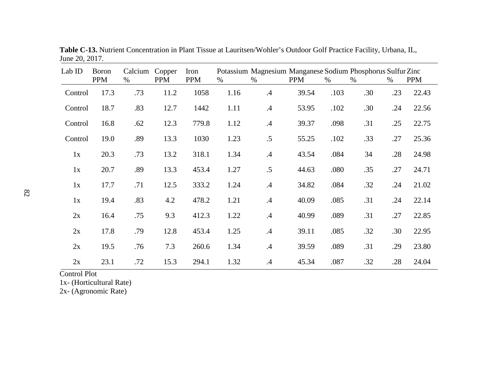| Lab ID  | <b>Boron</b><br><b>PPM</b> | Calcium<br>$\%$ | Copper<br><b>PPM</b> | Iron<br><b>PPM</b> | $\%$ | Potassium Magnesium Manganese Sodium Phosphorus Sulfur Zinc<br>$\%$ | <b>PPM</b> | $\%$ | $\%$ | $\%$ | <b>PPM</b> |
|---------|----------------------------|-----------------|----------------------|--------------------|------|---------------------------------------------------------------------|------------|------|------|------|------------|
|         |                            |                 |                      |                    |      |                                                                     |            |      |      |      |            |
| Control | 17.3                       | .73             | 11.2                 | 1058               | 1.16 | .4                                                                  | 39.54      | .103 | .30  | .23  | 22.43      |
| Control | 18.7                       | .83             | 12.7                 | 1442               | 1.11 | $.4\,$                                                              | 53.95      | .102 | .30  | .24  | 22.56      |
| Control | 16.8                       | .62             | 12.3                 | 779.8              | 1.12 | .4                                                                  | 39.37      | .098 | .31  | .25  | 22.75      |
| Control | 19.0                       | .89             | 13.3                 | 1030               | 1.23 | .5                                                                  | 55.25      | .102 | .33  | .27  | 25.36      |
| 1x      | 20.3                       | .73             | 13.2                 | 318.1              | 1.34 | $\mathcal{A}$                                                       | 43.54      | .084 | 34   | .28  | 24.98      |
| 1x      | 20.7                       | .89             | 13.3                 | 453.4              | 1.27 | .5                                                                  | 44.63      | .080 | .35  | .27  | 24.71      |
| 1x      | 17.7                       | .71             | 12.5                 | 333.2              | 1.24 | .4                                                                  | 34.82      | .084 | .32  | .24  | 21.02      |
| 1x      | 19.4                       | .83             | 4.2                  | 478.2              | 1.21 | $\mathcal{A}$                                                       | 40.09      | .085 | .31  | .24  | 22.14      |
| 2x      | 16.4                       | .75             | 9.3                  | 412.3              | 1.22 | .4                                                                  | 40.99      | .089 | .31  | .27  | 22.85      |
| 2x      | 17.8                       | .79             | 12.8                 | 453.4              | 1.25 | .4                                                                  | 39.11      | .085 | .32  | .30  | 22.95      |
| 2x      | 19.5                       | .76             | 7.3                  | 260.6              | 1.34 | $\mathcal{A}$                                                       | 39.59      | .089 | .31  | .29  | 23.80      |
| 2x      | 23.1                       | .72             | 15.3                 | 294.1              | 1.32 | .4                                                                  | 45.34      | .087 | .32  | .28  | 24.04      |

**Table C-13.** Nutrient Concentration in Plant Tissue at Lauritsen/Wohler's Outdoor Golf Practice Facility, Urbana, IL, June 20, 2017.

1x- (Horticultural Rate)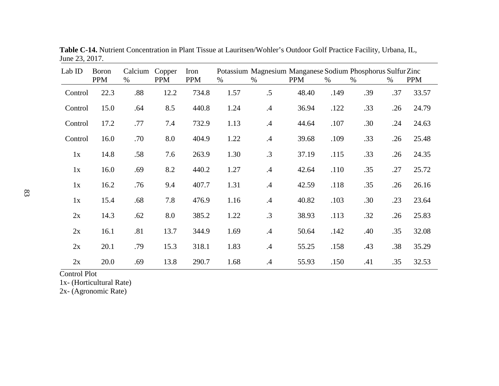| Lab ID  | <b>Boron</b><br><b>PPM</b> | Calcium<br>$\%$ | Copper<br><b>PPM</b> | Iron<br><b>PPM</b> | $\%$ | Potassium Magnesium Manganese Sodium Phosphorus Sulfur Zinc<br>$\%$ | <b>PPM</b> | $\%$ | $\%$ | %   | <b>PPM</b> |
|---------|----------------------------|-----------------|----------------------|--------------------|------|---------------------------------------------------------------------|------------|------|------|-----|------------|
|         |                            |                 |                      |                    |      |                                                                     |            |      |      |     |            |
| Control | 22.3                       | .88             | 12.2                 | 734.8              | 1.57 | .5                                                                  | 48.40      | .149 | .39  | .37 | 33.57      |
| Control | 15.0                       | .64             | 8.5                  | 440.8              | 1.24 | .4                                                                  | 36.94      | .122 | .33  | .26 | 24.79      |
| Control | 17.2                       | .77             | 7.4                  | 732.9              | 1.13 | .4                                                                  | 44.64      | .107 | .30  | .24 | 24.63      |
| Control | 16.0                       | .70             | 8.0                  | 404.9              | 1.22 | .4                                                                  | 39.68      | .109 | .33  | .26 | 25.48      |
| 1x      | 14.8                       | .58             | 7.6                  | 263.9              | 1.30 | .3                                                                  | 37.19      | .115 | .33  | .26 | 24.35      |
| 1x      | 16.0                       | .69             | 8.2                  | 440.2              | 1.27 | .4                                                                  | 42.64      | .110 | .35  | .27 | 25.72      |
| 1x      | 16.2                       | .76             | 9.4                  | 407.7              | 1.31 | .4                                                                  | 42.59      | .118 | .35  | .26 | 26.16      |
| 1x      | 15.4                       | .68             | 7.8                  | 476.9              | 1.16 | .4                                                                  | 40.82      | .103 | .30  | .23 | 23.64      |
| 2x      | 14.3                       | .62             | 8.0                  | 385.2              | 1.22 | $\cdot$ 3                                                           | 38.93      | .113 | .32  | .26 | 25.83      |
| 2x      | 16.1                       | .81             | 13.7                 | 344.9              | 1.69 | .4                                                                  | 50.64      | .142 | .40  | .35 | 32.08      |
| 2x      | 20.1                       | .79             | 15.3                 | 318.1              | 1.83 | .4                                                                  | 55.25      | .158 | .43  | .38 | 35.29      |
| 2x      | 20.0                       | .69             | 13.8                 | 290.7              | 1.68 | .4                                                                  | 55.93      | .150 | .41  | .35 | 32.53      |

**Table C-14.** Nutrient Concentration in Plant Tissue at Lauritsen/Wohler's Outdoor Golf Practice Facility, Urbana, IL, June 23, 2017.

1x- (Horticultural Rate)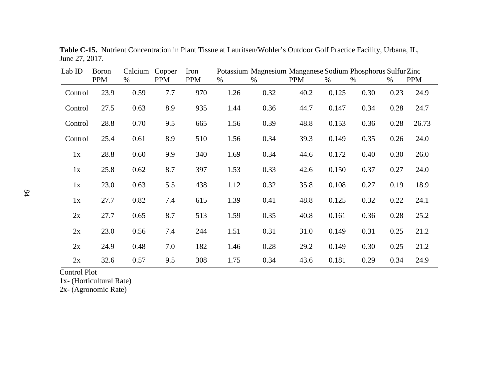| Lab ID  | <b>Boron</b><br><b>PPM</b> | Calcium<br>% | Copper<br><b>PPM</b> | Iron<br><b>PPM</b> | %    | Potassium Magnesium Manganese Sodium Phosphorus Sulfur Zinc<br>% | <b>PPM</b> | $\%$  | $\%$ | %    | <b>PPM</b> |
|---------|----------------------------|--------------|----------------------|--------------------|------|------------------------------------------------------------------|------------|-------|------|------|------------|
|         |                            |              |                      |                    |      |                                                                  |            |       |      |      |            |
| Control | 23.9                       | 0.59         | 7.7                  | 970                | 1.26 | 0.32                                                             | 40.2       | 0.125 | 0.30 | 0.23 | 24.9       |
| Control | 27.5                       | 0.63         | 8.9                  | 935                | 1.44 | 0.36                                                             | 44.7       | 0.147 | 0.34 | 0.28 | 24.7       |
| Control | 28.8                       | 0.70         | 9.5                  | 665                | 1.56 | 0.39                                                             | 48.8       | 0.153 | 0.36 | 0.28 | 26.73      |
| Control | 25.4                       | 0.61         | 8.9                  | 510                | 1.56 | 0.34                                                             | 39.3       | 0.149 | 0.35 | 0.26 | 24.0       |
| 1x      | 28.8                       | 0.60         | 9.9                  | 340                | 1.69 | 0.34                                                             | 44.6       | 0.172 | 0.40 | 0.30 | 26.0       |
| 1x      | 25.8                       | 0.62         | 8.7                  | 397                | 1.53 | 0.33                                                             | 42.6       | 0.150 | 0.37 | 0.27 | 24.0       |
| 1x      | 23.0                       | 0.63         | 5.5                  | 438                | 1.12 | 0.32                                                             | 35.8       | 0.108 | 0.27 | 0.19 | 18.9       |
| 1x      | 27.7                       | 0.82         | 7.4                  | 615                | 1.39 | 0.41                                                             | 48.8       | 0.125 | 0.32 | 0.22 | 24.1       |
| 2x      | 27.7                       | 0.65         | 8.7                  | 513                | 1.59 | 0.35                                                             | 40.8       | 0.161 | 0.36 | 0.28 | 25.2       |
| 2x      | 23.0                       | 0.56         | 7.4                  | 244                | 1.51 | 0.31                                                             | 31.0       | 0.149 | 0.31 | 0.25 | 21.2       |
| 2x      | 24.9                       | 0.48         | 7.0                  | 182                | 1.46 | 0.28                                                             | 29.2       | 0.149 | 0.30 | 0.25 | 21.2       |
| 2x      | 32.6                       | 0.57         | 9.5                  | 308                | 1.75 | 0.34                                                             | 43.6       | 0.181 | 0.29 | 0.34 | 24.9       |

**Table C-15.** Nutrient Concentration in Plant Tissue at Lauritsen/Wohler's Outdoor Golf Practice Facility, Urbana, IL, June 27, 2017.

1x- (Horticultural Rate)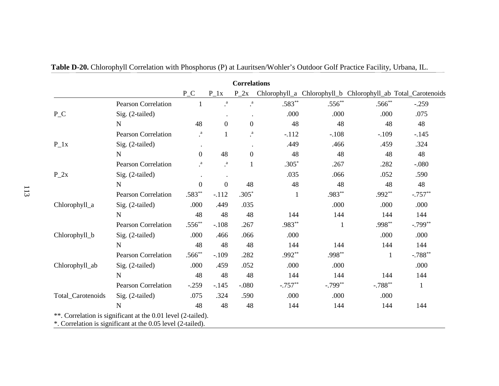| <b>Correlations</b> |                                                              |                  |                  |                  |              |           |             |                                                              |
|---------------------|--------------------------------------------------------------|------------------|------------------|------------------|--------------|-----------|-------------|--------------------------------------------------------------|
|                     |                                                              | $P_{C}$          | $P_1x$           | $P_2x$           |              |           |             | Chlorophyll_a Chlorophyll_b Chlorophyll_ab Total_Carotenoids |
|                     | <b>Pearson Correlation</b>                                   | 1                | $\cdot^a$        | $\cdot^a$        | $.583**$     | $.556**$  | $.566^{**}$ | $-.259$                                                      |
| $P_{C}$             | Sig. (2-tailed)                                              |                  | $\bullet$        | $\bullet$        | .000         | .000      | .000        | .075                                                         |
|                     | $\mathbf N$                                                  | 48               | $\boldsymbol{0}$ | $\boldsymbol{0}$ | 48           | 48        | 48          | 48                                                           |
|                     | <b>Pearson Correlation</b>                                   | a                | $\mathbf{1}$     | $\mathbf{a}$     | $-.112$      | $-.108$   | $-.109$     | $-.145$                                                      |
| $P_1x$              | Sig. (2-tailed)                                              | $\bullet$        |                  |                  | .449         | .466      | .459        | .324                                                         |
|                     | $\mathbf N$                                                  | $\boldsymbol{0}$ | 48               | $\boldsymbol{0}$ | 48           | 48        | 48          | 48                                                           |
|                     | <b>Pearson Correlation</b>                                   | $\mathbf{a}$     | $\rm{a}$         |                  | $.305*$      | .267      | .282        | $-.080$                                                      |
| $P_2x$              | Sig. (2-tailed)                                              |                  |                  |                  | .035         | .066      | .052        | .590                                                         |
|                     | $\mathbf N$                                                  | $\boldsymbol{0}$ | $\theta$         | 48               | 48           | 48        | 48          | 48                                                           |
|                     | <b>Pearson Correlation</b>                                   | $.583**$         | $-.112$          | $.305*$          | $\mathbf{1}$ | .983**    | $.992**$    | $-.757**$                                                    |
| Chlorophyll_a       | Sig. (2-tailed)                                              | .000             | .449             | .035             |              | .000      | .000        | .000                                                         |
|                     | $\mathbf N$                                                  | 48               | 48               | 48               | 144          | 144       | 144         | 144                                                          |
|                     | <b>Pearson Correlation</b>                                   | $.556**$         | $-.108$          | .267             | .983**       | 1         | $.998**$    | $-.799**$                                                    |
| Chlorophyll_b       | Sig. (2-tailed)                                              | .000             | .466             | .066             | .000         |           | .000        | .000                                                         |
|                     | N                                                            | 48               | 48               | 48               | 144          | 144       | 144         | 144                                                          |
| Chlorophyll_ab      | <b>Pearson Correlation</b>                                   | $.566**$         | $-.109$          | .282             | .992**       | $.998**$  | 1           | $-.788**$                                                    |
|                     | Sig. (2-tailed)                                              | .000             | .459             | .052             | .000         | .000      |             | .000                                                         |
|                     | N                                                            | 48               | 48               | 48               | 144          | 144       | 144         | 144                                                          |
| Total_Carotenoids   | <b>Pearson Correlation</b>                                   | $-.259$          | $-.145$          | $-.080$          | $-.757**$    | $-.799**$ | $-.788**$   | $\mathbf{1}$                                                 |
|                     | Sig. (2-tailed)                                              | .075             | .324             | .590             | .000         | .000      | .000        |                                                              |
|                     | $\mathbf N$                                                  | 48               | 48               | 48               | 144          | 144       | 144         | 144                                                          |
|                     | **. Correlation is significant at the 0.01 level (2-tailed). |                  |                  |                  |              |           |             |                                                              |
|                     | *. Correlation is significant at the 0.05 level (2-tailed).  |                  |                  |                  |              |           |             |                                                              |

|  |  |  | <b>Table D-20.</b> Chlorophyll Correlation with Phosphorus (P) at Lauritsen/Wohler's Outdoor Golf Practice Facility, Urbana, IL. |
|--|--|--|----------------------------------------------------------------------------------------------------------------------------------|
|--|--|--|----------------------------------------------------------------------------------------------------------------------------------|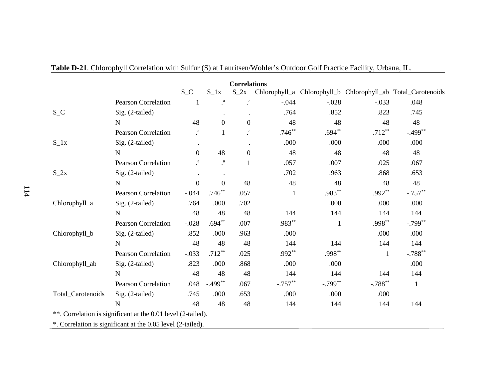| <b>Correlations</b> |                                                              |                  |                  |                  |           |              |              |                                                              |
|---------------------|--------------------------------------------------------------|------------------|------------------|------------------|-----------|--------------|--------------|--------------------------------------------------------------|
|                     |                                                              | $S_C$            | $S_1x$           | $S_2x$           |           |              |              | Chlorophyll_a Chlorophyll_b Chlorophyll_ab Total_Carotenoids |
| $S_C$               | <b>Pearson Correlation</b>                                   | $\mathbf{1}$     | $\cdot^a$        | $\cdot^{\rm a}$  | $-.044$   | $-.028$      | $-.033$      | .048                                                         |
|                     | Sig. (2-tailed)                                              |                  |                  |                  | .764      | .852         | .823         | .745                                                         |
|                     | $\mathbf N$                                                  | 48               | $\boldsymbol{0}$ | $\boldsymbol{0}$ | 48        | 48           | 48           | 48                                                           |
|                     | <b>Pearson Correlation</b>                                   | $\cdot^a$        | $\mathbf{1}$     | $\cdot^a$        | $.746**$  | $.694**$     | $.712**$     | $-.499$ **                                                   |
| $S_l x$             | Sig. (2-tailed)                                              |                  |                  |                  | .000      | .000         | .000         | .000                                                         |
|                     | N                                                            | $\overline{0}$   | 48               | $\overline{0}$   | 48        | 48           | 48           | 48                                                           |
|                     | <b>Pearson Correlation</b>                                   | $\it a$          | $\cdot^{\rm a}$  | $\mathbf{1}$     | .057      | .007         | .025         | .067                                                         |
| $S_2x$              | Sig. (2-tailed)                                              |                  |                  |                  | .702      | .963         | .868         | .653                                                         |
|                     | $\mathbf N$                                                  | $\boldsymbol{0}$ | $\overline{0}$   | 48               | 48        | 48           | 48           | 48                                                           |
|                     | <b>Pearson Correlation</b>                                   | $-.044$          | $.746**$         | .057             | 1         | .983**       | $.992**$     | $-.757**$                                                    |
| Chlorophyll_a       | Sig. (2-tailed)                                              | .764             | .000             | .702             |           | .000         | .000         | .000                                                         |
|                     | N                                                            | 48               | 48               | 48               | 144       | 144          | 144          | 144                                                          |
|                     | <b>Pearson Correlation</b>                                   | $-.028$          | $.694**$         | .007             | $.983**$  | $\mathbf{1}$ | .998**       | $-.799**$                                                    |
| Chlorophyll_b       | $Sig. (2-tailed)$                                            | .852             | .000             | .963             | .000      |              | .000         | .000                                                         |
|                     | $\mathbf N$                                                  | 48               | 48               | 48               | 144       | 144          | 144          | 144                                                          |
| Chlorophyll_ab      | <b>Pearson Correlation</b>                                   | $-.033$          | $.712**$         | .025             | $.992**$  | .998**       | $\mathbf{1}$ | $-.788**$                                                    |
|                     | $Sig. (2-tailed)$                                            | .823             | .000             | .868             | .000      | .000         |              | .000                                                         |
|                     | N                                                            | 48               | 48               | 48               | 144       | 144          | 144          | 144                                                          |
| Total_Carotenoids   | Pearson Correlation                                          | .048             | $-.499**$        | .067             | $-.757**$ | $-.799**$    | $-.788$ **   | $\mathbf{1}$                                                 |
|                     | $Sig. (2-tailed)$                                            | .745             | .000             | .653             | .000      | .000         | .000         |                                                              |
|                     | N                                                            | 48               | 48               | 48               | 144       | 144          | 144          | 144                                                          |
|                     | **. Correlation is significant at the 0.01 level (2-tailed). |                  |                  |                  |           |              |              |                                                              |
|                     | *. Correlation is significant at the 0.05 level (2-tailed).  |                  |                  |                  |           |              |              |                                                              |

**Table D-21**. Chlorophyll Correlation with Sulfur (S) at Lauritsen/Wohler's Outdoor Golf Practice Facility, Urbana, IL.